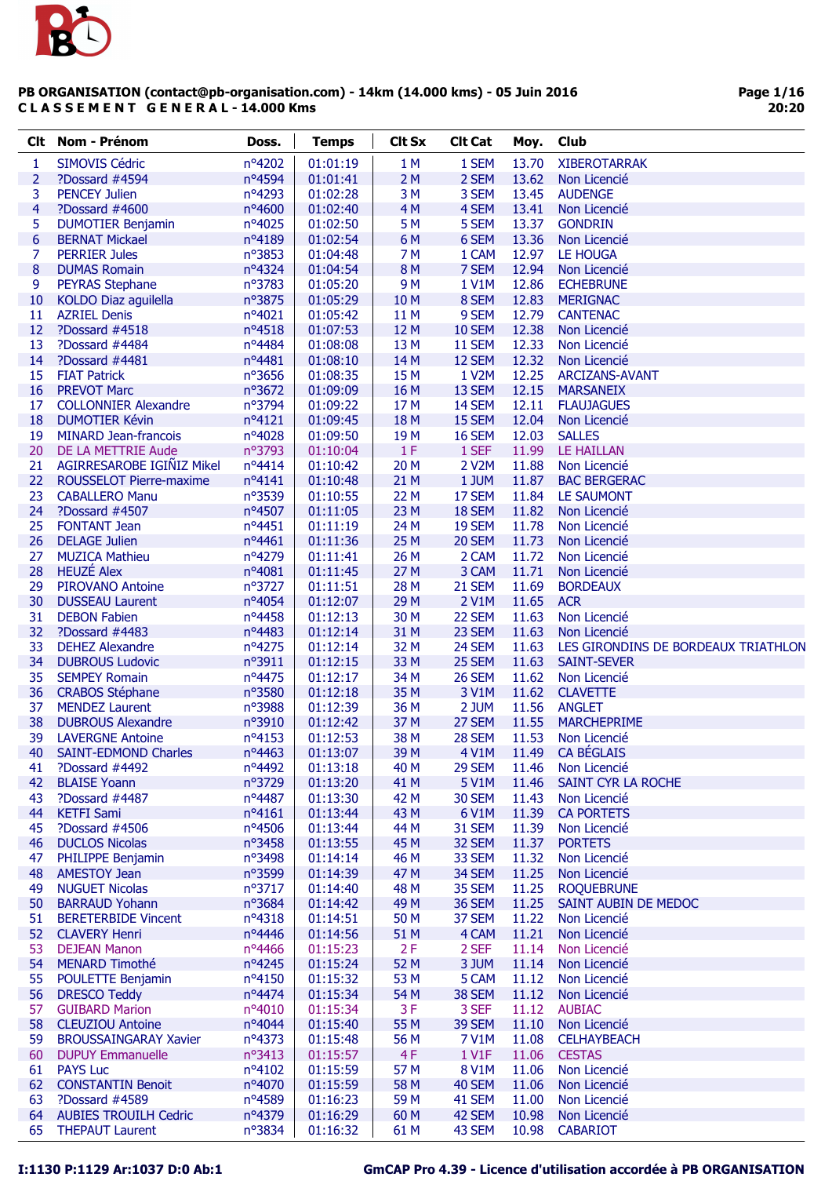

| <b>Clt</b>              | Nom - Prénom                 | Doss.           | <b>Temps</b> | <b>Clt Sx</b>   | <b>Clt Cat</b> | Moy.           | Club                                |
|-------------------------|------------------------------|-----------------|--------------|-----------------|----------------|----------------|-------------------------------------|
| 1                       | <b>SIMOVIS Cédric</b>        | nº4202          | 01:01:19     | 1 M             | 1 SEM          | 13.70          | <b>XIBEROTARRAK</b>                 |
| $\overline{2}$          | ?Dossard #4594               | nº4594          | 01:01:41     | 2M              | 2 SEM          | 13.62          | Non Licencié                        |
| 3                       | <b>PENCEY Julien</b>         | nº4293          | 01:02:28     | 3M              | 3 SEM          | 13.45          | <b>AUDENGE</b>                      |
| $\overline{\mathbf{4}}$ | ?Dossard #4600               | nº4600          | 01:02:40     | 4M              | 4 SEM          | 13.41          | Non Licencié                        |
| 5                       | <b>DUMOTIER Benjamin</b>     | nº4025          | 01:02:50     | 5 M             | 5 SEM          | 13.37          | <b>GONDRIN</b>                      |
| $6\,$                   | <b>BERNAT Mickael</b>        | nº4189          | 01:02:54     | 6 M             | 6 SEM          | 13.36          | Non Licencié                        |
| 7                       | <b>PERRIER Jules</b>         | nº3853          | 01:04:48     | 7 M             | 1 CAM          | 12.97          | LE HOUGA                            |
| 8                       | <b>DUMAS Romain</b>          | nº4324          | 01:04:54     | 8 M             | 7 SEM          | 12.94          | Non Licencié                        |
| 9                       | <b>PEYRAS Stephane</b>       | nº3783          | 01:05:20     | 9 M             | 1 V1M          | 12.86          | <b>ECHEBRUNE</b>                    |
| 10                      | KOLDO Diaz aguilella         | nº3875          | 01:05:29     | 10 <sub>M</sub> | 8 SEM          | 12.83          | <b>MERIGNAC</b>                     |
| 11                      | <b>AZRIEL Denis</b>          | nº4021          | 01:05:42     | 11 M            | 9 SEM          | 12.79          | <b>CANTENAC</b>                     |
| 12                      | ?Dossard #4518               | nº4518          | 01:07:53     | 12 M            | 10 SEM         | 12.38          | Non Licencié                        |
| 13                      | ?Dossard #4484               | nº4484          | 01:08:08     | 13 M            | 11 SEM         | 12.33          | Non Licencié                        |
| 14                      | ?Dossard #4481               | nº4481          | 01:08:10     | 14 M            | 12 SEM         | 12.32          | Non Licencié                        |
| 15                      | <b>FIAT Patrick</b>          | nº3656          | 01:08:35     | 15 M            | 1 V2M          | 12.25          | <b>ARCIZANS-AVANT</b>               |
| 16                      | <b>PREVOT Marc</b>           | nº3672          | 01:09:09     | 16 M            | 13 SEM         | 12.15          | <b>MARSANEIX</b>                    |
| 17                      | <b>COLLONNIER Alexandre</b>  | nº3794          | 01:09:22     | 17 <sub>M</sub> | 14 SEM         | 12.11          | <b>FLAUJAGUES</b>                   |
| 18                      | <b>DUMOTIER Kévin</b>        | nº4121          | 01:09:45     | 18 M            | 15 SEM         | 12.04          | Non Licencié                        |
| 19                      | <b>MINARD Jean-francois</b>  | nº4028          | 01:09:50     | 19 <sub>M</sub> | 16 SEM         | 12.03          | <b>SALLES</b>                       |
| 20                      | DE LA METTRIE Aude           | n°3793          | 01:10:04     | 1F              | 1 SEF          | 11.99          | <b>LE HAILLAN</b>                   |
| 21                      | AGIRRESAROBE IGIÑIZ Mikel    | nº4414          | 01:10:42     | 20 M            | 2 V2M          | 11.88          | Non Licencié                        |
| 22                      | ROUSSELOT Pierre-maxime      | nº4141          | 01:10:48     | 21 M            | 1 JUM          | 11.87          | <b>BAC BERGERAC</b>                 |
| 23                      | <b>CABALLERO Manu</b>        | n°3539          | 01:10:55     | 22 M            | 17 SEM         | 11.84          | <b>LE SAUMONT</b>                   |
| 24                      | ?Dossard #4507               | nº4507          | 01:11:05     | 23 M            | 18 SEM         | 11.82          | Non Licencié                        |
| 25                      | <b>FONTANT Jean</b>          | nº4451          | 01:11:19     | 24 M            | 19 SEM         | 11.78          | Non Licencié                        |
| 26                      | <b>DELAGE Julien</b>         | nº4461          | 01:11:36     | 25 M            | 20 SEM         | 11.73          | Non Licencié                        |
| 27                      | <b>MUZICA Mathieu</b>        | nº4279          | 01:11:41     | 26 M            | 2 CAM          | 11.72          | Non Licencié                        |
| 28                      | <b>HEUZÉ Alex</b>            | nº4081          | 01:11:45     | 27 M            | 3 CAM          | 11.71          | Non Licencié                        |
| 29                      | <b>PIROVANO Antoine</b>      | nº3727          | 01:11:51     | 28 M            | 21 SEM         | 11.69          | <b>BORDEAUX</b>                     |
| 30                      | <b>DUSSEAU Laurent</b>       | nº4054          | 01:12:07     | 29 M            | 2 V1M          | 11.65          | <b>ACR</b>                          |
| 31                      | <b>DEBON Fabien</b>          | nº4458          | 01:12:13     | 30 M            | 22 SEM         | 11.63          | Non Licencié                        |
| 32                      | ?Dossard #4483               | nº4483          | 01:12:14     | 31 M            | 23 SEM         | 11.63          | Non Licencié                        |
| 33                      | <b>DEHEZ Alexandre</b>       | nº4275          | 01:12:14     | 32 M            | 24 SEM         | 11.63          | LES GIRONDINS DE BORDEAUX TRIATHLON |
| 34                      | <b>DUBROUS Ludovic</b>       | n°3911          | 01:12:15     | 33 M            | 25 SEM         | 11.63          | <b>SAINT-SEVER</b>                  |
| 35                      | <b>SEMPEY Romain</b>         | nº4475          | 01:12:17     | 34 M            | 26 SEM         | 11.62          | Non Licencié                        |
| 36                      | <b>CRABOS Stéphane</b>       | nº3580          | 01:12:18     | 35 M            | 3 V1M          | 11.62          | <b>CLAVETTE</b>                     |
| 37                      | <b>MENDEZ Laurent</b>        | nº3988          | 01:12:39     | 36 M            | 2 JUM          | 11.56          | <b>ANGLET</b>                       |
| 38                      | <b>DUBROUS Alexandre</b>     | n°3910          | 01:12:42     | 37 M            | 27 SEM         | 11.55          | <b>MARCHEPRIME</b>                  |
| 39                      | <b>LAVERGNE Antoine</b>      | nº4153          | 01:12:53     | 38 M            | 28 SEM         | 11.53          | Non Licencié                        |
| 40                      | <b>SAINT-EDMOND Charles</b>  | nº4463          | 01:13:07     | 39 M            | 4 V1M          | 11.49          | <b>CA BÉGLAIS</b>                   |
| 41                      | ?Dossard #4492               | nº4492          | 01:13:18     | 40 M            | 29 SEM         | 11.46          | Non Licencié                        |
| 42                      | <b>BLAISE Yoann</b>          | nº3729          | 01:13:20     | 41 M            | 5 V1M          | 11.46          | SAINT CYR LA ROCHE                  |
| 43                      | ?Dossard #4487               | nº4487          | 01:13:30     | 42 M            | 30 SEM         | 11.43          | Non Licencié                        |
| 44                      | <b>KETFI Sami</b>            | $n^o4161$       | 01:13:44     | 43 M            | 6 V1M          | 11.39          | <b>CA PORTETS</b>                   |
| 45                      | ?Dossard #4506               | nº4506          | 01:13:44     | 44 M            | 31 SEM         | 11.39          | Non Licencié                        |
| 46                      | <b>DUCLOS Nicolas</b>        | nº3458          | 01:13:55     | 45 M            | 32 SEM         | 11.37          | <b>PORTETS</b>                      |
| 47                      | PHILIPPE Benjamin            | $n^{\circ}3498$ | 01:14:14     | 46 M            | 33 SEM         | 11.32          | Non Licencié                        |
| 48                      | <b>AMESTOY Jean</b>          | n°3599          | 01:14:39     | 47 M            | 34 SEM         | 11.25          | Non Licencié                        |
| 49                      | <b>NUGUET Nicolas</b>        | $n^{\circ}3717$ | 01:14:40     | 48 M            | 35 SEM         | 11.25          | <b>ROQUEBRUNE</b>                   |
| 50                      | <b>BARRAUD Yohann</b>        | nº3684          | 01:14:42     | 49 M            | 36 SEM         | 11.25          | SAINT AUBIN DE MEDOC                |
| 51                      | <b>BERETERBIDE Vincent</b>   | nº4318          | 01:14:51     | 50 M            | 37 SEM         | 11.22          | Non Licencié                        |
| 52 <sub>2</sub>         | <b>CLAVERY Henri</b>         | nº4446          | 01:14:56     | 51 M            | 4 CAM          | 11.21          | Non Licencié                        |
| 53                      | <b>DEJEAN Manon</b>          | nº4466          | 01:15:23     | 2F              | 2 SEF          | 11.14          | Non Licencié                        |
| 54                      |                              | nº4245          |              | 52 M            | 3 JUM          |                |                                     |
|                         | <b>MENARD Timothé</b>        | $n^o4150$       | 01:15:24     | 53 M            |                | 11.14<br>11.12 | Non Licencié                        |
| 55<br>56                | POULETTE Benjamin            | nº4474          | 01:15:32     |                 | 5 CAM          |                | Non Licencié                        |
|                         | <b>DRESCO Teddy</b>          |                 | 01:15:34     | 54 M            | 38 SEM         | 11.12          | Non Licencié                        |
| 57                      | <b>GUIBARD Marion</b>        | $n^o4010$       | 01:15:34     | 3F              | 3 SEF          | 11.12          | <b>AUBIAC</b>                       |
| 58                      | <b>CLEUZIOU Antoine</b>      | nº4044          | 01:15:40     | 55 M            | 39 SEM         | 11.10          | Non Licencié                        |
| 59                      | <b>BROUSSAINGARAY Xavier</b> | nº4373          | 01:15:48     | 56 M            | 7 V1M          | 11.08          | <b>CELHAYBEACH</b>                  |
| 60                      | <b>DUPUY Emmanuelle</b>      | nº3413          | 01:15:57     | 4F              | <b>1 V1F</b>   | 11.06          | <b>CESTAS</b>                       |
| 61                      | <b>PAYS Luc</b>              | nº4102          | 01:15:59     | 57 M            | 8 V1M          | 11.06          | Non Licencié                        |
| 62                      | <b>CONSTANTIN Benoit</b>     | nº4070          | 01:15:59     | 58 M            | 40 SEM         | 11.06          | Non Licencié                        |
| 63                      | ?Dossard #4589               | nº4589          | 01:16:23     | 59 M            | 41 SEM         | 11.00          | Non Licencié                        |
| 64                      | <b>AUBIES TROUILH Cedric</b> | nº4379          | 01:16:29     | 60 M            | 42 SEM         | 10.98          | Non Licencié                        |
| 65                      | <b>THEPAUT Laurent</b>       | nº3834          | 01:16:32     | 61 M            | 43 SEM         | 10.98          | <b>CABARIOT</b>                     |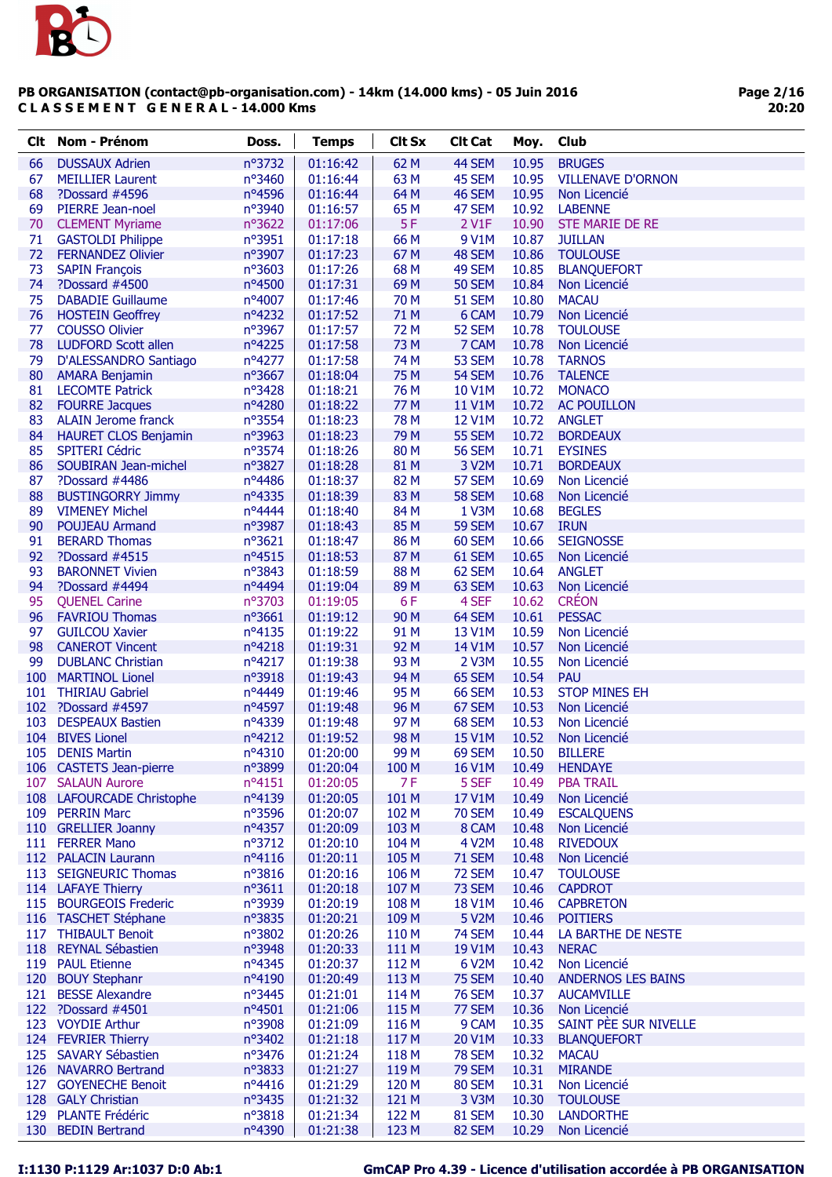

| Clt. | <b>Nom - Prénom</b>         | Doss.           | <b>Temps</b> | <b>Clt Sx</b>   | <b>Clt Cat</b> | Moy.  | Club                      |
|------|-----------------------------|-----------------|--------------|-----------------|----------------|-------|---------------------------|
| 66   | <b>DUSSAUX Adrien</b>       | nº3732          | 01:16:42     | 62 M            | 44 SEM         | 10.95 | <b>BRUGES</b>             |
| 67   | <b>MEILLIER Laurent</b>     | $n^{\circ}3460$ | 01:16:44     | 63 M            | 45 SEM         | 10.95 | <b>VILLENAVE D'ORNON</b>  |
| 68   | ?Dossard #4596              | nº4596          | 01:16:44     | 64 M            | 46 SEM         | 10.95 | Non Licencié              |
| 69   | PIERRE Jean-noel            | nº3940          | 01:16:57     | 65 M            | 47 SEM         | 10.92 | <b>LABENNE</b>            |
| 70   | <b>CLEMENT Myriame</b>      | nº3622          | 01:17:06     | 5F              | 2 V1F          | 10.90 | <b>STE MARIE DE RE</b>    |
| 71   | <b>GASTOLDI Philippe</b>    | n°3951          | 01:17:18     | 66 M            | 9 V1M          | 10.87 | <b>JUILLAN</b>            |
| 72   | <b>FERNANDEZ Olivier</b>    | nº3907          | 01:17:23     | 67 M            | 48 SEM         | 10.86 | <b>TOULOUSE</b>           |
| 73   | <b>SAPIN François</b>       | nº3603          | 01:17:26     | 68 M            | 49 SEM         | 10.85 | <b>BLANQUEFORT</b>        |
| 74   | ?Dossard #4500              | nº4500          | 01:17:31     | 69 <sub>M</sub> | <b>50 SEM</b>  | 10.84 | Non Licencié              |
| 75   | <b>DABADIE Guillaume</b>    | nº4007          | 01:17:46     | 70 M            | 51 SEM         | 10.80 | <b>MACAU</b>              |
| 76   | <b>HOSTEIN Geoffrey</b>     | nº4232          | 01:17:52     | 71 M            | 6 CAM          | 10.79 | Non Licencié              |
| 77   | <b>COUSSO Olivier</b>       | nº3967          | 01:17:57     | 72 M            | 52 SEM         | 10.78 | <b>TOULOUSE</b>           |
| 78   | <b>LUDFORD Scott allen</b>  | nº4225          | 01:17:58     | 73 M            | 7 CAM          | 10.78 | Non Licencié              |
| 79   | D'ALESSANDRO Santiago       | nº4277          | 01:17:58     | 74 M            | 53 SEM         | 10.78 | <b>TARNOS</b>             |
| 80   | <b>AMARA Benjamin</b>       | nº3667          | 01:18:04     | 75 M            | 54 SEM         | 10.76 | <b>TALENCE</b>            |
| 81   | <b>LECOMTE Patrick</b>      | nº3428          | 01:18:21     | 76 M            | 10 V1M         | 10.72 | <b>MONACO</b>             |
| 82   | <b>FOURRE Jacques</b>       | nº4280          | 01:18:22     | 77 M            | <b>11 V1M</b>  | 10.72 | <b>AC POUILLON</b>        |
| 83   | <b>ALAIN Jerome franck</b>  | nº3554          | 01:18:23     | 78 M            | 12 V1M         | 10.72 | <b>ANGLET</b>             |
| 84   | <b>HAURET CLOS Benjamin</b> | nº3963          | 01:18:23     | 79 M            | <b>55 SEM</b>  | 10.72 | <b>BORDEAUX</b>           |
| 85   | <b>SPITERI Cédric</b>       | nº3574          | 01:18:26     | 80 M            | <b>56 SEM</b>  | 10.71 | <b>EYSINES</b>            |
| 86   | SOUBIRAN Jean-michel        | nº3827          | 01:18:28     | 81 M            | 3 V2M          | 10.71 | <b>BORDEAUX</b>           |
| 87   | ?Dossard #4486              | nº4486          | 01:18:37     | 82 M            | 57 SEM         | 10.69 | Non Licencié              |
| 88   | <b>BUSTINGORRY Jimmy</b>    | nº4335          | 01:18:39     | 83 M            | <b>58 SEM</b>  | 10.68 | Non Licencié              |
| 89   | <b>VIMENEY Michel</b>       | nº4444          | 01:18:40     | 84 M            | 1 V3M          | 10.68 | <b>BEGLES</b>             |
| 90   | <b>POUJEAU Armand</b>       | nº3987          | 01:18:43     | 85 M            | 59 SEM         | 10.67 | <b>IRUN</b>               |
| 91   | <b>BERARD Thomas</b>        | nº3621          | 01:18:47     | 86 M            | 60 SEM         | 10.66 | <b>SEIGNOSSE</b>          |
| 92   | ?Dossard #4515              | nº4515          | 01:18:53     | 87 M            | 61 SEM         | 10.65 | Non Licencié              |
| 93   | <b>BARONNET Vivien</b>      | nº3843          | 01:18:59     | 88 M            | 62 SEM         | 10.64 | <b>ANGLET</b>             |
| 94   | ?Dossard #4494              | nº4494          | 01:19:04     | 89 M            | 63 SEM         | 10.63 | Non Licencié              |
| 95   | <b>QUENEL Carine</b>        | nº3703          | 01:19:05     | 6F              | 4 SEF          | 10.62 | <b>CRÉON</b>              |
| 96   | <b>FAVRIOU Thomas</b>       | $n^{\circ}3661$ | 01:19:12     | 90 M            | 64 SEM         | 10.61 | <b>PESSAC</b>             |
| 97   | <b>GUILCOU Xavier</b>       | $n^o4135$       | 01:19:22     | 91 M            | 13 V1M         | 10.59 | Non Licencié              |
| 98   | <b>CANEROT Vincent</b>      | nº4218          | 01:19:31     | 92 M            | 14 V1M         | 10.57 | Non Licencié              |
| 99   | <b>DUBLANC Christian</b>    | nº4217          | 01:19:38     | 93 M            | 2 V3M          | 10.55 | Non Licencié              |
|      | 100 MARTINOL Lionel         | n°3918          | 01:19:43     | 94 M            | 65 SEM         | 10.54 | <b>PAU</b>                |
|      | 101 THIRIAU Gabriel         | nº4449          | 01:19:46     | 95 <sub>M</sub> | <b>66 SEM</b>  | 10.53 | <b>STOP MINES EH</b>      |
|      | 102 ?Dossard #4597          | nº4597          | 01:19:48     | 96 M            | 67 SEM         | 10.53 | Non Licencié              |
| 103  | <b>DESPEAUX Bastien</b>     | nº4339          | 01:19:48     | 97 M            | 68 SEM         | 10.53 | Non Licencié              |
| 104  | <b>BIVES Lionel</b>         | nº4212          | 01:19:52     | 98 M            | <b>15 V1M</b>  | 10.52 | Non Licencié              |
| 105  | <b>DENIS Martin</b>         | nº4310          | 01:20:00     | 99 M            | 69 SEM         | 10.50 | <b>BILLERE</b>            |
|      | 106 CASTETS Jean-pierre     | n°3899          | 01:20:04     | 100 M           | <b>16 V1M</b>  | 10.49 | <b>HENDAYE</b>            |
| 107  | <b>SALAUN Aurore</b>        | nº4151          | 01:20:05     | 7F              | 5 SEF          | 10.49 | <b>PBA TRAIL</b>          |
|      | 108 LAFOURCADE Christophe   | nº4139          | 01:20:05     | 101 M           | 17 V1M         | 10.49 | Non Licencié              |
|      | 109 PERRIN Marc             | nº3596          | 01:20:07     | 102 M           | <b>70 SEM</b>  | 10.49 | <b>ESCALQUENS</b>         |
|      | 110 GRELLIER Joanny         | nº4357          | 01:20:09     | 103 M           | 8 CAM          | 10.48 | Non Licencié              |
|      | 111 FERRER Mano             | nº3712          | 01:20:10     | 104 M           | 4 V2M          | 10.48 | <b>RIVEDOUX</b>           |
|      | 112 PALACIN Laurann         | $n^o4116$       | 01:20:11     | 105 M           | <b>71 SEM</b>  | 10.48 | Non Licencié              |
| 113  | <b>SEIGNEURIC Thomas</b>    | nº3816          | 01:20:16     | 106 M           | 72 SEM         | 10.47 | <b>TOULOUSE</b>           |
|      | 114 LAFAYE Thierry          | $n^{\circ}3611$ | 01:20:18     | 107 M           | 73 SEM         | 10.46 | <b>CAPDROT</b>            |
|      | 115 BOURGEOIS Frederic      | nº3939          | 01:20:19     | 108 M           | <b>18 V1M</b>  | 10.46 | <b>CAPBRETON</b>          |
|      | 116 TASCHET Stéphane        | nº3835          | 01:20:21     | 109 M           | 5 V2M          | 10.46 | <b>POITIERS</b>           |
|      | 117 THIBAULT Benoit         | $n^{\circ}3802$ | 01:20:26     | 110 M           | <b>74 SEM</b>  | 10.44 | LA BARTHE DE NESTE        |
|      | 118 REYNAL Sébastien        | nº3948          | 01:20:33     | 111 M           | 19 V1M         | 10.43 | <b>NERAC</b>              |
|      | 119 PAUL Etienne            | nº4345          | 01:20:37     | 112 M           | 6 V2M          | 10.42 | Non Licencié              |
|      | 120 BOUY Stephanr           | nº4190          | 01:20:49     | 113 M           | <b>75 SEM</b>  | 10.40 | <b>ANDERNOS LES BAINS</b> |
|      | 121 BESSE Alexandre         | nº3445          | 01:21:01     | 114 M           | <b>76 SEM</b>  | 10.37 | <b>AUCAMVILLE</b>         |
|      | 122 ?Dossard #4501          | $n^o$ 4501      | 01:21:06     | 115 M           | 77 SEM         | 10.36 | Non Licencié              |
|      | 123 VOYDIE Arthur           | nº3908          | 01:21:09     | 116 M           | 9 CAM          | 10.35 | SAINT PÈE SUR NIVELLE     |
|      | 124 FEVRIER Thierry         | nº3402          | 01:21:18     | 117 M           | 20 V1M         | 10.33 | <b>BLANQUEFORT</b>        |
| 125  | <b>SAVARY Sébastien</b>     | nº3476          | 01:21:24     | 118 M           | <b>78 SEM</b>  | 10.32 | <b>MACAU</b>              |
|      | 126 NAVARRO Bertrand        | nº3833          | 01:21:27     | 119 M           | <b>79 SEM</b>  | 10.31 | <b>MIRANDE</b>            |
| 127  | <b>GOYENECHE Benoit</b>     | nº4416          | 01:21:29     | 120 M           | <b>80 SEM</b>  | 10.31 | Non Licencié              |
|      | 128 GALY Christian          | $n^{\circ}3435$ | 01:21:32     | 121 M           | 3 V3M          | 10.30 | <b>TOULOUSE</b>           |
|      | 129 PLANTE Frédéric         | nº3818          | 01:21:34     | 122 M           | 81 SEM         | 10.30 | <b>LANDORTHE</b>          |
|      | 130 BEDIN Bertrand          | nº4390          | 01:21:38     | 123 M           | 82 SEM         | 10.29 | Non Licencié              |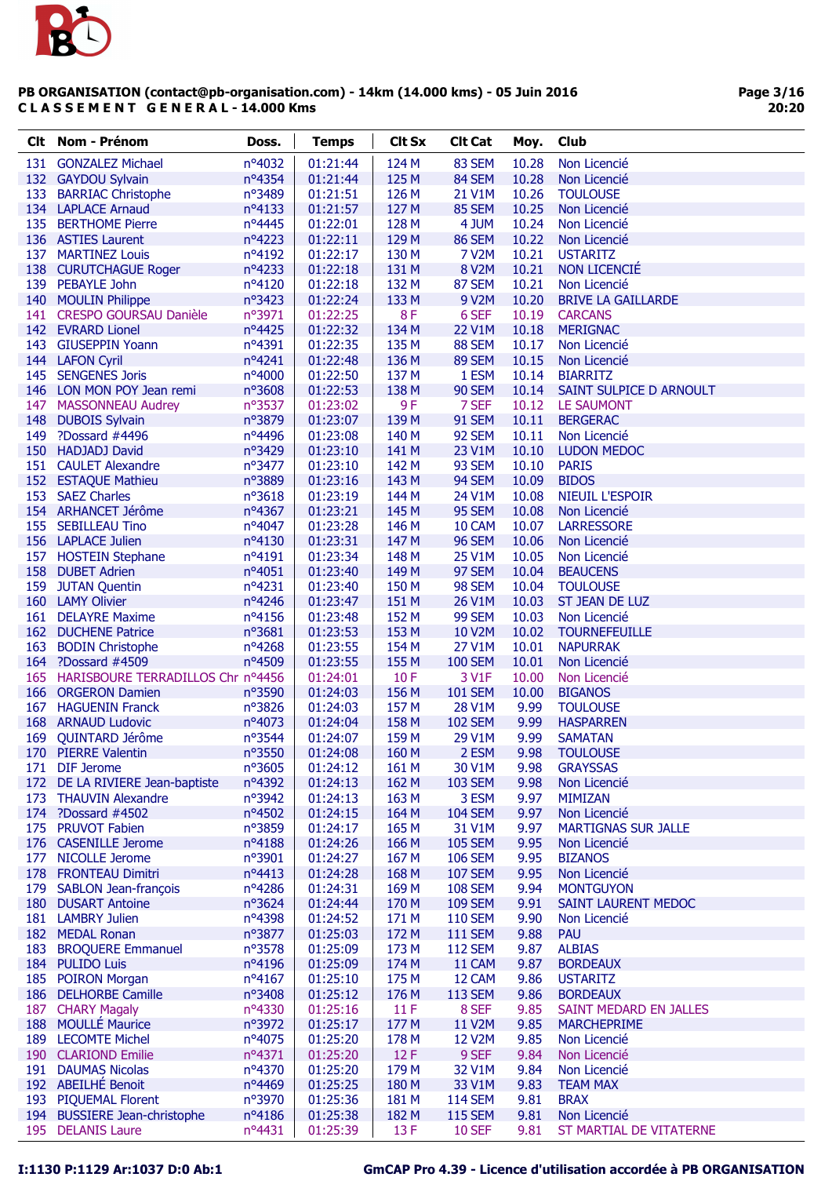

| Clt. | Nom - Prénom                          | Doss.     | <b>Temps</b> | <b>Clt Sx</b> | <b>Clt Cat</b> | Moy.  | Club                       |
|------|---------------------------------------|-----------|--------------|---------------|----------------|-------|----------------------------|
|      | 131 GONZALEZ Michael                  | nº4032    | 01:21:44     | 124 M         | 83 SEM         | 10.28 | Non Licencié               |
|      | 132 GAYDOU Sylvain                    | nº4354    | 01:21:44     | 125 M         | 84 SEM         | 10.28 | Non Licencié               |
| 133  | <b>BARRIAC Christophe</b>             | nº3489    | 01:21:51     | 126 M         | 21 V1M         | 10.26 | <b>TOULOUSE</b>            |
|      | 134 LAPLACE Arnaud                    | nº4133    | 01:21:57     | 127 M         | 85 SEM         | 10.25 | Non Licencié               |
|      | 135 BERTHOME Pierre                   | nº4445    | 01:22:01     | 128 M         | 4 JUM          | 10.24 | Non Licencié               |
|      | 136 ASTIES Laurent                    | nº4223    | 01:22:11     | 129 M         | <b>86 SEM</b>  | 10.22 | Non Licencié               |
|      | 137 MARTINEZ Louis                    | nº4192    | 01:22:17     | 130 M         | <b>7 V2M</b>   | 10.21 | <b>USTARITZ</b>            |
|      | 138 CURUTCHAGUE Roger                 | nº4233    | 01:22:18     | 131 M         | 8 V2M          | 10.21 | <b>NON LICENCIÉ</b>        |
|      | 139 PEBAYLE John                      | nº4120    | 01:22:18     | 132 M         | 87 SEM         | 10.21 | Non Licencié               |
|      | 140 MOULIN Philippe                   | nº3423    | 01:22:24     | 133 M         | 9 V2M          | 10.20 | <b>BRIVE LA GAILLARDE</b>  |
|      | 141 CRESPO GOURSAU Danièle            | n°3971    | 01:22:25     | 8F            | 6 SEF          | 10.19 | <b>CARCANS</b>             |
|      | 142 EVRARD Lionel                     | nº4425    | 01:22:32     | 134 M         | <b>22 V1M</b>  | 10.18 | <b>MERIGNAC</b>            |
| 143  | <b>GIUSEPPIN Yoann</b>                | nº4391    | 01:22:35     | 135 M         | 88 SEM         | 10.17 | Non Licencié               |
|      | 144 LAFON Cyril                       | nº4241    | 01:22:48     | 136 M         | 89 SEM         | 10.15 | Non Licencié               |
| 145  | <b>SENGENES Joris</b>                 | nº4000    | 01:22:50     | 137 M         | 1 ESM          | 10.14 | <b>BIARRITZ</b>            |
|      | 146 LON MON POY Jean remi             | nº3608    | 01:22:53     | 138 M         | <b>90 SEM</b>  | 10.14 | SAINT SULPICE D ARNOULT    |
| 147  | <b>MASSONNEAU Audrey</b>              | nº3537    | 01:23:02     | 9F            | 7 SEF          | 10.12 | <b>LE SAUMONT</b>          |
| 148  | <b>DUBOIS Sylvain</b>                 | n°3879    | 01:23:07     | 139 M         | 91 SEM         | 10.11 | <b>BERGERAC</b>            |
| 149  | ?Dossard #4496                        | nº4496    | 01:23:08     | 140 M         | 92 SEM         | 10.11 | Non Licencié               |
|      | 150 HADJADJ David                     | nº3429    | 01:23:10     | 141 M         | 23 V1M         | 10.10 | <b>LUDON MEDOC</b>         |
|      | 151 CAULET Alexandre                  | n°3477    | 01:23:10     | 142 M         | 93 SEM         | 10.10 | <b>PARIS</b>               |
|      |                                       |           |              |               |                |       |                            |
|      | 152 ESTAQUE Mathieu                   | n°3889    | 01:23:16     | 143 M         | 94 SEM         | 10.09 | <b>BIDOS</b>               |
| 153  | <b>SAEZ Charles</b>                   | nº3618    | 01:23:19     | 144 M         | 24 V1M         | 10.08 | <b>NIEUIL L'ESPOIR</b>     |
|      | 154 ARHANCET Jérôme                   | nº4367    | 01:23:21     | 145 M         | 95 SEM         | 10.08 | Non Licencié               |
| 155  | <b>SEBILLEAU Tino</b>                 | nº4047    | 01:23:28     | 146 M         | 10 CAM         | 10.07 | <b>LARRESSORE</b>          |
|      | 156 LAPLACE Julien                    | nº4130    | 01:23:31     | 147 M         | <b>96 SEM</b>  | 10.06 | Non Licencié               |
|      | 157 HOSTEIN Stephane                  | nº4191    | 01:23:34     | 148 M         | <b>25 V1M</b>  | 10.05 | Non Licencié               |
|      | 158 DUBET Adrien                      | nº4051    | 01:23:40     | 149 M         | 97 SEM         | 10.04 | <b>BEAUCENS</b>            |
| 159  | <b>JUTAN Quentin</b>                  | nº4231    | 01:23:40     | 150 M         | 98 SEM         | 10.04 | <b>TOULOUSE</b>            |
|      | 160 LAMY Olivier                      | nº4246    | 01:23:47     | 151 M         | 26 V1M         | 10.03 | ST JEAN DE LUZ             |
|      | 161 DELAYRE Maxime                    | nº4156    | 01:23:48     | 152 M         | 99 SEM         | 10.03 | Non Licencié               |
|      | 162 DUCHENE Patrice                   | nº3681    | 01:23:53     | 153 M         | 10 V2M         | 10.02 | <b>TOURNEFEUILLE</b>       |
| 163  | <b>BODIN Christophe</b>               | nº4268    | 01:23:55     | 154 M         | 27 V1M         | 10.01 | <b>NAPURRAK</b>            |
|      | 164 ?Dossard #4509                    | nº4509    | 01:23:55     | 155 M         | <b>100 SEM</b> | 10.01 | Non Licencié               |
|      | 165 HARISBOURE TERRADILLOS Chr nº4456 |           | 01:24:01     | 10F           | 3 V1F          | 10.00 | Non Licencié               |
|      | 166 ORGERON Damien                    | nº3590    | 01:24:03     | 156 M         | <b>101 SEM</b> | 10.00 | <b>BIGANOS</b>             |
|      | 167 HAGUENIN Franck                   | nº3826    | 01:24:03     | 157 M         | 28 V1M         | 9.99  | <b>TOULOUSE</b>            |
|      | 168 ARNAUD Ludovic                    | nº4073    | 01:24:04     | 158 M         | <b>102 SEM</b> | 9.99  | <b>HASPARREN</b>           |
| 169  | QUINTARD Jérôme                       | nº3544    | 01:24:07     | 159 M         | 29 V1M         | 9.99  | <b>SAMATAN</b>             |
|      | 170 PIERRE Valentin                   | n°3550    | 01:24:08     | 160 M         | 2 ESM          | 9.98  | <b>TOULOUSE</b>            |
|      | 171 DIF Jerome                        | n°3605    | 01:24:12     | 161 M         | 30 V1M         | 9.98  | <b>GRAYSSAS</b>            |
|      | 172 DE LA RIVIERE Jean-baptiste       | nº4392    | 01:24:13     | 162 M         | <b>103 SEM</b> | 9.98  | Non Licencié               |
| 173  | <b>THAUVIN Alexandre</b>              | nº3942    | 01:24:13     | 163 M         | 3 ESM          | 9.97  | <b>MIMIZAN</b>             |
|      | 174 ?Dossard #4502                    | nº4502    | 01:24:15     | 164 M         | <b>104 SEM</b> | 9.97  | Non Licencié               |
|      | 175 PRUVOT Fabien                     | n°3859    | 01:24:17     | 165 M         | 31 V1M         | 9.97  | <b>MARTIGNAS SUR JALLE</b> |
|      | 176 CASENILLE Jerome                  | nº4188    | 01:24:26     | 166 M         | <b>105 SEM</b> | 9.95  | Non Licencié               |
|      | 177 NICOLLE Jerome                    | nº3901    | 01:24:27     | 167 M         | <b>106 SEM</b> | 9.95  | <b>BIZANOS</b>             |
|      | 178 FRONTEAU Dimitri                  | $n^o4413$ | 01:24:28     | 168 M         | <b>107 SEM</b> | 9.95  | Non Licencié               |
|      | 179 SABLON Jean-françois              | nº4286    | 01:24:31     | 169 M         | <b>108 SEM</b> | 9.94  | <b>MONTGUYON</b>           |
|      | 180 DUSART Antoine                    | nº3624    | 01:24:44     | 170 M         | <b>109 SEM</b> | 9.91  | SAINT LAURENT MEDOC        |
|      | 181 LAMBRY Julien                     | nº4398    | 01:24:52     | 171 M         | <b>110 SEM</b> | 9.90  | Non Licencié               |
|      | 182 MEDAL Ronan                       | n°3877    | 01:25:03     | 172 M         | <b>111 SEM</b> | 9.88  | <b>PAU</b>                 |
| 183  | <b>BROQUERE Emmanuel</b>              | nº3578    | 01:25:09     | 173 M         | <b>112 SEM</b> | 9.87  | <b>ALBIAS</b>              |
|      | 184 PULIDO Luis                       | nº4196    | 01:25:09     | 174 M         | 11 CAM         | 9.87  | <b>BORDEAUX</b>            |
|      | 185 POIRON Morgan                     | nº4167    | 01:25:10     | 175 M         | 12 CAM         | 9.86  | <b>USTARITZ</b>            |
|      | 186 DELHORBE Camille                  | nº3408    | 01:25:12     | 176 M         | <b>113 SEM</b> | 9.86  | <b>BORDEAUX</b>            |
| 187  | <b>CHARY Magaly</b>                   | nº4330    | 01:25:16     | 11 F          | 8 SEF          | 9.85  | SAINT MEDARD EN JALLES     |
|      | 188 MOULLÉ Maurice                    | nº3972    | 01:25:17     | 177 M         | 11 V2M         | 9.85  | <b>MARCHEPRIME</b>         |
|      | 189 LECOMTE Michel                    | nº4075    | 01:25:20     | 178 M         | <b>12 V2M</b>  | 9.85  | Non Licencié               |
|      | 190 CLARIOND Emilie                   | nº4371    | 01:25:20     | 12F           | 9 SEF          | 9.84  | Non Licencié               |
|      | 191 DAUMAS Nicolas                    | nº4370    | 01:25:20     | 179 M         | 32 V1M         | 9.84  | Non Licencié               |
|      | 192 ABEILHÉ Benoit                    | nº4469    | 01:25:25     | 180 M         | 33 V1M         | 9.83  | <b>TEAM MAX</b>            |
|      | 193 PIQUEMAL Florent                  | nº3970    | 01:25:36     | 181 M         | <b>114 SEM</b> | 9.81  | <b>BRAX</b>                |
|      | 194 BUSSIERE Jean-christophe          | nº4186    | 01:25:38     | 182 M         | <b>115 SEM</b> | 9.81  | Non Licencié               |
|      | 195 DELANIS Laure                     | nº4431    | 01:25:39     | 13F           | <b>10 SEF</b>  | 9.81  | ST MARTIAL DE VITATERNE    |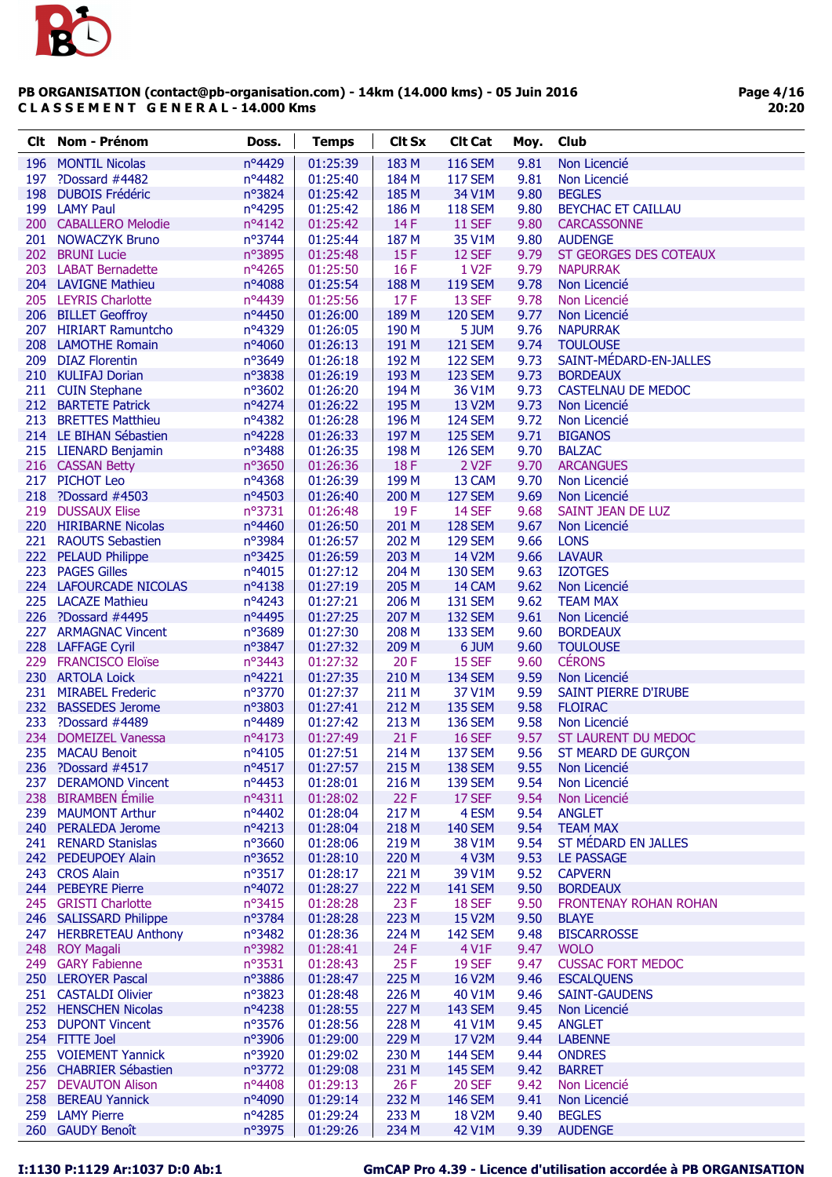

| <b>Clt</b> Nom - Prénom                        | Doss.            | <b>Temps</b>         | <b>Clt Sx</b>  | <b>Clt Cat</b>                   | Moy.         | <b>Club</b>                                  |
|------------------------------------------------|------------------|----------------------|----------------|----------------------------------|--------------|----------------------------------------------|
| 196 MONTIL Nicolas                             | nº4429           | 01:25:39             | 183 M          | <b>116 SEM</b>                   | 9.81         | Non Licencié                                 |
| 197 ?Dossard #4482                             | nº4482           | 01:25:40             | 184 M          | <b>117 SEM</b>                   | 9.81         | Non Licencié                                 |
| 198 DUBOIS Frédéric                            | nº3824           | 01:25:42             | 185 M          | 34 V1M                           | 9.80         | <b>BEGLES</b>                                |
| 199 LAMY Paul                                  | nº4295           | 01:25:42             | 186 M          | <b>118 SEM</b>                   | 9.80         | <b>BEYCHAC ET CAILLAU</b>                    |
| 200 CABALLERO Melodie                          | nº4142           | 01:25:42             | 14F            | <b>11 SEF</b>                    | 9.80         | <b>CARCASSONNE</b>                           |
| 201 NOWACZYK Bruno                             | nº3744           | 01:25:44             | 187 M          | 35 V1M                           | 9.80         | <b>AUDENGE</b>                               |
| 202 BRUNI Lucie                                | nº3895           | 01:25:48             | 15F            | 12 SEF                           | 9.79         | ST GEORGES DES COTEAUX                       |
| 203 LABAT Bernadette                           | nº4265           | 01:25:50             | 16 F           | 1 V <sub>2</sub> F               | 9.79         | <b>NAPURRAK</b>                              |
| 204 LAVIGNE Mathieu                            | nº4088           | 01:25:54             | 188 M          | <b>119 SEM</b>                   | 9.78         | Non Licencié                                 |
| 205 LEYRIS Charlotte                           | nº4439           | 01:25:56             | 17F            | 13 SEF                           | 9.78         | Non Licencié                                 |
| 206 BILLET Geoffroy                            | nº4450           | 01:26:00             | 189 M          | <b>120 SEM</b>                   | 9.77         | Non Licencié                                 |
| 207 HIRIART Ramuntcho<br>208 LAMOTHE Romain    | nº4329           | 01:26:05             | 190 M          | 5 JUM                            | 9.76         | <b>NAPURRAK</b>                              |
| 209 DIAZ Florentin                             | nº4060<br>nº3649 | 01:26:13<br>01:26:18 | 191 M<br>192 M | <b>121 SEM</b><br><b>122 SEM</b> | 9.74<br>9.73 | <b>TOULOUSE</b><br>SAINT-MÉDARD-EN-JALLES    |
| 210 KULIFAJ Dorian                             | nº3838           | 01:26:19             | 193 M          | <b>123 SEM</b>                   | 9.73         | <b>BORDEAUX</b>                              |
| 211 CUIN Stephane                              | nº3602           | 01:26:20             | 194 M          | 36 V1M                           | 9.73         | <b>CASTELNAU DE MEDOC</b>                    |
| 212 BARTETE Patrick                            | nº4274           | 01:26:22             | 195 M          | 13 V2M                           | 9.73         | Non Licencié                                 |
| 213 BRETTES Matthieu                           | nº4382           | 01:26:28             | 196 M          | <b>124 SEM</b>                   | 9.72         | Non Licencié                                 |
| 214 LE BIHAN Sébastien                         | nº4228           | 01:26:33             | 197 M          | <b>125 SEM</b>                   | 9.71         | <b>BIGANOS</b>                               |
| 215 LIENARD Benjamin                           | nº3488           | 01:26:35             | 198 M          | <b>126 SEM</b>                   | 9.70         | <b>BALZAC</b>                                |
| 216 CASSAN Betty                               | nº3650           | 01:26:36             | 18F            | 2 V <sub>2</sub> F               | 9.70         | <b>ARCANGUES</b>                             |
| 217 PICHOT Leo                                 | nº4368           | 01:26:39             | 199 M          | 13 CAM                           | 9.70         | Non Licencié                                 |
| 218 ?Dossard #4503                             | nº4503           | 01:26:40             | 200 M          | <b>127 SEM</b>                   | 9.69         | Non Licencié                                 |
| 219 DUSSAUX Elise                              | nº3731           | 01:26:48             | 19F            | <b>14 SEF</b>                    | 9.68         | SAINT JEAN DE LUZ                            |
| 220 HIRIBARNE Nicolas                          | $n^o$ 4460       | 01:26:50             | 201 M          | <b>128 SEM</b>                   | 9.67         | Non Licencié                                 |
| 221 RAOUTS Sebastien                           | nº3984           | 01:26:57             | 202 M          | <b>129 SEM</b>                   | 9.66         | <b>LONS</b>                                  |
| 222 PELAUD Philippe                            | nº3425           | 01:26:59             | 203 M          | 14 V2M                           | 9.66         | <b>LAVAUR</b>                                |
| 223 PAGES Gilles                               | nº4015           | 01:27:12             | 204 M          | <b>130 SEM</b>                   | 9.63         | <b>IZOTGES</b>                               |
| 224 LAFOURCADE NICOLAS                         | $n^o4138$        | 01:27:19             | 205 M          | 14 CAM                           | 9.62         | Non Licencié                                 |
| 225 LACAZE Mathieu                             | nº4243           | 01:27:21             | 206 M          | <b>131 SEM</b>                   | 9.62         | <b>TEAM MAX</b>                              |
| 226 ?Dossard #4495                             | nº4495           | 01:27:25             | 207 M          | <b>132 SEM</b>                   | 9.61         | Non Licencié                                 |
| 227 ARMAGNAC Vincent                           | nº3689           | 01:27:30             | 208 M          | <b>133 SEM</b>                   | 9.60         | <b>BORDEAUX</b>                              |
| 228 LAFFAGE Cyril<br>229 FRANCISCO Eloïse      | n°3847<br>nº3443 | 01:27:32<br>01:27:32 | 209 M<br>20F   | 6 JUM<br><b>15 SEF</b>           | 9.60<br>9.60 | <b>TOULOUSE</b><br><b>CÉRONS</b>             |
| 230 ARTOLA Loick                               | $n^o4221$        | 01:27:35             | 210 M          | <b>134 SEM</b>                   | 9.59         | Non Licencié                                 |
| 231 MIRABEL Frederic                           | nº3770           | 01:27:37             | 211 M          | 37 V1M                           | 9.59         | SAINT PIERRE D'IRUBE                         |
| 232 BASSEDES Jerome                            | nº3803           | 01:27:41             | 212 M          | <b>135 SEM</b>                   | 9.58         | <b>FLOIRAC</b>                               |
| 233 ?Dossard #4489                             | nº4489           | 01:27:42             | 213 M          | <b>136 SEM</b>                   | 9.58         | Non Licencié                                 |
| 234 DOMEIZEL Vanessa                           | $n^o4173$        | 01:27:49             | 21F            | <b>16 SEF</b>                    | 9.57         | ST LAURENT DU MEDOC                          |
| 235 MACAU Benoit                               | $n^o4105$        | 01:27:51             | 214 M          | <b>137 SEM</b>                   |              | 9.56 ST MEARD DE GURÇON                      |
| 236 ?Dossard #4517                             | $n^o$ 4517       | 01:27:57             | 215 M          | <b>138 SEM</b>                   | 9.55         | Non Licencié                                 |
| 237 DERAMOND Vincent                           | nº4453           | 01:28:01             | 216 M          | <b>139 SEM</b>                   | 9.54         | Non Licencié                                 |
| 238 BIRAMBEN Émilie                            | $n^o4311$        | 01:28:02             | 22F            | 17 SEF                           | 9.54         | Non Licencié                                 |
| 239 MAUMONT Arthur                             | nº4402           | 01:28:04             | 217 M          | 4 ESM                            | 9.54         | <b>ANGLET</b>                                |
| 240 PERALEDA Jerome                            | nº4213           | 01:28:04             | 218 M          | <b>140 SEM</b>                   | 9.54         | <b>TEAM MAX</b>                              |
| 241 RENARD Stanislas                           | nº3660           | 01:28:06             | 219 M          | 38 V1M                           | 9.54         | ST MÉDARD EN JALLES                          |
| 242 PEDEUPOEY Alain                            | nº3652           | 01:28:10             | 220 M          | 4 V3M                            | 9.53         | <b>LE PASSAGE</b>                            |
| 243 CROS Alain                                 | nº3517           | 01:28:17             | 221 M          | 39 V1M                           | 9.52         | <b>CAPVERN</b>                               |
| 244 PEBEYRE Pierre                             | nº4072           | 01:28:27             | 222 M          | <b>141 SEM</b>                   | 9.50         | <b>BORDEAUX</b>                              |
| 245 GRISTI Charlotte<br>246 SALISSARD Philippe | nº3415<br>nº3784 | 01:28:28<br>01:28:28 | 23F<br>223 M   | <b>18 SEF</b><br>15 V2M          | 9.50<br>9.50 | <b>FRONTENAY ROHAN ROHAN</b><br><b>BLAYE</b> |
| 247 HERBRETEAU Anthony                         | nº3482           | 01:28:36             | 224 M          | <b>142 SEM</b>                   | 9.48         | <b>BISCARROSSE</b>                           |
| 248 ROY Magali                                 | nº3982           | 01:28:41             | 24 F           | 4 V1F                            | 9.47         | <b>WOLO</b>                                  |
| 249 GARY Fabienne                              | nº3531           | 01:28:43             | 25F            | <b>19 SEF</b>                    | 9.47         | <b>CUSSAC FORT MEDOC</b>                     |
| 250 LEROYER Pascal                             | nº3886           | 01:28:47             | 225 M          | 16 V2M                           | 9.46         | <b>ESCALQUENS</b>                            |
| 251 CASTALDI Olivier                           | nº3823           | 01:28:48             | 226 M          | 40 V1M                           | 9.46         | <b>SAINT-GAUDENS</b>                         |
| 252 HENSCHEN Nicolas                           | nº4238           | 01:28:55             | 227 M          | <b>143 SEM</b>                   | 9.45         | Non Licencié                                 |
| 253 DUPONT Vincent                             | nº3576           | 01:28:56             | 228 M          | 41 V1M                           | 9.45         | <b>ANGLET</b>                                |
| 254 FITTE Joel                                 | n°3906           | 01:29:00             | 229 M          | 17 V2M                           | 9.44         | <b>LABENNE</b>                               |
| 255 VOIEMENT Yannick                           | nº3920           | 01:29:02             | 230 M          | <b>144 SEM</b>                   | 9.44         | <b>ONDRES</b>                                |
| 256 CHABRIER Sébastien                         | nº3772           | 01:29:08             | 231 M          | <b>145 SEM</b>                   | 9.42         | <b>BARRET</b>                                |
| 257 DEVAUTON Alison                            | nº4408           | 01:29:13             | 26 F           | <b>20 SEF</b>                    | 9.42         | Non Licencié                                 |
| 258 BEREAU Yannick                             | nº4090           | 01:29:14             | 232 M          | <b>146 SEM</b>                   | 9.41         | Non Licencié                                 |
| 259 LAMY Pierre                                | nº4285           | 01:29:24             | 233 M          | 18 V2M                           | 9.40         | <b>BEGLES</b>                                |
| 260 GAUDY Benoît                               | n°3975           | 01:29:26             | 234 M          | 42 V1M                           | 9.39         | <b>AUDENGE</b>                               |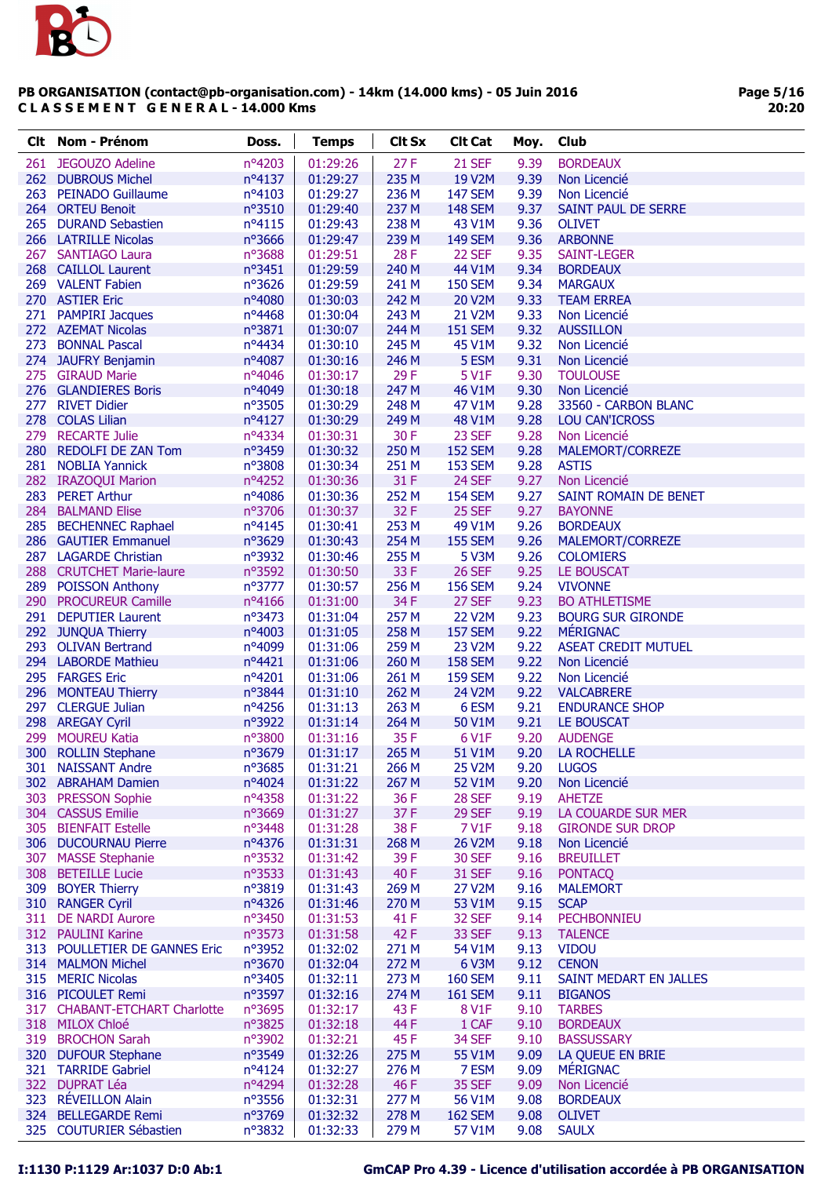

| Clt. | Nom - Prénom                            | Doss.           | <b>Temps</b>         | <b>Clt Sx</b> | <b>Clt Cat</b> | Moy. | Club                                          |
|------|-----------------------------------------|-----------------|----------------------|---------------|----------------|------|-----------------------------------------------|
| 261  | <b>JEGOUZO Adeline</b>                  | nº4203          | 01:29:26             | 27F           | <b>21 SEF</b>  | 9.39 | <b>BORDEAUX</b>                               |
|      | 262 DUBROUS Michel                      | $n^o4137$       | 01:29:27             | 235 M         | 19 V2M         | 9.39 | Non Licencié                                  |
|      | 263 PEINADO Guillaume                   | $n^o4103$       | 01:29:27             | 236 M         | <b>147 SEM</b> | 9.39 | Non Licencié                                  |
|      | 264 ORTEU Benoit                        | nº3510          | 01:29:40             | 237 M         | <b>148 SEM</b> | 9.37 | SAINT PAUL DE SERRE                           |
|      | 265 DURAND Sebastien                    | $n^o4115$       | 01:29:43             | 238 M         | 43 V1M         | 9.36 | <b>OLIVET</b>                                 |
|      | 266 LATRILLE Nicolas                    | nº3666          | 01:29:47             | 239 M         | <b>149 SEM</b> | 9.36 | <b>ARBONNE</b>                                |
|      | 267 SANTIAGO Laura                      | $n^{\circ}3688$ | 01:29:51             | 28 F          | 22 SEF         | 9.35 | SAINT-LEGER                                   |
|      | 268 CAILLOL Laurent                     | $n^{\circ}3451$ | 01:29:59             | 240 M         | 44 V1M         | 9.34 | <b>BORDEAUX</b>                               |
|      | 269 VALENT Fabien                       | $n^{\circ}3626$ | 01:29:59             | 241 M         | <b>150 SEM</b> | 9.34 | <b>MARGAUX</b>                                |
|      | 270 ASTIER Eric                         | nº4080          | 01:30:03             | 242 M         | <b>20 V2M</b>  | 9.33 | <b>TEAM ERREA</b>                             |
|      | 271 PAMPIRI Jacques                     | nº4468          | 01:30:04             | 243 M         | 21 V2M         | 9.33 | Non Licencié                                  |
|      | 272 AZEMAT Nicolas                      | nº3871          | 01:30:07             | 244 M         | <b>151 SEM</b> | 9.32 | <b>AUSSILLON</b>                              |
| 273  | <b>BONNAL Pascal</b>                    | nº4434          | 01:30:10             | 245 M         | 45 V1M         | 9.32 | Non Licencié                                  |
|      | 274 JAUFRY Benjamin                     | nº4087          | 01:30:16             | 246 M         | 5 ESM          | 9.31 | Non Licencié                                  |
|      | 275 GIRAUD Marie                        | nº4046          | 01:30:17             | 29F           | 5 V1F          | 9.30 | <b>TOULOUSE</b>                               |
|      | 276 GLANDIERES Boris                    | nº4049          | 01:30:18             | 247 M         | 46 V1M         | 9.30 | Non Licencié                                  |
|      | 277 RIVET Didier                        | nº3505          | 01:30:29             | 248 M         | 47 V1M         | 9.28 | 33560 - CARBON BLANC                          |
|      | 278 COLAS Lilian                        | nº4127          | 01:30:29             | 249 M         | 48 V1M         | 9.28 | <b>LOU CAN'ICROSS</b>                         |
|      | 279 RECARTE Julie                       | nº4334          | 01:30:31             | 30 F          | 23 SEF         | 9.28 | Non Licencié                                  |
|      | 280 REDOLFI DE ZAN Tom                  | nº3459          | 01:30:32             | 250 M         | <b>152 SEM</b> | 9.28 | MALEMORT/CORREZE                              |
|      | 281 NOBLIA Yannick                      | nº3808          | 01:30:34             | 251 M         | <b>153 SEM</b> | 9.28 | <b>ASTIS</b>                                  |
|      | 282 IRAZOQUI Marion                     | nº4252          | 01:30:36             | 31 F          | 24 SEF         | 9.27 | Non Licencié                                  |
|      | 283 PERET Arthur                        | nº4086          | 01:30:36             | 252 M         | <b>154 SEM</b> | 9.27 | SAINT ROMAIN DE BENET                         |
|      | 284 BALMAND Elise                       | nº3706          | 01:30:37             | 32F           | 25 SEF         | 9.27 | <b>BAYONNE</b>                                |
|      | 285 BECHENNEC Raphael                   | nº4145          | 01:30:41             | 253 M         | 49 V1M         | 9.26 | <b>BORDEAUX</b>                               |
|      | 286 GAUTIER Emmanuel                    | nº3629          | 01:30:43             | 254 M         | <b>155 SEM</b> | 9.26 | MALEMORT/CORREZE                              |
|      | 287 LAGARDE Christian                   | nº3932          | 01:30:46             | 255 M         | 5 V3M          | 9.26 | <b>COLOMIERS</b>                              |
|      | 288 CRUTCHET Marie-laure                | nº3592          | 01:30:50             | 33 F          | <b>26 SEF</b>  | 9.25 | <b>LE BOUSCAT</b>                             |
|      | 289 POISSON Anthony                     | $n^o$ 3777      | 01:30:57             | 256 M         | <b>156 SEM</b> | 9.24 | <b>VIVONNE</b>                                |
|      | 290 PROCUREUR Camille                   | nº4166          | 01:31:00             | 34 F          | 27 SEF         | 9.23 | <b>BO ATHLETISME</b>                          |
|      | 291 DEPUTIER Laurent                    | nº3473          | 01:31:04             | 257 M         | <b>22 V2M</b>  | 9.23 | <b>BOURG SUR GIRONDE</b>                      |
|      | 292 JUNQUA Thierry                      | $n^o4003$       | 01:31:05             | 258 M         | <b>157 SEM</b> | 9.22 | <b>MÉRIGNAC</b>                               |
|      | 293 OLIVAN Bertrand                     | nº4099          | 01:31:06             | 259 M         | 23 V2M         | 9.22 | <b>ASEAT CREDIT MUTUEL</b>                    |
|      | 294 LABORDE Mathieu                     | nº4421          | 01:31:06             | 260 M         | <b>158 SEM</b> | 9.22 |                                               |
|      | 295 FARGES Eric                         | nº4201          | 01:31:06             | 261 M         | <b>159 SEM</b> | 9.22 | Non Licencié<br>Non Licencié                  |
|      | 296 MONTEAU Thierry                     | nº3844          | 01:31:10             | 262 M         | 24 V2M         | 9.22 | <b>VALCABRERE</b>                             |
|      | 297 CLERGUE Julian                      | nº4256          | 01:31:13             | 263 M         | 6 ESM          | 9.21 | <b>ENDURANCE SHOP</b>                         |
|      |                                         | nº3922          | 01:31:14             | 264 M         | 50 V1M         | 9.21 | LE BOUSCAT                                    |
| 299  | 298 AREGAY Cyril<br><b>MOUREU Katia</b> | nº3800          | 01:31:16             | 35F           | 6 V1F          | 9.20 | <b>AUDENGE</b>                                |
|      | 300 ROLLIN Stephane                     | n°3679          | 01:31:17             | 265 M         | 51 V1M         | 9.20 | <b>LA ROCHELLE</b>                            |
|      | 301 NAISSANT Andre                      | nº3685          | 01:31:21             | 266 M         | <b>25 V2M</b>  | 9.20 | <b>LUGOS</b>                                  |
|      | 302 ABRAHAM Damien                      | nº4024          | 01:31:22             | 267 M         | 52 V1M         | 9.20 | Non Licencié                                  |
|      | 303 PRESSON Sophie                      | nº4358          | 01:31:22             | 36 F          | 28 SEF         | 9.19 | <b>AHETZE</b>                                 |
|      | 304 CASSUS Emilie                       | n°3669          |                      | 37F           | 29 SEF         | 9.19 |                                               |
|      | 305 BIENFAIT Estelle                    | nº3448          | 01:31:27<br>01:31:28 | 38F           | 7 V1F          | 9.18 | LA COUARDE SUR MER<br><b>GIRONDE SUR DROP</b> |
|      | 306 DUCOURNAU Pierre                    | nº4376          | 01:31:31             | 268 M         | 26 V2M         | 9.18 | Non Licencié                                  |
|      | 307 MASSE Stephanie                     | nº3532          | 01:31:42             | 39F           | <b>30 SEF</b>  | 9.16 | <b>BREUILLET</b>                              |
|      | 308 BETEILLE Lucie                      | nº3533          | 01:31:43             | 40 F          | <b>31 SEF</b>  | 9.16 | <b>PONTACQ</b>                                |
|      | 309 BOYER Thierry                       | n°3819          | 01:31:43             | 269 M         | 27 V2M         | 9.16 | <b>MALEMORT</b>                               |
|      | 310 RANGER Cyril                        | nº4326          | 01:31:46             | 270 M         | 53 V1M         | 9.15 | <b>SCAP</b>                                   |
|      | 311 DE NARDI Aurore                     | nº3450          | 01:31:53             | 41 F          | 32 SEF         | 9.14 | PECHBONNIEU                                   |
|      | 312 PAULINI Karine                      | nº3573          | 01:31:58             | 42 F          | 33 SEF         | 9.13 | <b>TALENCE</b>                                |
|      |                                         |                 |                      |               |                |      |                                               |
|      | 313 POULLETIER DE GANNES Eric           | nº3952          | 01:32:02             | 271 M         | 54 V1M         | 9.13 | <b>VIDOU</b>                                  |
|      | 314 MALMON Michel                       | nº3670          | 01:32:04             | 272 M         | 6 V3M          | 9.12 | <b>CENON</b>                                  |
|      | 315 MERIC Nicolas                       | nº3405          | 01:32:11             | 273 M         | <b>160 SEM</b> | 9.11 | SAINT MEDART EN JALLES                        |
|      | 316 PICOULET Remi                       | nº3597          | 01:32:16             | 274 M         | <b>161 SEM</b> | 9.11 | <b>BIGANOS</b>                                |
|      | 317 CHABANT-ETCHART Charlotte           | $n^{\circ}3695$ | 01:32:17             | 43 F          | 8 V1F          | 9.10 | <b>TARBES</b>                                 |
|      | 318 MILOX Chloé                         | nº3825          | 01:32:18             | 44 F          | 1 CAF          | 9.10 | <b>BORDEAUX</b>                               |
|      | 319 BROCHON Sarah                       | nº3902          | 01:32:21             | 45F           | 34 SEF         | 9.10 | <b>BASSUSSARY</b>                             |
|      | 320 DUFOUR Stephane                     | nº3549          | 01:32:26             | 275 M         | 55 V1M         | 9.09 | LA QUEUE EN BRIE                              |
|      | 321 TARRIDE Gabriel                     | nº4124          | 01:32:27             | 276 M         | 7 ESM          | 9.09 | <b>MÉRIGNAC</b>                               |
|      | 322 DUPRAT Léa                          | nº4294          | 01:32:28             | 46 F          | <b>35 SEF</b>  | 9.09 | Non Licencié                                  |
|      | 323 RÉVEILLON Alain                     | nº3556          | 01:32:31             | 277 M         | 56 V1M         | 9.08 | <b>BORDEAUX</b>                               |
|      | 324 BELLEGARDE Remi                     | nº3769          | 01:32:32             | 278 M         | <b>162 SEM</b> | 9.08 | <b>OLIVET</b>                                 |
|      | 325 COUTURIER Sébastien                 | nº3832          | 01:32:33             | 279 M         | 57 V1M         | 9.08 | <b>SAULX</b>                                  |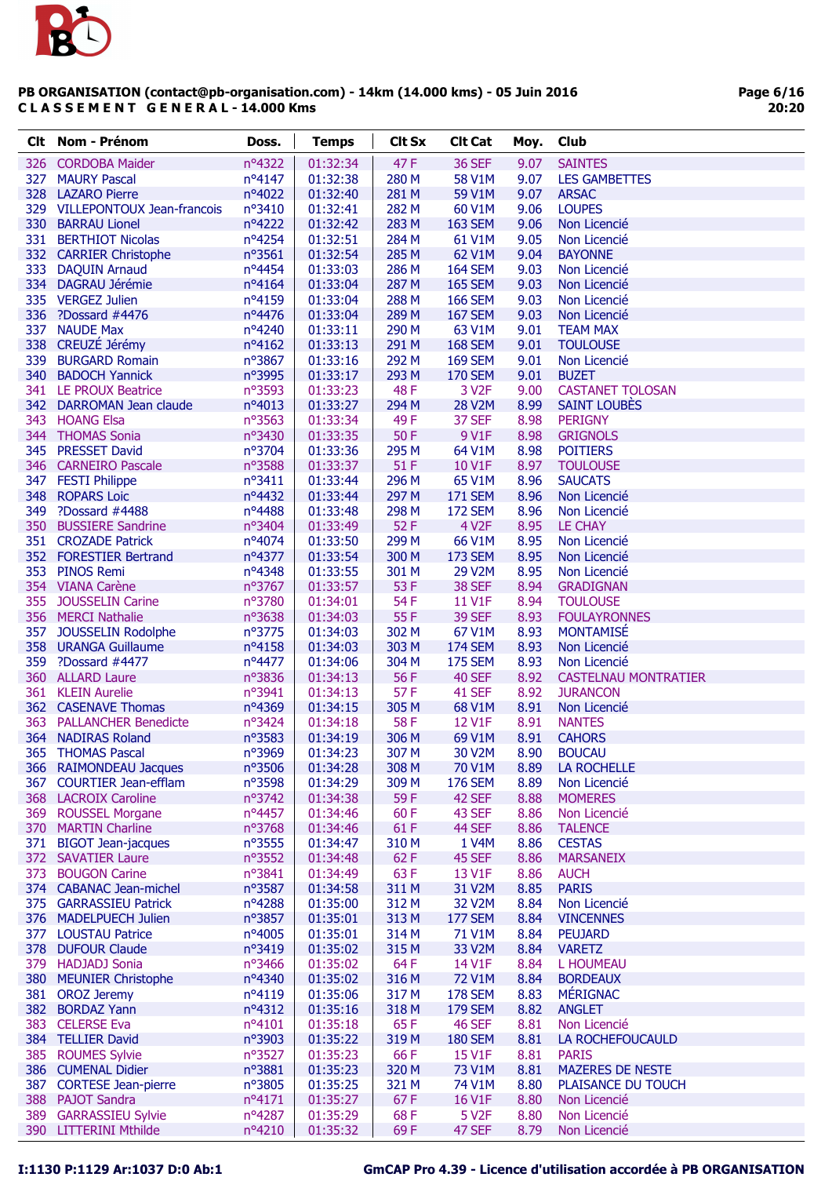

| <b>Clt</b> | <b>Nom - Prénom</b>            | Doss.           | <b>Temps</b> | <b>Clt Sx</b> | <b>Clt Cat</b>     | Moy. | Club                        |
|------------|--------------------------------|-----------------|--------------|---------------|--------------------|------|-----------------------------|
| 326        | <b>CORDOBA Maider</b>          | nº4322          | 01:32:34     | 47F           | <b>36 SEF</b>      | 9.07 | <b>SAINTES</b>              |
| 327        | <b>MAURY Pascal</b>            | $n^o4147$       | 01:32:38     | 280 M         | 58 V1M             | 9.07 | <b>LES GAMBETTES</b>        |
| 328        | <b>LAZARO Pierre</b>           | nº4022          | 01:32:40     | 281 M         | 59 V1M             | 9.07 | <b>ARSAC</b>                |
|            | 329 VILLEPONTOUX Jean-francois | nº3410          | 01:32:41     | 282 M         | 60 V1M             | 9.06 | <b>LOUPES</b>               |
| 330        | <b>BARRAU Lionel</b>           | nº4222          | 01:32:42     | 283 M         | <b>163 SEM</b>     | 9.06 | Non Licencié                |
| 331        | <b>BERTHIOT Nicolas</b>        | nº4254          | 01:32:51     | 284 M         | 61 V1M             | 9.05 | Non Licencié                |
|            | 332 CARRIER Christophe         | nº3561          | 01:32:54     | 285 M         | 62 V1M             | 9.04 | <b>BAYONNE</b>              |
| 333        | <b>DAQUIN Arnaud</b>           | nº4454          | 01:33:03     | 286 M         | <b>164 SEM</b>     | 9.03 | Non Licencié                |
| 334        | <b>DAGRAU Jérémie</b>          | nº4164          | 01:33:04     | 287 M         | <b>165 SEM</b>     | 9.03 | Non Licencié                |
| 335        | <b>VERGEZ Julien</b>           | nº4159          | 01:33:04     | 288 M         | <b>166 SEM</b>     | 9.03 | Non Licencié                |
| 336        | ?Dossard #4476                 | nº4476          | 01:33:04     | 289 M         | <b>167 SEM</b>     | 9.03 | Non Licencié                |
| 337        | <b>NAUDE Max</b>               | nº4240          | 01:33:11     | 290 M         | 63 V1M             | 9.01 | <b>TEAM MAX</b>             |
| 338        | CREUZÉ Jérémy                  | nº4162          | 01:33:13     | 291 M         | <b>168 SEM</b>     | 9.01 | <b>TOULOUSE</b>             |
| 339        | <b>BURGARD Romain</b>          | nº3867          | 01:33:16     | 292 M         | <b>169 SEM</b>     | 9.01 | Non Licencié                |
| 340        | <b>BADOCH Yannick</b>          | n°3995          | 01:33:17     | 293 M         | <b>170 SEM</b>     | 9.01 | <b>BUZET</b>                |
|            | 341 LE PROUX Beatrice          | nº3593          | 01:33:23     | 48F           | 3 V <sub>2F</sub>  | 9.00 | <b>CASTANET TOLOSAN</b>     |
|            | 342 DARROMAN Jean claude       | nº4013          | 01:33:27     | 294 M         | <b>28 V2M</b>      | 8.99 | <b>SAINT LOUBÈS</b>         |
| 343        | <b>HOANG Elsa</b>              | nº3563          | 01:33:34     | 49F           | 37 SEF             | 8.98 | <b>PERIGNY</b>              |
|            | 344 THOMAS Sonia               | nº3430          | 01:33:35     | 50F           | 9 V1F              | 8.98 | <b>GRIGNOLS</b>             |
| 345        | <b>PRESSET David</b>           | nº3704          | 01:33:36     | 295 M         | 64 V1M             | 8.98 | <b>POITIERS</b>             |
|            | 346 CARNEIRO Pascale           | nº3588          | 01:33:37     | 51 F          | 10 V1F             | 8.97 | <b>TOULOUSE</b>             |
| 347        | <b>FESTI Philippe</b>          | $n^{\circ}3411$ | 01:33:44     | 296 M         | 65 V1M             | 8.96 | <b>SAUCATS</b>              |
| 348        | <b>ROPARS Loic</b>             | nº4432          | 01:33:44     | 297 M         | <b>171 SEM</b>     | 8.96 | Non Licencié                |
| 349        | ?Dossard #4488                 | nº4488          | 01:33:48     | 298 M         | <b>172 SEM</b>     | 8.96 | Non Licencié                |
| 350        | <b>BUSSIERE Sandrine</b>       | nº3404          | 01:33:49     | 52F           | 4 V <sub>2</sub> F | 8.95 | LE CHAY                     |
|            | 351 CROZADE Patrick            | nº4074          | 01:33:50     | 299 M         | 66 V1M             | 8.95 | Non Licencié                |
|            | 352 FORESTIER Bertrand         | nº4377          | 01:33:54     | 300 M         | <b>173 SEM</b>     | 8.95 | Non Licencié                |
| 353        | <b>PINOS Remi</b>              | nº4348          | 01:33:55     | 301 M         | 29 V2M             | 8.95 | Non Licencié                |
|            | 354 VIANA Carène               | nº3767          | 01:33:57     | 53 F          | 38 SEF             | 8.94 | <b>GRADIGNAN</b>            |
| 355        | <b>JOUSSELIN Carine</b>        | nº3780          | 01:34:01     | 54 F          | <b>11 V1F</b>      | 8.94 | <b>TOULOUSE</b>             |
|            | 356 MERCI Nathalie             | nº3638          | 01:34:03     | 55F           | <b>39 SEF</b>      | 8.93 | <b>FOULAYRONNES</b>         |
| 357        | JOUSSELIN Rodolphe             | nº3775          | 01:34:03     | 302 M         | 67 V1M             | 8.93 | <b>MONTAMISE</b>            |
| 358        | <b>URANGA Guillaume</b>        | nº4158          | 01:34:03     | 303 M         | <b>174 SEM</b>     | 8.93 | Non Licencié                |
| 359        | ?Dossard #4477                 | nº4477          | 01:34:06     | 304 M         | <b>175 SEM</b>     | 8.93 | Non Licencié                |
|            | 360 ALLARD Laure               | nº3836          | 01:34:13     | 56 F          | <b>40 SEF</b>      | 8.92 | <b>CASTELNAU MONTRATIER</b> |
| 361        | <b>KLEIN Aurelie</b>           | n°3941          | 01:34:13     | 57F           | 41 SEF             | 8.92 | <b>JURANCON</b>             |
|            | 362 CASENAVE Thomas            | nº4369          | 01:34:15     | 305 M         | 68 V1M             | 8.91 | Non Licencié                |
| 363        | <b>PALLANCHER Benedicte</b>    | nº3424          | 01:34:18     | 58F           | 12 V1F             | 8.91 | <b>NANTES</b>               |
| 364        | <b>NADIRAS Roland</b>          | n°3583          | 01:34:19     | 306 M         | 69 V1M             | 8.91 | <b>CAHORS</b>               |
| 365        | <b>THOMAS Pascal</b>           | n°3969          | 01:34:23     | 307 M         | 30 V2M             | 8.90 | <b>BOUCAU</b>               |
|            | 366 RAIMONDEAU Jacques         | nº3506          | 01:34:28     | 308 M         | 70 V1M             | 8.89 | <b>LA ROCHELLE</b>          |
|            | 367 COURTIER Jean-efflam       | n°3598          | 01:34:29     | 309 M         | <b>176 SEM</b>     | 8.89 | Non Licencié                |
|            | 368 LACROIX Caroline           | nº3742          | 01:34:38     | 59F           | 42 SEF             | 8.88 | <b>MOMERES</b>              |
| 369        | <b>ROUSSEL Morgane</b>         | nº4457          | 01:34:46     | 60F           | 43 SEF             | 8.86 | Non Licencié                |
|            | 370 MARTIN Charline            | nº3768          | 01:34:46     | 61F           | 44 SEF             | 8.86 | <b>TALENCE</b>              |
| 371        | <b>BIGOT Jean-jacques</b>      | nº3555          | 01:34:47     | 310 M         | 1 V <sub>4</sub> M | 8.86 | <b>CESTAS</b>               |
|            | 372 SAVATIER Laure             | nº3552          | 01:34:48     | 62 F          | 45 SEF             | 8.86 | <b>MARSANEIX</b>            |
| 373        | <b>BOUGON Carine</b>           | nº3841          | 01:34:49     | 63 F          | 13 V1F             | 8.86 | <b>AUCH</b>                 |
|            | 374 CABANAC Jean-michel        | nº3587          | 01:34:58     | 311 M         | 31 V2M             | 8.85 | <b>PARIS</b>                |
|            | 375 GARRASSIEU Patrick         | nº4288          | 01:35:00     | 312 M         | 32 V2M             | 8.84 | Non Licencié                |
|            | 376 MADELPUECH Julien          | nº3857          | 01:35:01     | 313 M         | <b>177 SEM</b>     | 8.84 | <b>VINCENNES</b>            |
|            | 377 LOUSTAU Patrice            | $n^o4005$       | 01:35:01     | 314 M         | 71 V1M             | 8.84 | <b>PEUJARD</b>              |
|            | 378 DUFOUR Claude              | nº3419          | 01:35:02     | 315 M         | 33 V2M             | 8.84 | <b>VARETZ</b>               |
|            | 379 HADJADJ Sonia              | $n^{\circ}3466$ | 01:35:02     | 64F           | 14 V1F             | 8.84 | L HOUMEAU                   |
|            | 380 MEUNIER Christophe         | nº4340          | 01:35:02     | 316 M         | <b>72 V1M</b>      | 8.84 | <b>BORDEAUX</b>             |
|            | 381 OROZ Jeremy                | $n^o4119$       | 01:35:06     | 317 M         | <b>178 SEM</b>     | 8.83 | <b>MÉRIGNAC</b>             |
|            | 382 BORDAZ Yann                | $n^o4312$       | 01:35:16     | 318 M         | <b>179 SEM</b>     | 8.82 | <b>ANGLET</b>               |
| 383        | <b>CELERSE Eva</b>             | nº4101          | 01:35:18     | 65F           | 46 SEF             | 8.81 | Non Licencié                |
|            | 384 TELLIER David              | n°3903          | 01:35:22     | 319 M         | <b>180 SEM</b>     | 8.81 | LA ROCHEFOUCAULD            |
| 385        | <b>ROUMES Sylvie</b>           | nº3527          | 01:35:23     | 66 F          | 15 V1F             | 8.81 | <b>PARIS</b>                |
|            | 386 CUMENAL Didier             | nº3881          | 01:35:23     | 320 M         | 73 V1M             | 8.81 | <b>MAZERES DE NESTE</b>     |
|            | 387 CORTESE Jean-pierre        | nº3805          | 01:35:25     | 321 M         | 74 V1M             | 8.80 | PLAISANCE DU TOUCH          |
|            | 388 PAJOT Sandra               | $n^o4171$       | 01:35:27     | 67F           | 16 V1F             | 8.80 | Non Licencié                |
| 389        | <b>GARRASSIEU Sylvie</b>       | nº4287          | 01:35:29     | 68F           | 5 V <sub>2</sub> F | 8.80 | Non Licencié                |
|            | 390 LITTERINI Mthilde          | nº4210          | 01:35:32     | 69F           | 47 SEF             | 8.79 | Non Licencié                |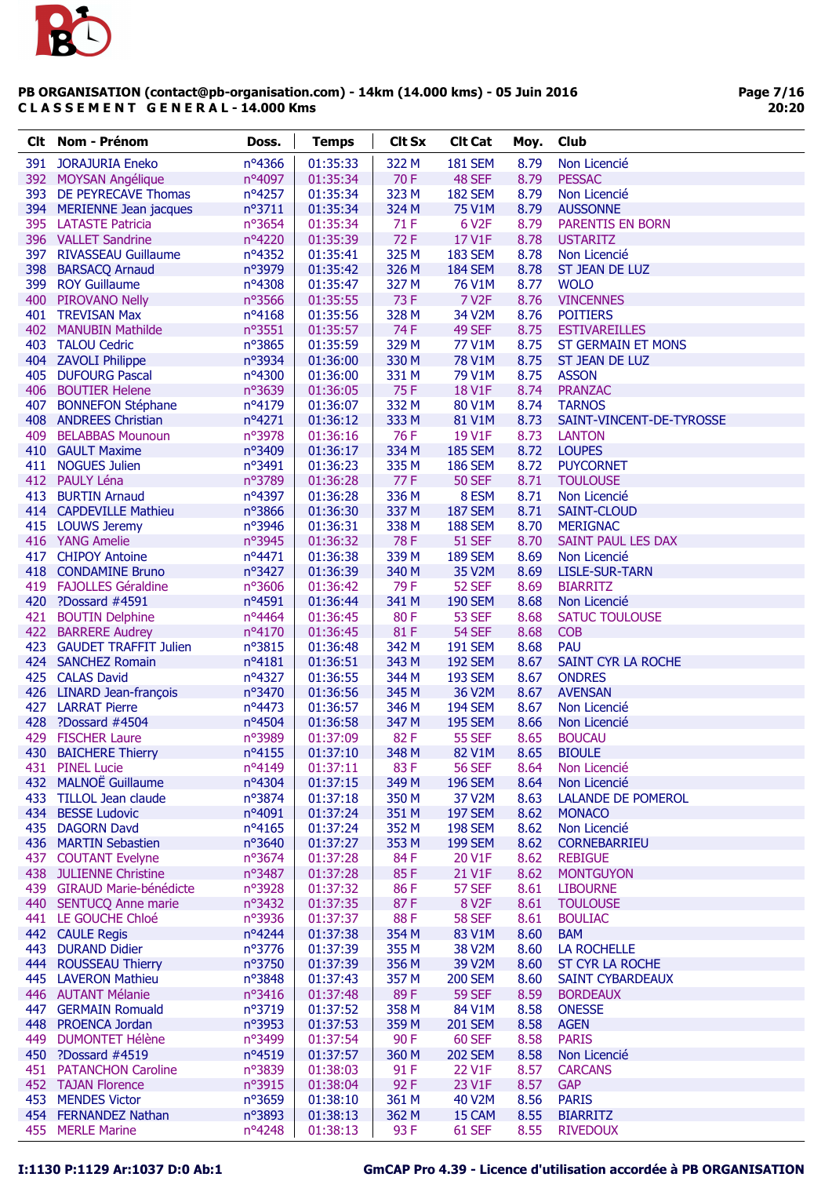

| Clt | Nom - Prénom                                  | Doss.            | <b>Temps</b>         | <b>Clt Sx</b> | <b>Clt Cat</b>           | Moy.         | Club                                     |
|-----|-----------------------------------------------|------------------|----------------------|---------------|--------------------------|--------------|------------------------------------------|
| 391 | <b>JORAJURIA Eneko</b>                        | nº4366           | 01:35:33             | 322 M         | <b>181 SEM</b>           | 8.79         | Non Licencié                             |
|     | 392 MOYSAN Angélique                          | nº4097           | 01:35:34             | 70F           | 48 SEF                   | 8.79         | <b>PESSAC</b>                            |
|     | 393 DE PEYRECAVE Thomas                       | nº4257           | 01:35:34             | 323 M         | <b>182 SEM</b>           | 8.79         | Non Licencié                             |
|     | 394 MERIENNE Jean jacques                     | n°3711           | 01:35:34             | 324 M         | 75 V1M                   | 8.79         | <b>AUSSONNE</b>                          |
|     | 395 LATASTE Patricia                          | nº3654           | 01:35:34             | 71 F          | 6 V <sub>2</sub> F       | 8.79         | <b>PARENTIS EN BORN</b>                  |
|     | 396 VALLET Sandrine                           | nº4220           | 01:35:39             | 72F           | 17 V1F                   | 8.78         | <b>USTARITZ</b>                          |
|     | 397 RIVASSEAU Guillaume                       | nº4352           | 01:35:41             | 325 M         | <b>183 SEM</b>           | 8.78         | Non Licencié                             |
|     | 398 BARSACQ Arnaud                            | n°3979           | 01:35:42             | 326 M         | <b>184 SEM</b>           | 8.78         | ST JEAN DE LUZ                           |
|     | 399 ROY Guillaume                             | nº4308           | 01:35:47             | 327 M         | 76 V1M                   | 8.77         | <b>WOLO</b>                              |
|     | 400 PIROVANO Nelly                            | nº3566           | 01:35:55             | 73F           | <b>7 V2F</b>             | 8.76         | <b>VINCENNES</b>                         |
|     | 401 TREVISAN Max                              | nº4168           | 01:35:56             | 328 M         | 34 V2M                   | 8.76         | <b>POITIERS</b>                          |
|     | 402 MANUBIN Mathilde                          | nº3551           | 01:35:57             | 74 F          | 49 SEF                   | 8.75         | <b>ESTIVAREILLES</b>                     |
|     | 403 TALOU Cedric                              | n°3865           | 01:35:59             | 329 M         | 77 V1M                   | 8.75         | <b>ST GERMAIN ET MONS</b>                |
|     | 404 ZAVOLI Philippe                           | nº3934           | 01:36:00             | 330 M         | 78 V1M                   | 8.75         | ST JEAN DE LUZ                           |
|     | 405 DUFOURG Pascal                            | nº4300           | 01:36:00             | 331 M         | 79 V1M                   | 8.75         | <b>ASSON</b>                             |
|     | 406 BOUTIER Helene                            | nº3639           | 01:36:05             | 75F           | 18 V1F                   | 8.74         | <b>PRANZAC</b>                           |
|     | 407 BONNEFON Stéphane                         | nº4179           | 01:36:07             | 332 M         | 80 V1M                   | 8.74         | <b>TARNOS</b>                            |
|     | 408 ANDREES Christian                         | nº4271           | 01:36:12             | 333 M         | 81 V1M                   | 8.73         | SAINT-VINCENT-DE-TYROSSE                 |
|     | 409 BELABBAS Mounoun                          | nº3978           | 01:36:16             | 76 F          | 19 V1F                   | 8.73         | <b>LANTON</b>                            |
|     | 410 GAULT Maxime                              | nº3409           | 01:36:17             | 334 M         | <b>185 SEM</b>           | 8.72         | <b>LOUPES</b>                            |
|     | 411 NOGUES Julien                             | nº3491           | 01:36:23             | 335 M         | <b>186 SEM</b>           | 8.72         | <b>PUYCORNET</b>                         |
|     | 412 PAULY Léna                                | nº3789           | 01:36:28             | 77 F          | <b>50 SEF</b>            | 8.71         | <b>TOULOUSE</b>                          |
| 413 | <b>BURTIN Arnaud</b>                          | nº4397           | 01:36:28             | 336 M         | 8 ESM                    | 8.71         | Non Licencié                             |
|     | 414 CAPDEVILLE Mathieu                        | nº3866           | 01:36:30             | 337 M         | <b>187 SEM</b>           | 8.71         | SAINT-CLOUD                              |
|     | 415 LOUWS Jeremy                              | nº3946           | 01:36:31             | 338 M         | <b>188 SEM</b>           | 8.70         | <b>MERIGNAC</b>                          |
|     | 416 YANG Amelie                               | nº3945           | 01:36:32             | 78 F          | <b>51 SEF</b>            | 8.70         | SAINT PAUL LES DAX                       |
|     | 417 CHIPOY Antoine                            | nº4471           | 01:36:38             | 339 M         | <b>189 SEM</b>           | 8.69         | Non Licencié                             |
|     | 418 CONDAMINE Bruno<br>419 FAJOLLES Géraldine | nº3427<br>nº3606 | 01:36:39<br>01:36:42 | 340 M<br>79F  | 35 V2M                   | 8.69<br>8.69 | <b>LISLE-SUR-TARN</b><br><b>BIARRITZ</b> |
|     | 420 ?Dossard #4591                            | nº4591           | 01:36:44             | 341 M         | 52 SEF<br><b>190 SEM</b> | 8.68         | Non Licencié                             |
|     | 421 BOUTIN Delphine                           | nº4464           | 01:36:45             | 80F           | <b>53 SEF</b>            | 8.68         | <b>SATUC TOULOUSE</b>                    |
|     | 422 BARRERE Audrey                            | nº4170           | 01:36:45             | 81F           | 54 SEF                   | 8.68         | <b>COB</b>                               |
| 423 | <b>GAUDET TRAFFIT Julien</b>                  | nº3815           | 01:36:48             | 342 M         | <b>191 SEM</b>           | 8.68         | PAU                                      |
|     | 424 SANCHEZ Romain                            | nº4181           | 01:36:51             | 343 M         | <b>192 SEM</b>           | 8.67         | SAINT CYR LA ROCHE                       |
|     | 425 CALAS David                               | nº4327           | 01:36:55             | 344 M         | <b>193 SEM</b>           | 8.67         | <b>ONDRES</b>                            |
|     | 426 LINARD Jean-françois                      | nº3470           | 01:36:56             | 345 M         | 36 V2M                   | 8.67         | <b>AVENSAN</b>                           |
|     | 427 LARRAT Pierre                             | nº4473           | 01:36:57             | 346 M         | <b>194 SEM</b>           | 8.67         | Non Licencié                             |
| 428 | ?Dossard #4504                                | nº4504           | 01:36:58             | 347 M         | <b>195 SEM</b>           | 8.66         | Non Licencié                             |
| 429 | <b>FISCHER Laure</b>                          | n°3989           | 01:37:09             | 82F           | <b>55 SEF</b>            | 8.65         | <b>BOUCAU</b>                            |
|     | 430 BAICHERE Thierry                          | nº4155           | 01:37:10             | 348 M         | 82 V1M                   | 8.65         | <b>BIOULE</b>                            |
|     | 431 PINEL Lucie                               | nº4149           | 01:37:11             | 83F           | <b>56 SEF</b>            | 8.64         | Non Licencié                             |
|     | 432 MALNOË Guillaume                          | nº4304           | 01:37:15             | 349 M         | <b>196 SEM</b>           | 8.64         | Non Licencié                             |
|     | 433 TILLOL Jean claude                        | nº3874           | 01:37:18             | 350 M         | 37 V2M                   | 8.63         | <b>LALANDE DE POMEROL</b>                |
|     | 434 BESSE Ludovic                             | nº4091           | 01:37:24             | 351 M         | <b>197 SEM</b>           | 8.62         | <b>MONACO</b>                            |
|     | 435 DAGORN Davd                               | nº4165           | 01:37:24             | 352 M         | <b>198 SEM</b>           | 8.62         | Non Licencié                             |
|     | 436 MARTIN Sebastien                          | nº3640           | 01:37:27             | 353 M         | <b>199 SEM</b>           | 8.62         | <b>CORNEBARRIEU</b>                      |
|     | 437 COUTANT Evelyne                           | nº3674           | 01:37:28             | 84F           | 20 V1F                   | 8.62         | <b>REBIGUE</b>                           |
|     | 438 JULIENNE Christine                        | nº3487           | 01:37:28             | 85F           | 21 V1F                   | 8.62         | <b>MONTGUYON</b>                         |
|     | 439 GIRAUD Marie-bénédicte                    | n°3928           | 01:37:32             | 86F           | 57 SEF                   | 8.61         | <b>LIBOURNE</b>                          |
|     | 440 SENTUCQ Anne marie                        | nº3432           | 01:37:35             | 87F           | 8 V <sub>2</sub> F       | 8.61         | <b>TOULOUSE</b>                          |
|     | 441 LE GOUCHE Chloé                           | nº3936           | 01:37:37             | 88F           | <b>58 SEF</b>            | 8.61         | <b>BOULIAC</b>                           |
|     | 442 CAULE Regis                               | nº4244           | 01:37:38             | 354 M         | 83 V1M                   | 8.60         | <b>BAM</b>                               |
| 443 | <b>DURAND Didier</b>                          | nº3776           | 01:37:39             | 355 M         | 38 V2M                   | 8.60         | <b>LA ROCHELLE</b>                       |
|     | 444 ROUSSEAU Thierry                          | nº3750           | 01:37:39             | 356 M         | 39 V2M                   | 8.60         | ST CYR LA ROCHE                          |
|     | 445 LAVERON Mathieu                           | nº3848           | 01:37:43             | 357 M         | <b>200 SEM</b>           | 8.60         | <b>SAINT CYBARDEAUX</b>                  |
|     | 446 AUTANT Mélanie                            | nº3416           | 01:37:48             | 89F           | <b>59 SEF</b>            | 8.59         | <b>BORDEAUX</b>                          |
|     | 447 GERMAIN Romuald                           | nº3719           | 01:37:52             | 358 M         | 84 V1M                   | 8.58         | <b>ONESSE</b>                            |
|     | 448 PROENCA Jordan                            | nº3953           | 01:37:53             | 359 M         | <b>201 SEM</b>           | 8.58         | <b>AGEN</b>                              |
| 449 | <b>DUMONTET Hélène</b>                        | n°3499           | 01:37:54             | 90F           | 60 SEF                   | 8.58         | <b>PARIS</b>                             |
|     | 450 ?Dossard #4519                            | nº4519<br>n°3839 | 01:37:57             | 360 M<br>91F  | <b>202 SEM</b><br>22 V1F | 8.58<br>8.57 | Non Licencié                             |
|     | 451 PATANCHON Caroline<br>452 TAJAN Florence  | nº3915           | 01:38:03<br>01:38:04 | 92 F          | 23 V1F                   | 8.57         | <b>CARCANS</b><br><b>GAP</b>             |
|     | 453 MENDES Victor                             | nº3659           | 01:38:10             | 361 M         | 40 V2M                   | 8.56         | <b>PARIS</b>                             |
|     | 454 FERNANDEZ Nathan                          | nº3893           | 01:38:13             | 362 M         | 15 CAM                   | 8.55         | <b>BIARRITZ</b>                          |
|     | 455 MERLE Marine                              | nº4248           | 01:38:13             | 93 F          | 61 SEF                   | 8.55         | <b>RIVEDOUX</b>                          |
|     |                                               |                  |                      |               |                          |              |                                          |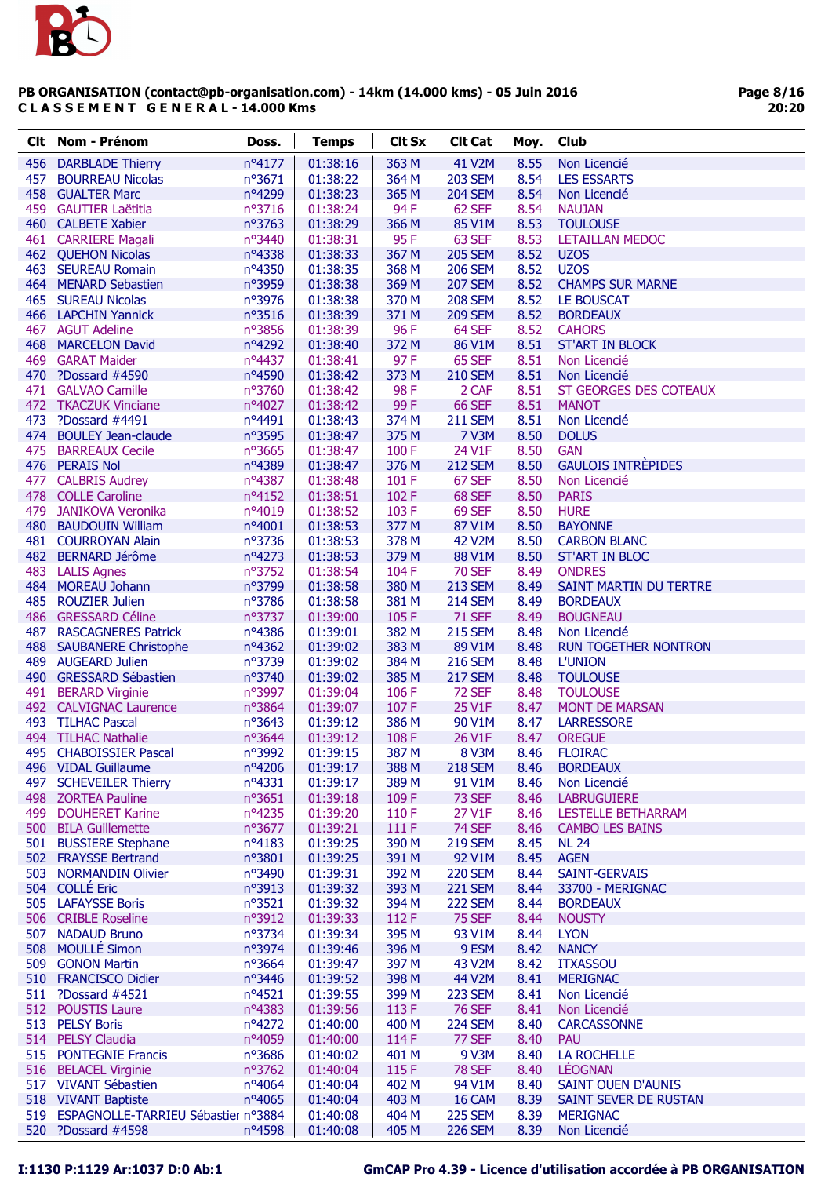

| Clt. | Nom - Prénom                            | Doss.           | <b>Temps</b> | <b>Clt Sx</b> | <b>Clt Cat</b> | Moy. | Club                        |
|------|-----------------------------------------|-----------------|--------------|---------------|----------------|------|-----------------------------|
|      | 456 DARBLADE Thierry                    | nº4177          | 01:38:16     | 363 M         | 41 V2M         | 8.55 | Non Licencié                |
| 457  | <b>BOURREAU Nicolas</b>                 | $n^{\circ}3671$ | 01:38:22     | 364 M         | <b>203 SEM</b> | 8.54 | <b>LES ESSARTS</b>          |
|      | 458 GUALTER Marc                        | nº4299          | 01:38:23     | 365 M         | <b>204 SEM</b> | 8.54 | Non Licencié                |
|      | 459 GAUTIER Laëtitia                    | nº3716          | 01:38:24     | 94 F          | 62 SEF         | 8.54 | <b>NAUJAN</b>               |
|      | 460 CALBETE Xabier                      | nº3763          | 01:38:29     | 366 M         | 85 V1M         | 8.53 | <b>TOULOUSE</b>             |
|      | 461 CARRIERE Magali                     | nº3440          | 01:38:31     | 95F           | 63 SEF         | 8.53 | <b>LETAILLAN MEDOC</b>      |
|      | 462 QUEHON Nicolas                      | nº4338          | 01:38:33     | 367 M         | <b>205 SEM</b> | 8.52 | <b>UZOS</b>                 |
|      | 463 SEUREAU Romain                      | nº4350          | 01:38:35     | 368 M         | <b>206 SEM</b> | 8.52 | <b>UZOS</b>                 |
|      | 464 MENARD Sebastien                    | nº3959          | 01:38:38     | 369 M         | <b>207 SEM</b> | 8.52 | <b>CHAMPS SUR MARNE</b>     |
|      | 465 SUREAU Nicolas                      | nº3976          | 01:38:38     | 370 M         | <b>208 SEM</b> | 8.52 | <b>LE BOUSCAT</b>           |
|      | 466 LAPCHIN Yannick                     | nº3516          | 01:38:39     | 371 M         | <b>209 SEM</b> | 8.52 | <b>BORDEAUX</b>             |
|      | 467 AGUT Adeline                        | $n^{\circ}3856$ | 01:38:39     | 96F           | 64 SEF         | 8.52 | <b>CAHORS</b>               |
|      | 468 MARCELON David                      | nº4292          | 01:38:40     | 372 M         | 86 V1M         | 8.51 | <b>ST'ART IN BLOCK</b>      |
|      | 469 GARAT Maider                        | nº4437          | 01:38:41     | 97F           | 65 SEF         | 8.51 | Non Licencié                |
|      | 470 ?Dossard #4590                      | nº4590          | 01:38:42     | 373 M         | <b>210 SEM</b> | 8.51 | Non Licencié                |
|      | 471 GALVAO Camille                      | nº3760          | 01:38:42     | 98F           | 2 CAF          | 8.51 | ST GEORGES DES COTEAUX      |
|      | 472 TKACZUK Vinciane                    | nº4027          | 01:38:42     | 99F           | <b>66 SEF</b>  | 8.51 | <b>MANOT</b>                |
| 473  | ?Dossard #4491                          | nº4491          | 01:38:43     | 374 M         | <b>211 SEM</b> | 8.51 | Non Licencié                |
|      | 474 BOULEY Jean-claude                  | nº3595          | 01:38:47     | 375 M         | <b>7 V3M</b>   | 8.50 | <b>DOLUS</b>                |
|      | 475 BARREAUX Cecile                     | nº3665          | 01:38:47     | 100F          | 24 V1F         | 8.50 | <b>GAN</b>                  |
|      | 476 PERAIS Nol                          | nº4389          | 01:38:47     | 376 M         | <b>212 SEM</b> | 8.50 | <b>GAULOIS INTRÈPIDES</b>   |
|      | 477 CALBRIS Audrey                      | nº4387          | 01:38:48     | 101 F         | 67 SEF         | 8.50 | Non Licencié                |
|      | 478 COLLE Caroline                      | $n^o4152$       | 01:38:51     | 102F          | 68 SEF         | 8.50 | <b>PARIS</b>                |
|      | 479 JANIKOVA Veronika                   | nº4019          | 01:38:52     | 103F          | 69 SEF         | 8.50 | <b>HURE</b>                 |
|      | 480 BAUDOUIN William                    | nº4001          | 01:38:53     | 377 M         | 87 V1M         | 8.50 | <b>BAYONNE</b>              |
|      | 481 COURROYAN Alain                     | nº3736          | 01:38:53     | 378 M         | <b>42 V2M</b>  | 8.50 | <b>CARBON BLANC</b>         |
|      | 482 BERNARD Jérôme                      | nº4273          | 01:38:53     | 379 M         | 88 V1M         | 8.50 | <b>ST'ART IN BLOC</b>       |
| 483  | <b>LALIS Agnes</b>                      | nº3752          | 01:38:54     | 104 F         | <b>70 SEF</b>  | 8.49 | <b>ONDRES</b>               |
|      | 484 MOREAU Johann                       | n°3799          | 01:38:58     | 380 M         | <b>213 SEM</b> | 8.49 | SAINT MARTIN DU TERTRE      |
|      | 485 ROUZIER Julien                      | nº3786          | 01:38:58     | 381 M         | <b>214 SEM</b> | 8.49 | <b>BORDEAUX</b>             |
|      | 486 GRESSARD Céline                     | nº3737          | 01:39:00     | 105F          | <b>71 SEF</b>  | 8.49 | <b>BOUGNEAU</b>             |
|      | 487 RASCAGNERES Patrick                 | nº4386          | 01:39:01     | 382 M         | <b>215 SEM</b> | 8.48 | Non Licencié                |
|      | 488 SAUBANERE Christophe                | nº4362          | 01:39:02     | 383 M         | 89 V1M         | 8.48 | <b>RUN TOGETHER NONTRON</b> |
|      | 489 AUGEARD Julien                      | nº3739          | 01:39:02     | 384 M         | <b>216 SEM</b> | 8.48 | <b>L'UNION</b>              |
|      | 490 GRESSARD Sébastien                  | nº3740          | 01:39:02     | 385 M         | <b>217 SEM</b> | 8.48 | <b>TOULOUSE</b>             |
|      | 491 BERARD Virginie                     | nº3997          | 01:39:04     | 106 F         | <b>72 SEF</b>  | 8.48 | <b>TOULOUSE</b>             |
|      | 492 CALVIGNAC Laurence                  | nº3864          | 01:39:07     | 107F          | 25 V1F         | 8.47 | <b>MONT DE MARSAN</b>       |
|      | 493 TILHAC Pascal                       | $n^{\circ}3643$ | 01:39:12     | 386 M         | 90 V1M         | 8.47 | <b>LARRESSORE</b>           |
|      | 494 TILHAC Nathalie                     | nº3644          | 01:39:12     | 108F          | 26 V1F         | 8.47 | <b>OREGUE</b>               |
|      | 495 CHABOISSIER Pascal                  | nº3992          | 01:39:15     | 387 M         | 8 V3M          | 8.46 | <b>FLOIRAC</b>              |
|      | 496 VIDAL Guillaume                     | nº4206          | 01:39:17     | 388 M         | <b>218 SEM</b> | 8.46 | <b>BORDEAUX</b>             |
|      | 497 SCHEVEILER Thierry                  | $n^o4331$       | 01:39:17     | 389 M         | 91 V1M         | 8.46 | Non Licencié                |
|      | 498 ZORTEA Pauline                      | $n^{\circ}3651$ | 01:39:18     | 109F          | 73 SEF         | 8.46 | <b>LABRUGUIERE</b>          |
|      | 499 DOUHERET Karine                     | nº4235          | 01:39:20     | 110F          | 27 V1F         | 8.46 | LESTELLE BETHARRAM          |
|      | 500 BILA Guillemette                    | nº3677          | 01:39:21     | 111 F         | <b>74 SEF</b>  | 8.46 | <b>CAMBO LES BAINS</b>      |
|      | 501 BUSSIERE Stephane                   | nº4183          | 01:39:25     | 390 M         | <b>219 SEM</b> | 8.45 | <b>NL 24</b>                |
|      | 502 FRAYSSE Bertrand                    | $n^{\circ}3801$ | 01:39:25     | 391 M         | 92 V1M         | 8.45 | <b>AGEN</b>                 |
|      | 503 NORMANDIN Olivier                   | nº3490          | 01:39:31     | 392 M         | <b>220 SEM</b> | 8.44 | SAINT-GERVAIS               |
|      | 504 COLLÉ Eric                          | nº3913          | 01:39:32     | 393 M         | <b>221 SEM</b> | 8.44 | 33700 - MERIGNAC            |
|      | 505 LAFAYSSE Boris                      | nº3521          | 01:39:32     | 394 M         | <b>222 SEM</b> | 8.44 | <b>BORDEAUX</b>             |
|      | 506 CRIBLE Roseline                     | n°3912          | 01:39:33     | 112F          | <b>75 SEF</b>  | 8.44 | <b>NOUSTY</b>               |
|      | 507 NADAUD Bruno                        | nº3734          | 01:39:34     | 395 M         | 93 V1M         | 8.44 | <b>LYON</b>                 |
|      | 508 MOULLÉ Simon                        | nº3974          | 01:39:46     | 396 M         | 9 ESM          | 8.42 | <b>NANCY</b>                |
|      | 509 GONON Martin                        | nº3664          | 01:39:47     | 397 M         | 43 V2M         | 8.42 | <b>ITXASSOU</b>             |
|      | 510 FRANCISCO Didier                    | nº3446          | 01:39:52     | 398 M         | 44 V2M         | 8.41 | <b>MERIGNAC</b>             |
|      | 511 ?Dossard #4521                      | $n^o$ 4521      | 01:39:55     | 399 M         | <b>223 SEM</b> | 8.41 | Non Licencié                |
|      | 512 POUSTIS Laure                       | nº4383          | 01:39:56     | 113 F         | <b>76 SEF</b>  | 8.41 | Non Licencié                |
|      | 513 PELSY Boris                         | nº4272          | 01:40:00     | 400 M         | <b>224 SEM</b> | 8.40 | <b>CARCASSONNE</b>          |
|      | 514 PELSY Claudia                       | nº4059          | 01:40:00     | 114F          | 77 SEF         | 8.40 | <b>PAU</b>                  |
|      | 515 PONTEGNIE Francis                   | nº3686          | 01:40:02     | 401 M         | 9 V3M          | 8.40 | LA ROCHELLE                 |
|      | 516 BELACEL Virginie                    | nº3762          | 01:40:04     | 115F          | <b>78 SEF</b>  | 8.40 | <b>LÉOGNAN</b>              |
|      | 517 VIVANT Sébastien                    | nº4064          | 01:40:04     | 402 M         | 94 V1M         | 8.40 | <b>SAINT OUEN D'AUNIS</b>   |
|      | 518 VIVANT Baptiste                     | $n^o$ 4065      | 01:40:04     | 403 M         | 16 CAM         | 8.39 | SAINT SEVER DE RUSTAN       |
|      | 519 ESPAGNOLLE-TARRIEU Sébastier nº3884 |                 | 01:40:08     | 404 M         | <b>225 SEM</b> | 8.39 | <b>MERIGNAC</b>             |
|      | 520 ?Dossard #4598                      | nº4598          | 01:40:08     | 405 M         | <b>226 SEM</b> | 8.39 | Non Licencié                |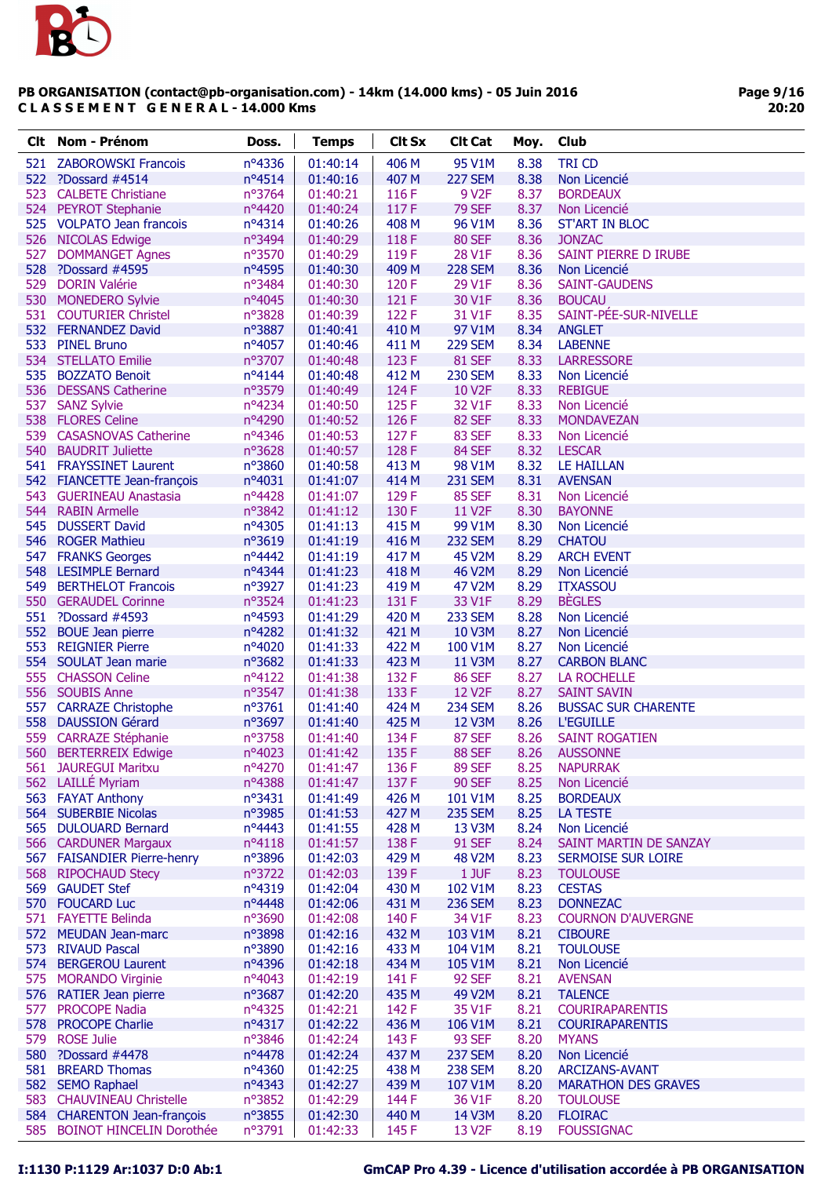

Page 9/16 20:20

| Clt. | <b>Nom - Prénom</b>                                      | Doss.                     | <b>Temps</b>         | <b>Clt Sx</b>  | <b>Clt Cat</b>      | Moy.         | Club                              |
|------|----------------------------------------------------------|---------------------------|----------------------|----------------|---------------------|--------------|-----------------------------------|
| 521  | <b>ZABOROWSKI Francois</b>                               | nº4336                    | 01:40:14             | 406 M          | 95 V1M              | 8.38         | <b>TRI CD</b>                     |
|      | 522 ?Dossard #4514                                       | $n^o4514$                 | 01:40:16             | 407 M          | <b>227 SEM</b>      | 8.38         | Non Licencié                      |
| 523  | <b>CALBETE Christiane</b>                                | nº3764                    | 01:40:21             | 116 F          | 9 V <sub>2</sub> F  | 8.37         | <b>BORDEAUX</b>                   |
|      | 524 PEYROT Stephanie                                     | nº4420                    | 01:40:24             | 117F           | <b>79 SEF</b>       | 8.37         | Non Licencié                      |
|      | 525 VOLPATO Jean francois                                | nº4314                    | 01:40:26             | 408 M          | 96 V1M              | 8.36         | <b>ST'ART IN BLOC</b>             |
|      | 526 NICOLAS Edwige                                       | nº3494                    | 01:40:29             | 118F           | <b>80 SEF</b>       | 8.36         | <b>JONZAC</b>                     |
| 527  | <b>DOMMANGET Agnes</b>                                   | nº3570                    | 01:40:29             | 119F           | 28 V1F              | 8.36         | SAINT PIERRE D IRUBE              |
| 528  | ?Dossard #4595                                           | nº4595                    | 01:40:30             | 409 M          | <b>228 SEM</b>      | 8.36         | Non Licencié                      |
|      | 529 DORIN Valérie                                        | nº3484                    | 01:40:30             | 120F           | 29 V1F              | 8.36         | <b>SAINT-GAUDENS</b>              |
|      | 530 MONEDERO Sylvie                                      | nº4045                    | 01:40:30             | 121 F          | 30 V1F              | 8.36         | <b>BOUCAU</b>                     |
|      | 531 COUTURIER Christel                                   | nº3828                    | 01:40:39             | 122 F          | 31 V1F              | 8.35         | SAINT-PÉE-SUR-NIVELLE             |
|      | 532 FERNANDEZ David                                      | nº3887                    | 01:40:41             | 410 M          | 97 V1M              | 8.34         | <b>ANGLET</b>                     |
|      | 533 PINEL Bruno                                          | nº4057                    | 01:40:46             | 411 M          | <b>229 SEM</b>      | 8.34         | <b>LABENNE</b>                    |
|      | 534 STELLATO Emilie                                      | $n^{\circ}3707$           | 01:40:48             | 123 F          | <b>81 SEF</b>       | 8.33         | <b>LARRESSORE</b>                 |
|      | 535 BOZZATO Benoit                                       | nº4144                    | 01:40:48             | 412 M          | <b>230 SEM</b>      | 8.33         | Non Licencié                      |
|      | 536 DESSANS Catherine                                    | n°3579                    | 01:40:49             | 124 F          | <b>10 V2F</b>       | 8.33         | <b>REBIGUE</b>                    |
| 537  | <b>SANZ Sylvie</b>                                       | nº4234                    | 01:40:50             | 125 F          | 32 V1F              | 8.33         | Non Licencié                      |
|      | 538 FLORES Celine                                        | nº4290                    | 01:40:52             | 126 F          | <b>82 SEF</b>       | 8.33         | <b>MONDAVEZAN</b>                 |
|      | 539 CASASNOVAS Catherine                                 | nº4346                    | 01:40:53             | 127F           | 83 SEF              | 8.33         | Non Licencié                      |
|      | 540 BAUDRIT Juliette                                     | nº3628                    | 01:40:57             | 128F           | 84 SEF              | 8.32         | <b>LESCAR</b>                     |
|      | 541 FRAYSSINET Laurent                                   | nº3860                    | 01:40:58             | 413 M          | 98 V1M              | 8.32         | <b>LE HAILLAN</b>                 |
|      | 542 FIANCETTE Jean-françois                              | $n^o4031$                 | 01:41:07             | 414 M          | <b>231 SEM</b>      | 8.31         | <b>AVENSAN</b>                    |
|      | 543 GUERINEAU Anastasia                                  | nº4428                    | 01:41:07             | 129 F          | <b>85 SEF</b>       | 8.31         | Non Licencié                      |
|      | 544 RABIN Armelle                                        | nº3842                    | 01:41:12             | 130 F          | 11 V <sub>2</sub> F | 8.30         | <b>BAYONNE</b>                    |
|      | 545 DUSSERT David                                        | nº4305                    | 01:41:13             | 415 M          | 99 V1M              | 8.30         | Non Licencié                      |
|      | 546 ROGER Mathieu                                        | n°3619                    | 01:41:19             | 416 M          | <b>232 SEM</b>      | 8.29         | <b>CHATOU</b>                     |
|      | 547 FRANKS Georges                                       | nº4442                    | 01:41:19             | 417 M          | 45 V2M              | 8.29         | <b>ARCH EVENT</b>                 |
|      | 548 LESIMPLE Bernard                                     | nº4344                    | 01:41:23             | 418 M          | 46 V2M              | 8.29         | Non Licencié                      |
|      | 549 BERTHELOT Francois                                   | nº3927                    | 01:41:23             | 419 M          | 47 V2M              | 8.29         | <b>ITXASSOU</b>                   |
|      | 550 GERAUDEL Corinne                                     | nº3524                    | 01:41:23             | 131 F          | 33 V1F              | 8.29         | <b>BEGLES</b>                     |
|      | 551 ?Dossard #4593                                       | nº4593                    | 01:41:29             | 420 M          | <b>233 SEM</b>      | 8.28         | Non Licencié                      |
| 552  | <b>BOUE Jean pierre</b>                                  | nº4282                    | 01:41:32             | 421 M          | 10 V3M              | 8.27         | Non Licencié                      |
| 553  | <b>REIGNIER Pierre</b>                                   | nº4020                    | 01:41:33             | 422 M          | 100 V1M             | 8.27         | Non Licencié                      |
|      | 554 SOULAT Jean marie                                    | nº3682                    | 01:41:33             | 423 M          | 11 V3M              | 8.27         | <b>CARBON BLANC</b>               |
|      | 555 CHASSON Celine                                       | nº4122                    | 01:41:38             | 132 F          | <b>86 SEF</b>       | 8.27         | <b>LA ROCHELLE</b>                |
|      | 556 SOUBIS Anne                                          | nº3547                    | 01:41:38             | 133 F          | 12 V <sub>2</sub> F | 8.27         | <b>SAINT SAVIN</b>                |
|      | 557 CARRAZE Christophe                                   | nº3761                    | 01:41:40             | 424 M          | <b>234 SEM</b>      | 8.26         | <b>BUSSAC SUR CHARENTE</b>        |
| 558  | <b>DAUSSION Gérard</b>                                   | $n^{\circ}3697$           | 01:41:40             | 425 M          | 12 V3M              | 8.26         | <b>L'EGUILLE</b>                  |
|      | 559 CARRAZE Stéphanie                                    | nº3758                    | 01:41:40             | 134 F          | <b>87 SEF</b>       | 8.26         | <b>SAINT ROGATIEN</b>             |
| 560  | <b>BERTERREIX Edwige</b>                                 | nº4023                    | 01:41:42             | 135 F          | <b>88 SEF</b>       | 8.26         | <b>AUSSONNE</b>                   |
|      | 561 JAUREGUI Maritxu                                     | nº4270                    | 01:41:47             | 136 F          | <b>89 SEF</b>       | 8.25         | <b>NAPURRAK</b>                   |
|      | 562 LAILLÉ Myriam                                        | nº4388                    | 01:41:47             | 137 F          | <b>90 SEF</b>       | 8.25         | Non Licencié                      |
|      | 563 FAYAT Anthony                                        | $n^{\circ}3431$           | 01:41:49             | 426 M          | 101 V1M             | 8.25         | <b>BORDEAUX</b>                   |
|      | 564 SUBERBIE Nicolas                                     | n°3985                    | 01:41:53             | 427 M          | <b>235 SEM</b>      | 8.25         | LA TESTE                          |
|      | 565 DULOUARD Bernard                                     | nº4443                    | 01:41:55             | 428 M          | 13 V3M              | 8.24         | Non Licencié                      |
|      | 566 CARDUNER Margaux                                     | $n^o4118$                 | 01:41:57             | 138 F          | <b>91 SEF</b>       | 8.24         | SAINT MARTIN DE SANZAY            |
|      | 567 FAISANDIER Pierre-henry                              | nº3896                    | 01:42:03             | 429 M          | <b>48 V2M</b>       | 8.23         | <b>SERMOISE SUR LOIRE</b>         |
| 568  | <b>RIPOCHAUD Stecy</b>                                   | nº3722                    | 01:42:03             | 139 F          | 1 JUF               | 8.23         | <b>TOULOUSE</b>                   |
|      | 569 GAUDET Stef                                          | nº4319                    | 01:42:04             | 430 M          | 102 V1M             | 8.23         | <b>CESTAS</b>                     |
|      | 570 FOUCARD Luc                                          | nº4448                    | 01:42:06             | 431 M          | <b>236 SEM</b>      | 8.23         | <b>DONNEZAC</b>                   |
|      | 571 FAYETTE Belinda                                      | nº3690                    | 01:42:08             | 140 F          | 34 V1F              | 8.23         | <b>COURNON D'AUVERGNE</b>         |
|      | 572 MEUDAN Jean-marc                                     | nº3898                    | 01:42:16             | 432 M          | 103 V1M             | 8.21         | <b>CIBOURE</b>                    |
|      | 573 RIVAUD Pascal                                        | nº3890                    | 01:42:16             | 433 M          | 104 V1M             | 8.21         | <b>TOULOUSE</b>                   |
|      | 574 BERGEROU Laurent                                     | nº4396                    | 01:42:18             | 434 M          | 105 V1M             | 8.21         | Non Licencié                      |
|      | 575 MORANDO Virginie                                     | nº4043                    | 01:42:19             | 141 F          | <b>92 SEF</b>       | 8.21         | <b>AVENSAN</b>                    |
|      | 576 RATIER Jean pierre                                   | $n^{\circ}3687$           | 01:42:20             | 435 M          | 49 V2M              | 8.21         | <b>TALENCE</b>                    |
| 577  | <b>PROCOPE Nadia</b>                                     | nº4325                    | 01:42:21             | 142 F          | 35 V1F              | 8.21         | <b>COURIRAPARENTIS</b>            |
| 578  | <b>PROCOPE Charlie</b>                                   | $n^o4317$                 | 01:42:22             | 436 M          | 106 V1M             | 8.21         | <b>COURIRAPARENTIS</b>            |
|      | 579 ROSE Julie                                           | nº3846                    | 01:42:24             | 143 F          | <b>93 SEF</b>       | 8.20         | <b>MYANS</b>                      |
|      |                                                          | nº4478                    | 01:42:24             | 437 M          | <b>237 SEM</b>      | 8.20         | Non Licencié                      |
|      |                                                          |                           |                      |                |                     |              |                                   |
|      | 580 ?Dossard #4478                                       |                           |                      |                |                     |              |                                   |
|      | 581 BREARD Thomas                                        | nº4360                    | 01:42:25             | 438 M          | <b>238 SEM</b>      | 8.20         | <b>ARCIZANS-AVANT</b>             |
|      | 582 SEMO Raphael                                         | $n^o4343$                 | 01:42:27             | 439 M          | 107 V1M             | 8.20         | <b>MARATHON DES GRAVES</b>        |
|      | 583 CHAUVINEAU Christelle<br>584 CHARENTON Jean-françois | nº3852<br>$n^{\circ}3855$ | 01:42:29<br>01:42:30 | 144 F<br>440 M | 36 V1F<br>14 V3M    | 8.20<br>8.20 | <b>TOULOUSE</b><br><b>FLOIRAC</b> |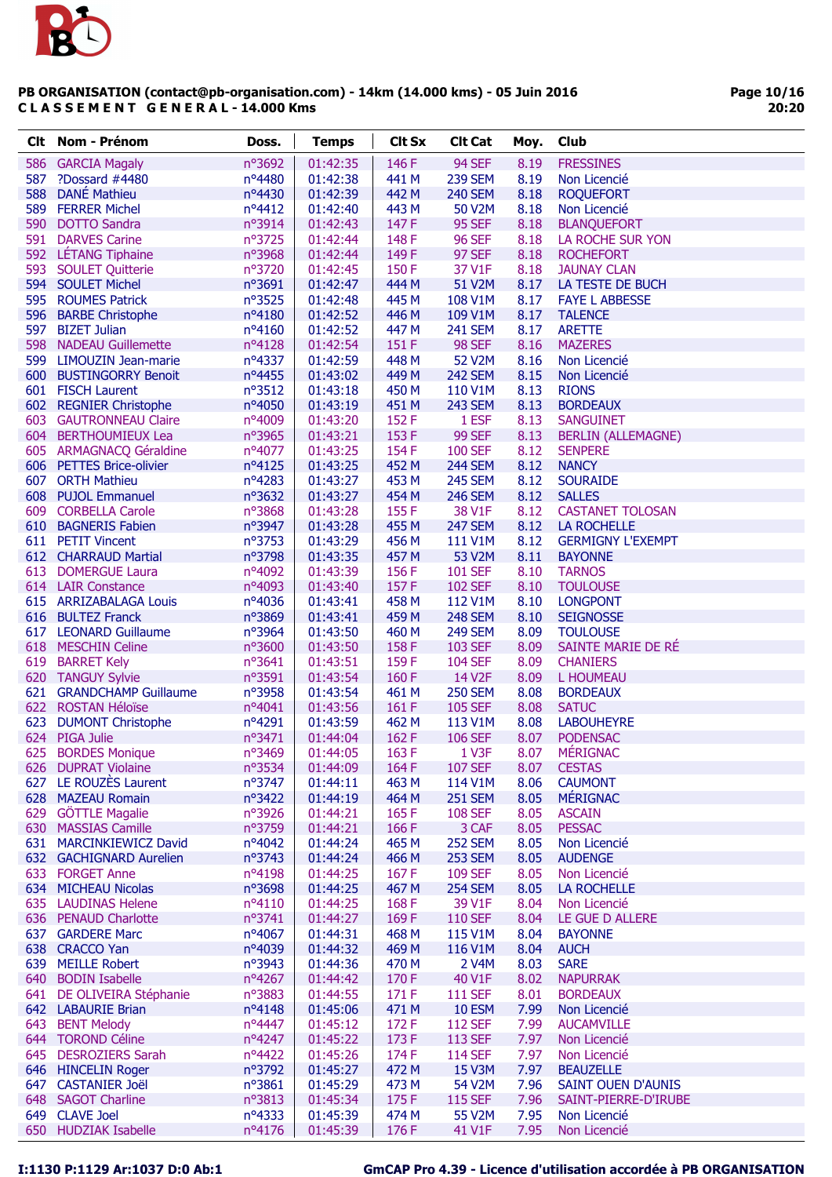

Page 10/16 20:20

| Clt | <b>Nom - Prénom</b>                         | Doss.            | <b>Temps</b>         | <b>Clt Sx</b>  | <b>Clt Cat</b>                | Moy.         | Club                        |
|-----|---------------------------------------------|------------------|----------------------|----------------|-------------------------------|--------------|-----------------------------|
| 586 | <b>GARCIA Magaly</b>                        | nº3692           | 01:42:35             | 146F           | 94 SEF                        | 8.19         | <b>FRESSINES</b>            |
| 587 | ?Dossard #4480                              | $n^{\circ}$ 4480 | 01:42:38             | 441 M          | <b>239 SEM</b>                | 8.19         | Non Licencié                |
| 588 | <b>DANÉ Mathieu</b>                         | nº4430           | 01:42:39             | 442 M          | <b>240 SEM</b>                | 8.18         | <b>ROQUEFORT</b>            |
|     | 589 FERRER Michel                           | nº4412           | 01:42:40             | 443 M          | 50 V2M                        | 8.18         | Non Licencié                |
|     | 590 DOTTO Sandra                            | nº3914           | 01:42:43             | 147 F          | <b>95 SEF</b>                 | 8.18         | <b>BLANQUEFORT</b>          |
|     | 591 DARVES Carine                           | nº3725           | 01:42:44             | 148 F          | <b>96 SEF</b>                 | 8.18         | LA ROCHE SUR YON            |
|     | 592 LÉTANG Tiphaine                         | nº3968           | 01:42:44             | 149 F          | <b>97 SEF</b>                 | 8.18         | <b>ROCHEFORT</b>            |
|     | 593 SOULET Quitterie                        | nº3720           | 01:42:45             | 150 F          | 37 V1F                        | 8.18         | <b>JAUNAY CLAN</b>          |
|     | 594 SOULET Michel                           | n°3691           | 01:42:47             | 444 M          | 51 V2M                        | 8.17         | LA TESTE DE BUCH            |
|     | 595 ROUMES Patrick                          | n°3525           | 01:42:48             | 445 M          | 108 V1M                       | 8.17         | <b>FAYE L ABBESSE</b>       |
|     | 596 BARBE Christophe                        | nº4180           | 01:42:52             | 446 M          | 109 V1M                       | 8.17         | <b>TALENCE</b>              |
|     | 597 BIZET Julian                            | nº4160           | 01:42:52             | 447 M          | <b>241 SEM</b>                | 8.17         | <b>ARETTE</b>               |
|     | 598 NADEAU Guillemette                      | nº4128           | 01:42:54             | 151 F          | <b>98 SEF</b>                 | 8.16         | <b>MAZERES</b>              |
|     | 599 LIMOUZIN Jean-marie                     | nº4337           | 01:42:59             | 448 M          | 52 V2M                        | 8.16         | Non Licencié                |
|     | 600 BUSTINGORRY Benoit                      | nº4455           | 01:43:02             | 449 M          | <b>242 SEM</b>                | 8.15         | Non Licencié                |
|     | 601 FISCH Laurent                           | nº3512           | 01:43:18             | 450 M          | 110 V1M                       | 8.13         | <b>RIONS</b>                |
|     | 602 REGNIER Christophe                      | nº4050           | 01:43:19             | 451 M          | <b>243 SEM</b>                | 8.13         | <b>BORDEAUX</b>             |
|     | 603 GAUTRONNEAU Claire                      | nº4009           | 01:43:20             | 152 F          | 1 ESF                         | 8.13         | <b>SANGUINET</b>            |
|     | 604 BERTHOUMIEUX Lea                        | nº3965           | 01:43:21             | 153 F          | <b>99 SEF</b>                 | 8.13         | <b>BERLIN (ALLEMAGNE)</b>   |
|     | 605 ARMAGNACQ Géraldine                     | nº4077           | 01:43:25             | 154 F          | <b>100 SEF</b>                | 8.12         | <b>SENPERE</b>              |
|     | 606 PETTES Brice-olivier                    | $n^o4125$        | 01:43:25             | 452 M          | <b>244 SEM</b>                | 8.12         | <b>NANCY</b>                |
|     | 607 ORTH Mathieu                            | $n^o4283$        | 01:43:27             | 453 M          | <b>245 SEM</b>                | 8.12         | <b>SOURAIDE</b>             |
|     | 608 PUJOL Emmanuel                          | nº3632           | 01:43:27             | 454 M          | <b>246 SEM</b>                | 8.12         | <b>SALLES</b>               |
|     | 609 CORBELLA Carole                         | nº3868           | 01:43:28             | 155F           | 38 V1F                        | 8.12         | <b>CASTANET TOLOSAN</b>     |
|     | 610 BAGNERIS Fabien                         | nº3947           | 01:43:28             | 455 M          | <b>247 SEM</b>                | 8.12         | <b>LA ROCHELLE</b>          |
|     | 611 PETIT Vincent                           | nº3753           | 01:43:29             | 456 M          | 111 V1M                       | 8.12         | <b>GERMIGNY L'EXEMPT</b>    |
|     | 612 CHARRAUD Martial                        | nº3798           | 01:43:35             | 457 M          | 53 V2M                        | 8.11         | <b>BAYONNE</b>              |
|     | 613 DOMERGUE Laura                          | nº4092           | 01:43:39             | 156 F          | <b>101 SEF</b>                | 8.10         | <b>TARNOS</b>               |
|     | 614 LAIR Constance                          | nº4093           | 01:43:40             | 157F           | <b>102 SEF</b>                | 8.10         | <b>TOULOUSE</b>             |
|     | 615 ARRIZABALAGA Louis                      | nº4036           | 01:43:41             | 458 M          | 112 V1M                       | 8.10         | <b>LONGPONT</b>             |
|     | 616 BULTEZ Franck                           | n°3869           | 01:43:41             | 459 M          | <b>248 SEM</b>                | 8.10         | <b>SEIGNOSSE</b>            |
|     | 617 LEONARD Guillaume                       | nº3964           | 01:43:50             | 460 M          | <b>249 SEM</b>                | 8.09         | <b>TOULOUSE</b>             |
|     | 618 MESCHIN Celine                          | nº3600           | 01:43:50             | 158F           | 103 SEF                       | 8.09         | SAINTE MARIE DE RÉ          |
|     | 619 BARRET Kely                             | nº3641           | 01:43:51             | 159F           | <b>104 SEF</b>                | 8.09         | <b>CHANIERS</b>             |
|     | 620 TANGUY Sylvie                           | nº3591           | 01:43:54             | 160F           | 14 V2F                        | 8.09         | L HOUMEAU                   |
|     | 621 GRANDCHAMP Guillaume                    | nº3958           | 01:43:54             | 461 M          | <b>250 SEM</b>                | 8.08         | <b>BORDEAUX</b>             |
|     | 622 ROSTAN Héloïse                          | $n^o4041$        | 01:43:56             | 161 F          | <b>105 SEF</b>                | 8.08         | <b>SATUC</b>                |
| 623 | <b>DUMONT Christophe</b>                    | nº4291           | 01:43:59             | 462 M          | 113 V1M                       | 8.08         | <b>LABOUHEYRE</b>           |
|     | 624 PIGA Julie                              | nº3471           | 01:44:04             | 162 F          | <b>106 SEF</b>                | 8.07         | <b>PODENSAC</b>             |
| 625 | <b>BORDES Monique</b>                       | nº3469           | 01:44:05             | 163 F          | 1 V3F                         | 8.07         | <b>MÉRIGNAC</b>             |
|     | 626 DUPRAT Violaine                         | nº3534           | 01:44:09             | 164F           | <b>107 SEF</b>                | 8.07         | <b>CESTAS</b>               |
| 627 | LE ROUZÈS Laurent                           | nº3747           | 01:44:11             | 463 M          | 114 V1M                       | 8.06         | <b>CAUMONT</b>              |
|     | 628 MAZEAU Romain                           | nº3422           | 01:44:19             | 464 M          | <b>251 SEM</b>                | 8.05         | <b>MÉRIGNAC</b>             |
|     | 629 GÖTTLE Magalie                          | nº3926           | 01:44:21             | 165F           | <b>108 SEF</b>                | 8.05         | <b>ASCAIN</b>               |
|     | 630 MASSIAS Camille                         | nº3759           | 01:44:21             | 166F           | 3 CAF                         | 8.05         | <b>PESSAC</b>               |
|     | 631 MARCINKIEWICZ David                     | nº4042           | 01:44:24             | 465 M          | <b>252 SEM</b>                | 8.05         | Non Licencié                |
|     | 632 GACHIGNARD Aurelien                     | nº3743           | 01:44:24             | 466 M          | <b>253 SEM</b>                | 8.05         | <b>AUDENGE</b>              |
|     | 633 FORGET Anne                             | nº4198           | 01:44:25             | 167 F          | <b>109 SEF</b>                | 8.05         | Non Licencié                |
|     | 634 MICHEAU Nicolas                         | nº3698           | 01:44:25             | 467 M          | <b>254 SEM</b>                | 8.05         | LA ROCHELLE<br>Non Licencié |
|     | 635 LAUDINAS Helene<br>636 PENAUD Charlotte | nº4110<br>nº3741 | 01:44:25             | 168F<br>169F   | 39 V1F<br><b>110 SEF</b>      | 8.04         |                             |
|     |                                             |                  | 01:44:27             | 468 M          |                               | 8.04         | LE GUE D ALLERE             |
|     | 637 GARDERE Marc                            | nº4067           | 01:44:31             |                | 115 V1M                       | 8.04         | <b>BAYONNE</b>              |
|     | 638 CRACCO Yan<br>639 MEILLE Robert         | nº4039<br>nº3943 | 01:44:32<br>01:44:36 | 469 M<br>470 M | 116 V1M<br>2 V <sub>4</sub> M | 8.04<br>8.03 | <b>AUCH</b><br><b>SARE</b>  |
|     | 640 BODIN Isabelle                          | nº4267           | 01:44:42             | 170F           | 40 V1F                        | 8.02         | <b>NAPURRAK</b>             |
|     | 641 DE OLIVEIRA Stéphanie                   | nº3883           | 01:44:55             | 171 F          | <b>111 SEF</b>                | 8.01         | <b>BORDEAUX</b>             |
|     | 642 LABAURIE Brian                          | nº4148           | 01:45:06             | 471 M          | <b>10 ESM</b>                 | 7.99         | Non Licencié                |
| 643 | <b>BENT Melody</b>                          | nº4447           | 01:45:12             | 172 F          | <b>112 SEF</b>                | 7.99         | <b>AUCAMVILLE</b>           |
|     | 644 TOROND Céline                           | nº4247           | 01:45:22             | 173F           | <b>113 SEF</b>                | 7.97         | Non Licencié                |
|     | 645 DESROZIERS Sarah                        | nº4422           | 01:45:26             | 174F           | <b>114 SEF</b>                | 7.97         | Non Licencié                |
|     | 646 HINCELIN Roger                          | nº3792           | 01:45:27             | 472 M          | 15 V3M                        | 7.97         | <b>BEAUZELLE</b>            |
|     | 647 CASTANIER Joël                          | nº3861           | 01:45:29             | 473 M          | 54 V2M                        | 7.96         | <b>SAINT OUEN D'AUNIS</b>   |
|     | 648 SAGOT Charline                          | nº3813           | 01:45:34             | 175F           | <b>115 SEF</b>                | 7.96         | SAINT-PIERRE-D'IRUBE        |
|     | 649 CLAVE Joel                              | nº4333           | 01:45:39             | 474 M          | 55 V2M                        | 7.95         | Non Licencié                |
|     | 650 HUDZIAK Isabelle                        | nº4176           | 01:45:39             | 176F           | 41 V1F                        | 7.95         | Non Licencié                |
|     |                                             |                  |                      |                |                               |              |                             |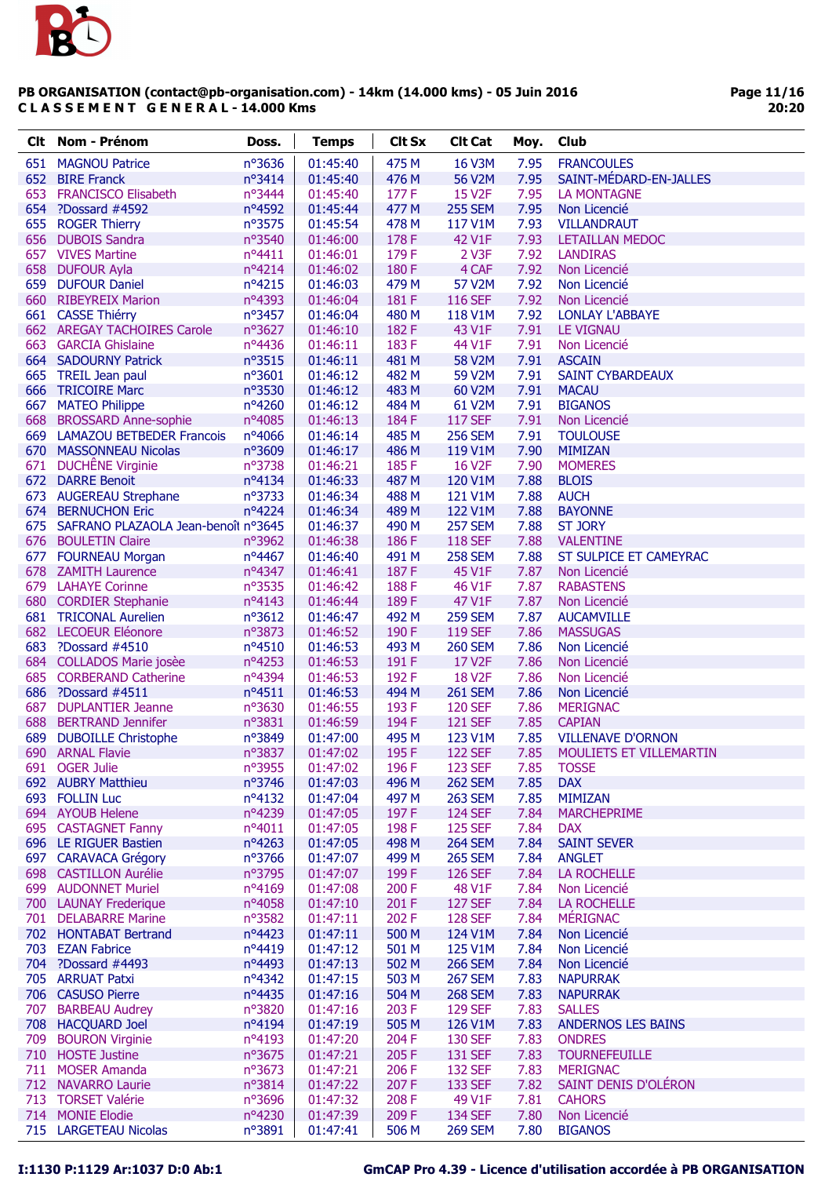

Page 11/16 20:20

| Clt | Nom - Prénom                                | Doss.            | <b>Temps</b>         | <b>Clt Sx</b>  | <b>Clt Cat</b>            | Moy.         | Club                                  |
|-----|---------------------------------------------|------------------|----------------------|----------------|---------------------------|--------------|---------------------------------------|
| 651 | <b>MAGNOU Patrice</b>                       | nº3636           | 01:45:40             | 475 M          | <b>16 V3M</b>             | 7.95         | <b>FRANCOULES</b>                     |
| 652 | <b>BIRE Franck</b>                          | nº3414           | 01:45:40             | 476 M          | 56 V2M                    | 7.95         | SAINT-MÉDARD-EN-JALLES                |
| 653 | <b>FRANCISCO Elisabeth</b>                  | nº3444           | 01:45:40             | 177 F          | 15 V <sub>2</sub> F       | 7.95         | <b>LA MONTAGNE</b>                    |
|     | 654 ?Dossard #4592                          | nº4592           | 01:45:44             | 477 M          | <b>255 SEM</b>            | 7.95         | Non Licencié                          |
| 655 | <b>ROGER Thierry</b>                        | nº3575           | 01:45:54             | 478 M          | 117 V1M                   | 7.93         | <b>VILLANDRAUT</b>                    |
|     | 656 DUBOIS Sandra                           | nº3540           | 01:46:00             | 178F           | 42 V1F                    | 7.93         | <b>LETAILLAN MEDOC</b>                |
|     | 657 VIVES Martine                           | $n^o4411$        | 01:46:01             | 179F           | 2 V3F                     | 7.92         | <b>LANDIRAS</b>                       |
|     | 658 DUFOUR Ayla                             | nº4214           | 01:46:02             | 180F           | 4 CAF                     | 7.92         | Non Licencié                          |
|     | 659 DUFOUR Daniel                           | nº4215           | 01:46:03             | 479 M          | 57 V2M                    | 7.92         | Non Licencié                          |
|     | 660 RIBEYREIX Marion                        | nº4393           | 01:46:04             | 181 F          | <b>116 SEF</b>            | 7.92         | Non Licencié                          |
|     | 661 CASSE Thiérry                           | nº3457           | 01:46:04             | 480 M          | 118 V1M                   | 7.92         | <b>LONLAY L'ABBAYE</b>                |
|     | 662 AREGAY TACHOIRES Carole                 | nº3627           | 01:46:10             | 182F           | 43 V1F                    | 7.91         | <b>LE VIGNAU</b>                      |
| 663 | <b>GARCIA Ghislaine</b>                     | nº4436           | 01:46:11             | 183F           | 44 V1F                    | 7.91         | Non Licencié                          |
|     | 664 SADOURNY Patrick                        | n°3515           | 01:46:11             | 481 M          | 58 V2M                    | 7.91         | <b>ASCAIN</b>                         |
|     | 665 TREIL Jean paul                         | n°3601           | 01:46:12             | 482 M          | 59 V2M                    | 7.91         | <b>SAINT CYBARDEAUX</b>               |
|     | 666 TRICOIRE Marc                           | nº3530           | 01:46:12             | 483 M          | 60 V2M                    | 7.91         | <b>MACAU</b>                          |
|     | 667 MATEO Philippe                          | nº4260           | 01:46:12             | 484 M          | 61 V2M                    | 7.91         | <b>BIGANOS</b>                        |
|     | 668 BROSSARD Anne-sophie                    | nº4085           | 01:46:13             | 184 F          | <b>117 SEF</b>            | 7.91         | Non Licencié                          |
|     | 669 LAMAZOU BETBEDER Francois               | nº4066           | 01:46:14             | 485 M          | <b>256 SEM</b>            | 7.91         | <b>TOULOUSE</b>                       |
|     | 670 MASSONNEAU Nicolas                      | n°3609           | 01:46:17             | 486 M          | 119 V1M                   | 7.90         | <b>MIMIZAN</b>                        |
|     | 671 DUCHÊNE Virginie                        | nº3738           | 01:46:21             | 185F           | <b>16 V2F</b>             | 7.90         | <b>MOMERES</b>                        |
|     | 672 DARRE Benoit                            | nº4134           | 01:46:33             | 487 M          | 120 V1M                   | 7.88         | <b>BLOIS</b>                          |
|     | 673 AUGEREAU Strephane                      | nº3733           | 01:46:34             | 488 M          | 121 V1M                   | 7.88         | <b>AUCH</b>                           |
| 674 | <b>BERNUCHON Eric</b>                       | nº4224           | 01:46:34             | 489 M          | 122 V1M                   | 7.88         | <b>BAYONNE</b>                        |
|     | 675 SAFRANO PLAZAOLA Jean-benoît nº3645     |                  | 01:46:37             | 490 M          | <b>257 SEM</b>            | 7.88         | <b>ST JORY</b>                        |
|     | 676 BOULETIN Claire                         | nº3962           | 01:46:38             | 186 F          | <b>118 SEF</b>            | 7.88         | <b>VALENTINE</b>                      |
|     | 677 FOURNEAU Morgan                         | nº4467           | 01:46:40             | 491 M          | <b>258 SEM</b>            | 7.88         | ST SULPICE ET CAMEYRAC                |
|     | 678 ZAMITH Laurence                         | nº4347           | 01:46:41             | 187F           | 45 V1F                    | 7.87         | Non Licencié                          |
|     | 679 LAHAYE Corinne<br>680 CORDIER Stephanie | nº3535<br>nº4143 | 01:46:42             | 188F<br>189F   | 46 V1F<br>47 V1F          | 7.87<br>7.87 | <b>RABASTENS</b>                      |
|     | 681 TRICONAL Aurelien                       | nº3612           | 01:46:44<br>01:46:47 | 492 M          | <b>259 SEM</b>            | 7.87         | Non Licencié<br><b>AUCAMVILLE</b>     |
|     | 682 LECOEUR Eléonore                        | nº3873           | 01:46:52             | 190F           | <b>119 SEF</b>            | 7.86         | <b>MASSUGAS</b>                       |
| 683 | ?Dossard #4510                              | nº4510           | 01:46:53             | 493 M          | <b>260 SEM</b>            | 7.86         | Non Licencié                          |
|     | 684 COLLADOS Marie josèe                    | nº4253           | 01:46:53             | 191 F          | 17 V <sub>2</sub> F       | 7.86         | Non Licencié                          |
|     | 685 CORBERAND Catherine                     | nº4394           | 01:46:53             | 192 F          | <b>18 V2F</b>             | 7.86         | Non Licencié                          |
|     | 686 ?Dossard #4511                          | $n^o4511$        | 01:46:53             | 494 M          | <b>261 SEM</b>            | 7.86         | Non Licencié                          |
| 687 | <b>DUPLANTIER Jeanne</b>                    | nº3630           | 01:46:55             | 193 F          | <b>120 SEF</b>            | 7.86         | <b>MERIGNAC</b>                       |
| 688 | <b>BERTRAND Jennifer</b>                    | nº3831           | 01:46:59             | 194 F          | <b>121 SEF</b>            | 7.85         | <b>CAPIAN</b>                         |
| 689 | <b>DUBOILLE Christophe</b>                  | nº3849           | 01:47:00             | 495 M          | 123 V1M                   | 7.85         | <b>VILLENAVE D'ORNON</b>              |
|     | 690 ARNAL Flavie                            | nº3837           | 01:47:02             | 195F           | <b>122 SEF</b>            | 7.85         | MOULIETS ET VILLEMARTIN               |
|     | 691 OGER Julie                              | n°3955           | 01:47:02             | 196 F          | <b>123 SEF</b>            | 7.85         | <b>TOSSE</b>                          |
|     | 692 AUBRY Matthieu                          | nº3746           | 01:47:03             | 496 M          | <b>262 SEM</b>            | 7.85         | <b>DAX</b>                            |
|     | 693 FOLLIN Luc                              | nº4132           | 01:47:04             | 497 M          | <b>263 SEM</b>            | 7.85         | <b>MIMIZAN</b>                        |
|     | 694 AYOUB Helene                            | nº4239           | 01:47:05             | 197F           | <b>124 SEF</b>            | 7.84         | <b>MARCHEPRIME</b>                    |
|     | 695 CASTAGNET Fanny                         | nº4011           | 01:47:05             | 198F           | <b>125 SEF</b>            | 7.84         | <b>DAX</b>                            |
|     | 696 LE RIGUER Bastien                       | nº4263           | 01:47:05             | 498 M          | <b>264 SEM</b>            | 7.84         | <b>SAINT SEVER</b>                    |
|     | 697 CARAVACA Grégory                        | nº3766           | 01:47:07             | 499 M          | <b>265 SEM</b>            | 7.84         | <b>ANGLET</b>                         |
|     | 698 CASTILLON Aurélie                       | n°3795           | 01:47:07             | 199F           | <b>126 SEF</b>            | 7.84         | <b>LA ROCHELLE</b>                    |
|     | 699 AUDONNET Muriel                         | nº4169           | 01:47:08             | 200 F          | 48 V1F                    | 7.84         | Non Licencié                          |
|     | 700 LAUNAY Frederique                       | nº4058           | 01:47:10             | 201 F          | <b>127 SEF</b>            | 7.84         | <b>LA ROCHELLE</b>                    |
|     | 701 DELABARRE Marine                        | nº3582           | 01:47:11             | 202 F          | <b>128 SEF</b>            | 7.84         | <b>MÉRIGNAC</b>                       |
|     | 702 HONTABAT Bertrand                       | nº4423           | 01:47:11             | 500 M          | 124 V1M                   | 7.84         | Non Licencié                          |
|     | 703 EZAN Fabrice                            | nº4419           | 01:47:12             | 501 M          | 125 V1M                   | 7.84         | Non Licencié                          |
|     | 704 ?Dossard #4493                          | nº4493           | 01:47:13             | 502 M          | <b>266 SEM</b>            | 7.84         | Non Licencié                          |
|     | 705 ARRUAT Patxi                            | nº4342           | 01:47:15             | 503 M          | <b>267 SEM</b>            | 7.83         | <b>NAPURRAK</b>                       |
|     | 706 CASUSO Pierre                           | nº4435           | 01:47:16             | 504 M          | <b>268 SEM</b>            | 7.83         | <b>NAPURRAK</b>                       |
|     | 707 BARBEAU Audrey                          | nº3820           | 01:47:16             | 203 F          | <b>129 SEF</b>            | 7.83         | <b>SALLES</b>                         |
| 709 | 708 HACQUARD Joel                           | nº4194           | 01:47:19             | 505 M          | 126 V1M                   | 7.83         | <b>ANDERNOS LES BAINS</b>             |
|     | <b>BOURON Virginie</b><br>710 HOSTE Justine | nº4193<br>nº3675 | 01:47:20<br>01:47:21 | 204 F<br>205 F | <b>130 SEF</b><br>131 SEF | 7.83<br>7.83 | <b>ONDRES</b><br><b>TOURNEFEUILLE</b> |
|     | 711 MOSER Amanda                            | nº3673           | 01:47:21             | 206 F          | <b>132 SEF</b>            | 7.83         | <b>MERIGNAC</b>                       |
|     | 712 NAVARRO Laurie                          | nº3814           | 01:47:22             | 207 F          | 133 SEF                   | 7.82         | SAINT DENIS D'OLÉRON                  |
|     | 713 TORSET Valérie                          | nº3696           | 01:47:32             | 208 F          | 49 V1F                    | 7.81         | <b>CAHORS</b>                         |
|     | 714 MONIE Elodie                            | nº4230           | 01:47:39             | 209 F          | <b>134 SEF</b>            | 7.80         | Non Licencié                          |
|     | 715 LARGETEAU Nicolas                       | n°3891           | 01:47:41             | 506 M          | <b>269 SEM</b>            | 7.80         | <b>BIGANOS</b>                        |
|     |                                             |                  |                      |                |                           |              |                                       |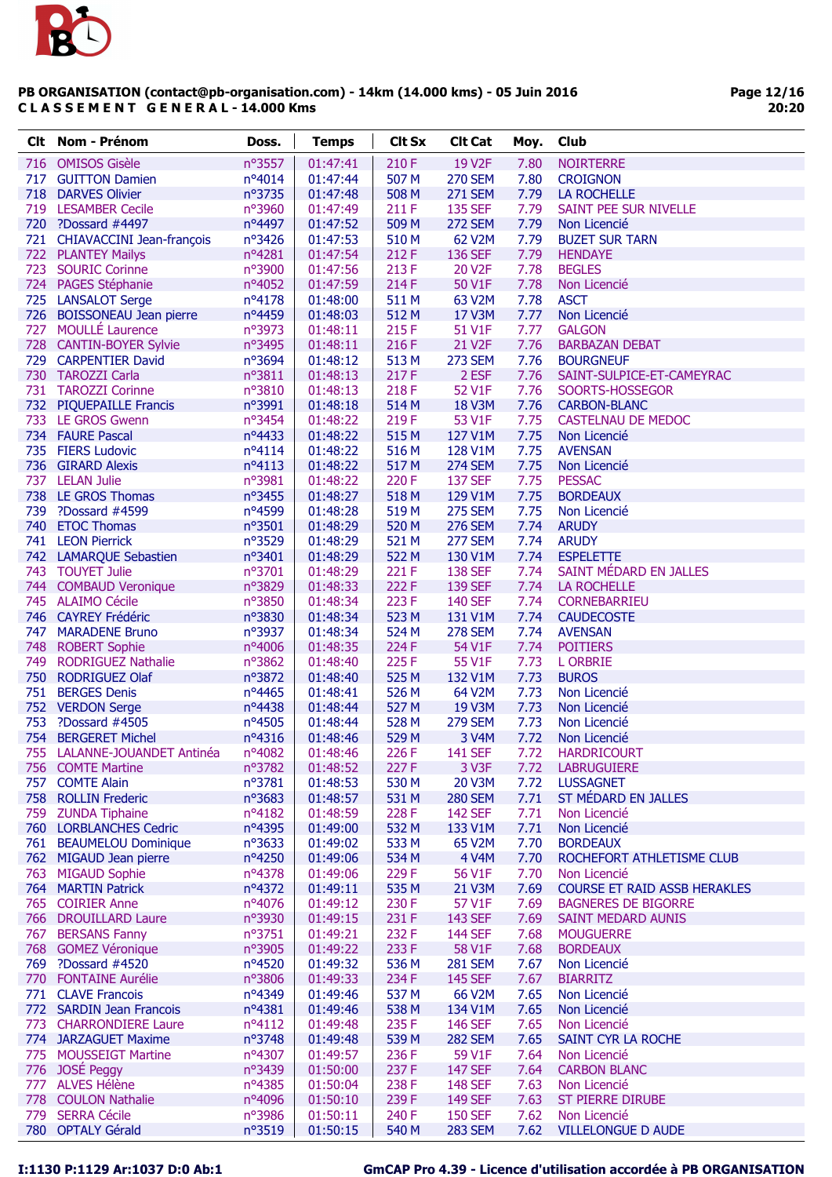

| Clt. | Nom - Prénom                  | Doss.           | <b>Temps</b> | <b>Clt Sx</b> | <b>Clt Cat</b>      | Moy. | Club                                |
|------|-------------------------------|-----------------|--------------|---------------|---------------------|------|-------------------------------------|
| 716  | <b>OMISOS Gisèle</b>          | nº3557          | 01:47:41     | 210 F         | 19 V2F              | 7.80 | <b>NOIRTERRE</b>                    |
| 717  | <b>GUITTON Damien</b>         | $n^o4014$       | 01:47:44     | 507 M         | <b>270 SEM</b>      | 7.80 | <b>CROIGNON</b>                     |
|      | 718 DARVES Olivier            | n°3735          | 01:47:48     | 508 M         | <b>271 SEM</b>      | 7.79 | LA ROCHELLE                         |
|      | 719 LESAMBER Cecile           | nº3960          | 01:47:49     | 211 F         | <b>135 SEF</b>      | 7.79 | SAINT PEE SUR NIVELLE               |
|      | 720 ?Dossard #4497            | nº4497          | 01:47:52     | 509 M         | <b>272 SEM</b>      | 7.79 | Non Licencié                        |
|      | 721 CHIAVACCINI Jean-françois | nº3426          | 01:47:53     | 510 M         | 62 V2M              | 7.79 | <b>BUZET SUR TARN</b>               |
|      | 722 PLANTEY Mailys            | nº4281          | 01:47:54     | 212 F         | 136 SEF             | 7.79 | <b>HENDAYE</b>                      |
| 723  | <b>SOURIC Corinne</b>         | nº3900          | 01:47:56     | 213 F         | 20 V2F              | 7.78 | <b>BEGLES</b>                       |
|      | 724 PAGES Stéphanie           | nº4052          | 01:47:59     | 214 F         | 50 V1F              | 7.78 | Non Licencié                        |
|      | 725 LANSALOT Serge            | nº4178          | 01:48:00     | 511 M         | 63 V2M              | 7.78 | <b>ASCT</b>                         |
|      | 726 BOISSONEAU Jean pierre    | nº4459          | 01:48:03     | 512 M         | 17 V3M              | 7.77 | Non Licencié                        |
| 727  | <b>MOULLÉ Laurence</b>        | nº3973          | 01:48:11     | 215F          | 51 V1F              | 7.77 | <b>GALGON</b>                       |
|      | 728 CANTIN-BOYER Sylvie       | n°3495          | 01:48:11     | 216 F         | 21 V <sub>2</sub> F | 7.76 | <b>BARBAZAN DEBAT</b>               |
|      | 729 CARPENTIER David          | nº3694          | 01:48:12     | 513 M         | <b>273 SEM</b>      | 7.76 | <b>BOURGNEUF</b>                    |
|      | 730 TAROZZI Carla             | n°3811          | 01:48:13     | 217F          | 2 ESF               | 7.76 | SAINT-SULPICE-ET-CAMEYRAC           |
|      | 731 TAROZZI Corinne           | nº3810          | 01:48:13     | 218F          | 52 V1F              | 7.76 | SOORTS-HOSSEGOR                     |
|      | 732 PIQUEPAILLE Francis       | n°3991          | 01:48:18     | 514 M         | <b>18 V3M</b>       | 7.76 | <b>CARBON-BLANC</b>                 |
|      | 733 LE GROS Gwenn             | nº3454          | 01:48:22     | 219 F         | 53 V1F              | 7.75 | <b>CASTELNAU DE MEDOC</b>           |
|      | 734 FAURE Pascal              | nº4433          | 01:48:22     | 515 M         | 127 V1M             | 7.75 | Non Licencié                        |
|      | 735 FIERS Ludovic             | $n^o4114$       | 01:48:22     | 516 M         | 128 V1M             | 7.75 | <b>AVENSAN</b>                      |
|      | 736 GIRARD Alexis             | $n^o4113$       | 01:48:22     | 517 M         | <b>274 SEM</b>      | 7.75 | Non Licencié                        |
| 737  | <b>LELAN Julie</b>            | n°3981          | 01:48:22     | 220 F         | <b>137 SEF</b>      | 7.75 | <b>PESSAC</b>                       |
|      | 738 LE GROS Thomas            | nº3455          | 01:48:27     | 518 M         | 129 V1M             | 7.75 | <b>BORDEAUX</b>                     |
|      | 739 ?Dossard #4599            | nº4599          | 01:48:28     | 519 M         | <b>275 SEM</b>      | 7.75 | Non Licencié                        |
|      | 740 ETOC Thomas               | n°3501          | 01:48:29     | 520 M         | <b>276 SEM</b>      | 7.74 | <b>ARUDY</b>                        |
|      | 741 LEON Pierrick             | n°3529          | 01:48:29     | 521 M         | <b>277 SEM</b>      | 7.74 | <b>ARUDY</b>                        |
|      | 742 LAMARQUE Sebastien        | nº3401          | 01:48:29     | 522 M         | 130 V1M             | 7.74 | <b>ESPELETTE</b>                    |
|      | 743 TOUYET Julie              | nº3701          | 01:48:29     | 221 F         | <b>138 SEF</b>      | 7.74 | SAINT MÉDARD EN JALLES              |
|      | 744 COMBAUD Veronique         | nº3829          | 01:48:33     | 222 F         | 139 SEF             | 7.74 | <b>LA ROCHELLE</b>                  |
|      | 745 ALAIMO Cécile             | nº3850          | 01:48:34     | 223 F         | <b>140 SEF</b>      | 7.74 | <b>CORNEBARRIEU</b>                 |
|      | 746 CAYREY Frédéric           | nº3830          | 01:48:34     | 523 M         | 131 V1M             | 7.74 | <b>CAUDECOSTE</b>                   |
|      | 747 MARADENE Bruno            | nº3937          | 01:48:34     | 524 M         | <b>278 SEM</b>      | 7.74 | <b>AVENSAN</b>                      |
|      | 748 ROBERT Sophie             | nº4006          | 01:48:35     | 224 F         | 54 V1F              | 7.74 | <b>POITIERS</b>                     |
| 749  | <b>RODRIGUEZ Nathalie</b>     | nº3862          | 01:48:40     | 225F          | 55 V1F              | 7.73 | <b>L ORBRIE</b>                     |
|      | 750 RODRIGUEZ Olaf            | nº3872          | 01:48:40     | 525 M         | 132 V1M             | 7.73 | <b>BUROS</b>                        |
| 751  | <b>BERGES Denis</b>           | nº4465          | 01:48:41     | 526 M         | 64 V2M              | 7.73 | Non Licencié                        |
|      | 752 VERDON Serge              | nº4438          | 01:48:44     | 527 M         | 19 V3M              | 7.73 | Non Licencié                        |
| 753  | ?Dossard #4505                | nº4505          | 01:48:44     | 528 M         | <b>279 SEM</b>      | 7.73 | Non Licencié                        |
|      | 754 BERGERET Michel           | nº4316          | 01:48:46     | 529 M         | 3 V4M               | 7.72 | Non Licencié                        |
| 755  | LALANNE-JOUANDET Antinéa      | nº4082          | 01:48:46     | 226 F         | <b>141 SEF</b>      | 7.72 | <b>HARDRICOURT</b>                  |
|      | 756 COMTE Martine             | nº3782          | 01:48:52     | 227 F         | 3 V3F               | 7.72 | <b>LABRUGUIERE</b>                  |
| 757  | <b>COMTE Alain</b>            | n°3781          | 01:48:53     | 530 M         | 20 V3M              | 7.72 | <b>LUSSAGNET</b>                    |
|      | 758 ROLLIN Frederic           | nº3683          | 01:48:57     | 531 M         | <b>280 SEM</b>      | 7.71 | ST MÉDARD EN JALLES                 |
|      | 759 ZUNDA Tiphaine            | nº4182          | 01:48:59     | 228 F         | <b>142 SEF</b>      | 7.71 | Non Licencié                        |
|      | 760 LORBLANCHES Cedric        | nº4395          | 01:49:00     | 532 M         | 133 V1M             | 7.71 | Non Licencié                        |
|      | 761 BEAUMELOU Dominique       | $n^{\circ}3633$ | 01:49:02     | 533 M         | 65 V2M              | 7.70 | <b>BORDEAUX</b>                     |
|      | 762 MIGAUD Jean pierre        | $n^o4250$       | 01:49:06     | 534 M         | 4 V4M               | 7.70 | ROCHEFORT ATHLETISME CLUB           |
| 763  | <b>MIGAUD Sophie</b>          | nº4378          | 01:49:06     | 229F          | 56 V1F              | 7.70 | Non Licencié                        |
|      | 764 MARTIN Patrick            | nº4372          | 01:49:11     | 535 M         | 21 V3M              | 7.69 | <b>COURSE ET RAID ASSB HERAKLES</b> |
|      | 765 COIRIER Anne              | nº4076          | 01:49:12     | 230 F         | 57 V1F              | 7.69 | <b>BAGNERES DE BIGORRE</b>          |
|      | 766 DROUILLARD Laure          | nº3930          | 01:49:15     | 231 F         | 143 SEF             | 7.69 | <b>SAINT MEDARD AUNIS</b>           |
|      | 767 BERSANS Fanny             | $n^{\circ}3751$ | 01:49:21     | 232 F         | <b>144 SEF</b>      | 7.68 | <b>MOUGUERRE</b>                    |
|      | 768 GOMEZ Véronique           | nº3905          | 01:49:22     | 233 F         | 58 V1F              | 7.68 | <b>BORDEAUX</b>                     |
|      | 769 ?Dossard #4520            | nº4520          | 01:49:32     | 536 M         | <b>281 SEM</b>      | 7.67 | Non Licencié                        |
|      | 770 FONTAINE Aurélie          | n°3806          | 01:49:33     | 234 F         | <b>145 SEF</b>      | 7.67 | <b>BIARRITZ</b>                     |
|      | 771 CLAVE Francois            | nº4349          | 01:49:46     | 537 M         | 66 V2M              | 7.65 | Non Licencié                        |
|      | 772 SARDIN Jean Francois      | $n^o4381$       | 01:49:46     | 538 M         | 134 V1M             | 7.65 | Non Licencié                        |
| 773  | <b>CHARRONDIERE Laure</b>     | $n^o4112$       | 01:49:48     | 235F          | <b>146 SEF</b>      | 7.65 | Non Licencié                        |
|      | 774 JARZAGUET Maxime          | nº3748          | 01:49:48     | 539 M         | <b>282 SEM</b>      | 7.65 | SAINT CYR LA ROCHE                  |
|      | 775 MOUSSEIGT Martine         | nº4307          | 01:49:57     | 236 F         | 59 V1F              | 7.64 | Non Licencié                        |
|      | 776 JOSÉ Peggy                | nº3439          | 01:50:00     | 237F          | <b>147 SEF</b>      | 7.64 | <b>CARBON BLANC</b>                 |
|      | 777 ALVES Hélène              | nº4385          | 01:50:04     | 238 F         | <b>148 SEF</b>      | 7.63 | Non Licencié                        |
|      | 778 COULON Nathalie           | nº4096          | 01:50:10     | 239 F         | 149 SEF             | 7.63 | <b>ST PIERRE DIRUBE</b>             |
|      | 779 SERRA Cécile              | nº3986          | 01:50:11     | 240 F         | <b>150 SEF</b>      | 7.62 | Non Licencié                        |
|      | 780 OPTALY Gérald             | n°3519          | 01:50:15     | 540 M         | <b>283 SEM</b>      | 7.62 | <b>VILLELONGUE D AUDE</b>           |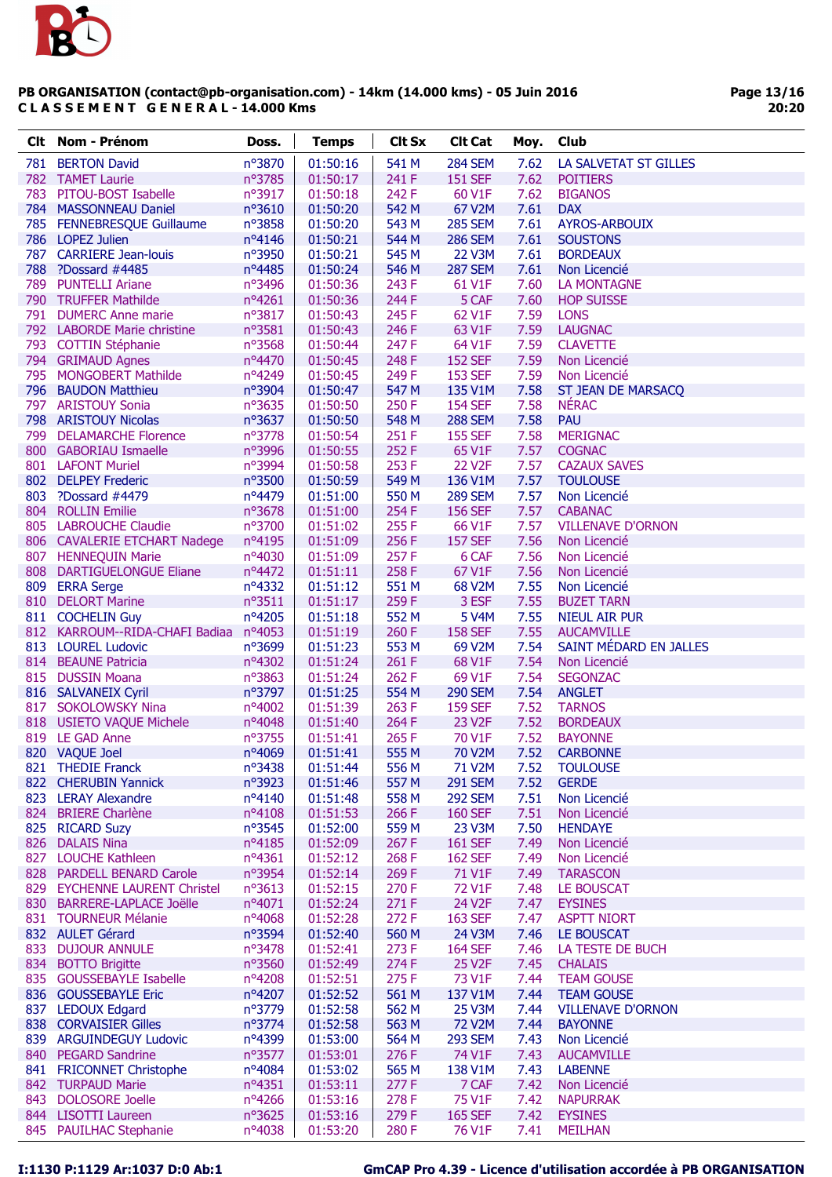

| Clt. | Nom - Prénom                          | Doss.           | <b>Temps</b> | <b>Clt Sx</b> | <b>Clt Cat</b> | Moy. | Club                     |
|------|---------------------------------------|-----------------|--------------|---------------|----------------|------|--------------------------|
|      | 781 BERTON David                      | nº3870          | 01:50:16     | 541 M         | <b>284 SEM</b> | 7.62 | LA SALVETAT ST GILLES    |
|      | 782 TAMET Laurie                      | nº3785          | 01:50:17     | 241 F         | <b>151 SEF</b> | 7.62 | <b>POITIERS</b>          |
|      | 783 PITOU-BOST Isabelle               | nº3917          | 01:50:18     | 242 F         | 60 V1F         | 7.62 | <b>BIGANOS</b>           |
|      | 784 MASSONNEAU Daniel                 | nº3610          | 01:50:20     | 542 M         | 67 V2M         | 7.61 | <b>DAX</b>               |
|      | 785 FENNEBRESQUE Guillaume            | nº3858          | 01:50:20     | 543 M         | <b>285 SEM</b> | 7.61 | <b>AYROS-ARBOUIX</b>     |
|      | 786 LOPEZ Julien                      | nº4146          | 01:50:21     | 544 M         | <b>286 SEM</b> | 7.61 | <b>SOUSTONS</b>          |
|      | 787 CARRIERE Jean-louis               | nº3950          | 01:50:21     | 545 M         | 22 V3M         | 7.61 | <b>BORDEAUX</b>          |
|      | 788 ?Dossard #4485                    | nº4485          | 01:50:24     | 546 M         | <b>287 SEM</b> | 7.61 | Non Licencié             |
|      | 789 PUNTELLI Ariane                   | nº3496          | 01:50:36     | 243 F         | 61 V1F         | 7.60 | <b>LA MONTAGNE</b>       |
|      | 790 TRUFFER Mathilde                  | nº4261          | 01:50:36     | 244 F         | 5 CAF          | 7.60 | <b>HOP SUISSE</b>        |
|      | 791 DUMERC Anne marie                 | nº3817          | 01:50:43     | 245 F         | 62 V1F         | 7.59 | <b>LONS</b>              |
|      | 792 LABORDE Marie christine           | nº3581          | 01:50:43     | 246 F         | 63 V1F         | 7.59 | <b>LAUGNAC</b>           |
|      | 793 COTTIN Stéphanie                  | nº3568          | 01:50:44     | 247 F         | 64 V1F         | 7.59 | <b>CLAVETTE</b>          |
|      | 794 GRIMAUD Agnes                     | nº4470          | 01:50:45     | 248 F         | <b>152 SEF</b> | 7.59 | Non Licencié             |
|      | 795 MONGOBERT Mathilde                | nº4249          | 01:50:45     | 249F          | <b>153 SEF</b> | 7.59 | Non Licencié             |
|      | 796 BAUDON Matthieu                   | nº3904          | 01:50:47     | 547 M         | 135 V1M        | 7.58 | ST JEAN DE MARSACQ       |
|      | 797 ARISTOUY Sonia                    | nº3635          | 01:50:50     | 250 F         | <b>154 SEF</b> | 7.58 | <b>NÉRAC</b>             |
|      | 798 ARISTOUY Nicolas                  | nº3637          | 01:50:50     | 548 M         | <b>288 SEM</b> | 7.58 | <b>PAU</b>               |
|      | 799 DELAMARCHE Florence               | nº3778          | 01:50:54     | 251 F         | <b>155 SEF</b> | 7.58 | <b>MERIGNAC</b>          |
|      | 800 GABORIAU Ismaelle                 | nº3996          | 01:50:55     | 252 F         | 65 V1F         | 7.57 | <b>COGNAC</b>            |
|      | 801 LAFONT Muriel                     | nº3994          | 01:50:58     | 253 F         | <b>22 V2F</b>  | 7.57 | <b>CAZAUX SAVES</b>      |
|      | 802 DELPEY Frederic                   | nº3500          | 01:50:59     | 549 M         | 136 V1M        | 7.57 | <b>TOULOUSE</b>          |
|      | 803 ?Dossard #4479                    | nº4479          | 01:51:00     | 550 M         | <b>289 SEM</b> | 7.57 | Non Licencié             |
|      | 804 ROLLIN Emilie                     | nº3678          | 01:51:00     | 254 F         | <b>156 SEF</b> | 7.57 | <b>CABANAC</b>           |
|      | 805 LABROUCHE Claudie                 | nº3700          | 01:51:02     | 255F          | 66 V1F         | 7.57 | <b>VILLENAVE D'ORNON</b> |
|      | 806 CAVALERIE ETCHART Nadege          | nº4195          | 01:51:09     | 256 F         | <b>157 SEF</b> | 7.56 | Non Licencié             |
|      | 807 HENNEQUIN Marie                   | nº4030          | 01:51:09     | 257 F         | 6 CAF          | 7.56 | Non Licencié             |
|      | 808 DARTIGUELONGUE Eliane             | nº4472          | 01:51:11     | 258 F         | 67 V1F         | 7.56 | Non Licencié             |
|      | 809 ERRA Serge                        | nº4332          | 01:51:12     | 551 M         | 68 V2M         | 7.55 | Non Licencié             |
|      | 810 DELORT Marine                     | $n^{\circ}3511$ | 01:51:17     | 259F          | 3 ESF          | 7.55 | <b>BUZET TARN</b>        |
|      | 811 COCHELIN Guy                      | nº4205          | 01:51:18     | 552 M         | <b>5 V4M</b>   | 7.55 | <b>NIEUL AIR PUR</b>     |
|      | 812 KARROUM--RIDA-CHAFI Badiaa nº4053 |                 | 01:51:19     | 260 F         | <b>158 SEF</b> | 7.55 | <b>AUCAMVILLE</b>        |
|      | 813 LOUREL Ludovic                    | nº3699          | 01:51:23     | 553 M         | 69 V2M         | 7.54 | SAINT MÉDARD EN JALLES   |
|      | 814 BEAUNE Patricia                   | nº4302          | 01:51:24     | 261 F         | 68 V1F         | 7.54 | Non Licencié             |
|      | 815 DUSSIN Moana                      | nº3863          | 01:51:24     | 262 F         | 69 V1F         | 7.54 | <b>SEGONZAC</b>          |
|      | 816 SALVANEIX Cyril                   | nº3797          | 01:51:25     | 554 M         | <b>290 SEM</b> | 7.54 | <b>ANGLET</b>            |
|      | 817 SOKOLOWSKY Nina                   | nº4002          | 01:51:39     | 263 F         | <b>159 SEF</b> | 7.52 | <b>TARNOS</b>            |
|      | 818 USIETO VAQUE Michele              | nº4048          | 01:51:40     | 264 F         | 23 V2F         | 7.52 | <b>BORDEAUX</b>          |
|      | 819 LE GAD Anne                       | nº3755          | 01:51:41     | 265F          | 70 V1F         | 7.52 | <b>BAYONNE</b>           |
|      | 820 VAQUE Joel                        | nº4069          | 01:51:41     | 555 M         | 70 V2M         | 7.52 | <b>CARBONNE</b>          |
|      | 821 THEDIE Franck                     | nº3438          | 01:51:44     | 556 M         | 71 V2M         | 7.52 | <b>TOULOUSE</b>          |
|      | 822 CHERUBIN Yannick                  | nº3923          | 01:51:46     | 557 M         | <b>291 SEM</b> | 7.52 | <b>GERDE</b>             |
|      | 823 LERAY Alexandre                   | nº4140          | 01:51:48     | 558 M         | <b>292 SEM</b> | 7.51 | Non Licencié             |
|      | 824 BRIERE Charlène                   | nº4108          | 01:51:53     | 266 F         | <b>160 SEF</b> | 7.51 | Non Licencié             |
|      | 825 RICARD Suzy                       | nº3545          | 01:52:00     | 559 M         | 23 V3M         | 7.50 | <b>HENDAYE</b>           |
|      | 826 DALAIS Nina                       | nº4185          | 01:52:09     | 267 F         | <b>161 SEF</b> | 7.49 | Non Licencié             |
| 827  | <b>LOUCHE Kathleen</b>                | $n^o4361$       | 01:52:12     | 268F          | <b>162 SEF</b> | 7.49 | Non Licencié             |
|      | 828 PARDELL BENARD Carole             | nº3954          | 01:52:14     | 269F          | 71 V1F         | 7.49 | <b>TARASCON</b>          |
|      | 829 EYCHENNE LAURENT Christel         | nº3613          | 01:52:15     | 270 F         | 72 V1F         | 7.48 | LE BOUSCAT               |
|      | 830 BARRERE-LAPLACE Joëlle            | nº4071          | 01:52:24     | 271 F         | 24 V2F         | 7.47 | <b>EYSINES</b>           |
|      | 831 TOURNEUR Mélanie                  | nº4068          | 01:52:28     | 272 F         | 163 SEF        | 7.47 | <b>ASPTT NIORT</b>       |
|      | 832 AULET Gérard                      | nº3594          | 01:52:40     | 560 M         | 24 V3M         | 7.46 | LE BOUSCAT               |
| 833  | <b>DUJOUR ANNULE</b>                  | nº3478          | 01:52:41     | 273 F         | <b>164 SEF</b> | 7.46 | LA TESTE DE BUCH         |
|      | 834 BOTTO Brigitte                    | nº3560          | 01:52:49     | 274 F         | <b>25 V2F</b>  | 7.45 | <b>CHALAIS</b>           |
|      | 835 GOUSSEBAYLE Isabelle              | nº4208          | 01:52:51     | 275F          | 73 V1F         | 7.44 | <b>TEAM GOUSE</b>        |
|      | 836 GOUSSEBAYLE Eric                  | nº4207          | 01:52:52     | 561 M         | 137 V1M        | 7.44 | <b>TEAM GOUSE</b>        |
|      | 837 LEDOUX Edgard                     | nº3779          | 01:52:58     | 562 M         | 25 V3M         | 7.44 | <b>VILLENAVE D'ORNON</b> |
|      | 838 CORVAISIER Gilles                 | nº3774          | 01:52:58     | 563 M         | <b>72 V2M</b>  | 7.44 | <b>BAYONNE</b>           |
|      | 839 ARGUINDEGUY Ludovic               | nº4399          | 01:53:00     | 564 M         | <b>293 SEM</b> | 7.43 | Non Licencié             |
|      | 840 PEGARD Sandrine                   | nº3577          | 01:53:01     | 276 F         | 74 V1F         | 7.43 | <b>AUCAMVILLE</b>        |
|      | 841 FRICONNET Christophe              | nº4084          | 01:53:02     | 565 M         | 138 V1M        | 7.43 | <b>LABENNE</b>           |
|      | 842 TURPAUD Marie                     | $n^o4351$       | 01:53:11     | 277 F         | 7 CAF          | 7.42 | Non Licencié             |
| 843  | <b>DOLOSORE Joelle</b>                | nº4266          | 01:53:16     | 278 F         | 75 V1F         | 7.42 | <b>NAPURRAK</b>          |
|      | 844 LISOTTI Laureen                   | nº3625          | 01:53:16     | 279F          | <b>165 SEF</b> | 7.42 | <b>EYSINES</b>           |
|      | 845 PAUILHAC Stephanie                | nº4038          | 01:53:20     | 280F          | 76 V1F         | 7.41 | <b>MEILHAN</b>           |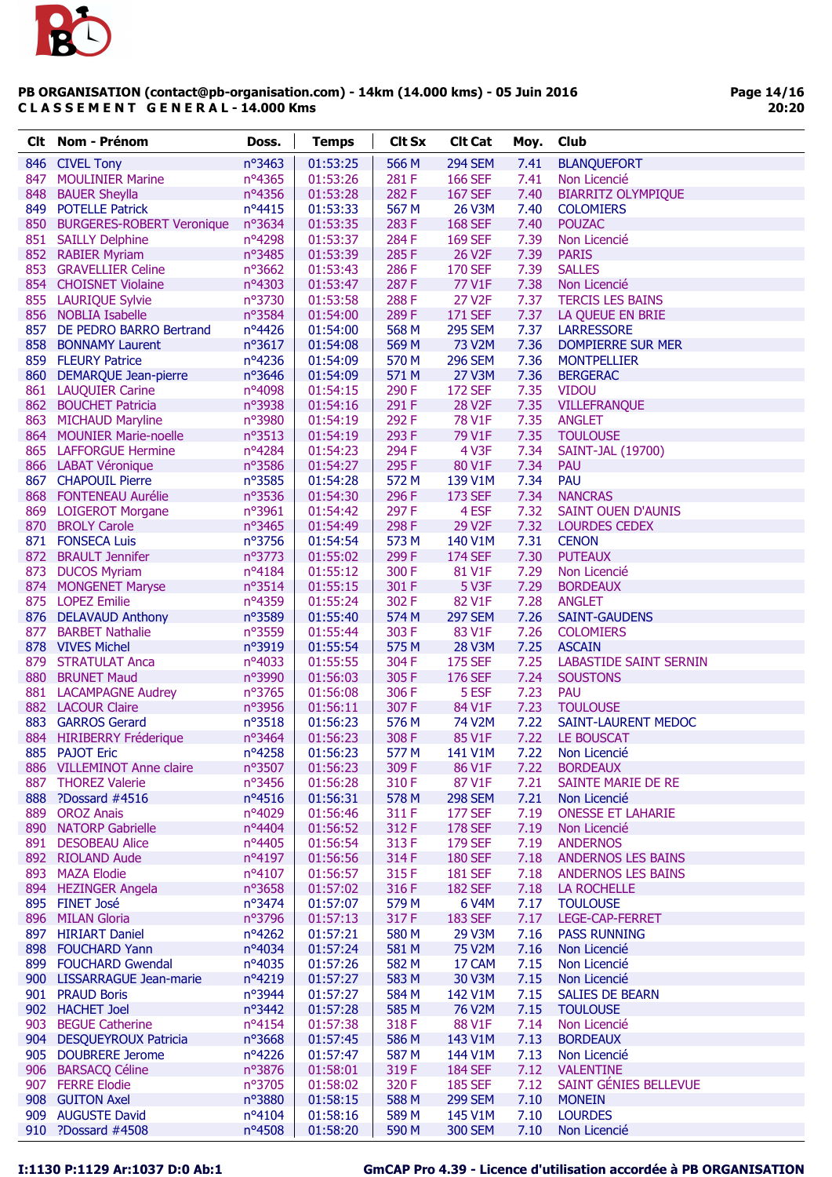

|     | <b>Clt</b> Nom - Prénom       | Doss.           | <b>Temps</b> | <b>Clt Sx</b> | <b>Clt Cat</b>      | Moy. | Club                          |
|-----|-------------------------------|-----------------|--------------|---------------|---------------------|------|-------------------------------|
|     | 846 CIVEL Tony                | nº3463          | 01:53:25     | 566 M         | <b>294 SEM</b>      | 7.41 | <b>BLANQUEFORT</b>            |
| 847 | <b>MOULINIER Marine</b>       | $n^o$ 4365      | 01:53:26     | 281F          | <b>166 SEF</b>      | 7.41 | Non Licencié                  |
| 848 | <b>BAUER Sheylla</b>          | nº4356          | 01:53:28     | 282F          | <b>167 SEF</b>      | 7.40 | <b>BIARRITZ OLYMPIQUE</b>     |
|     | 849 POTELLE Patrick           | nº4415          | 01:53:33     | 567 M         | 26 V3M              | 7.40 | <b>COLOMIERS</b>              |
|     | 850 BURGERES-ROBERT Veronique | $n^o$ 3634      | 01:53:35     | 283F          | <b>168 SEF</b>      | 7.40 | <b>POUZAC</b>                 |
|     | 851 SAILLY Delphine           | nº4298          | 01:53:37     | 284 F         | <b>169 SEF</b>      | 7.39 | Non Licencié                  |
|     | 852 RABIER Myriam             | nº3485          | 01:53:39     | 285F          | 26 V <sub>2F</sub>  | 7.39 | <b>PARIS</b>                  |
|     | 853 GRAVELLIER Celine         | $n^{\circ}3662$ | 01:53:43     | 286 F         | <b>170 SEF</b>      | 7.39 | <b>SALLES</b>                 |
|     | 854 CHOISNET Violaine         | nº4303          | 01:53:47     | 287F          | 77 V1F              | 7.38 | Non Licencié                  |
|     | 855 LAURIQUE Sylvie           | nº3730          | 01:53:58     | 288 F         | 27 V2F              | 7.37 | <b>TERCIS LES BAINS</b>       |
|     | 856 NOBLIA Isabelle           | nº3584          | 01:54:00     | 289F          | <b>171 SEF</b>      | 7.37 | LA QUEUE EN BRIE              |
|     | 857 DE PEDRO BARRO Bertrand   | nº4426          | 01:54:00     | 568 M         | <b>295 SEM</b>      | 7.37 | <b>LARRESSORE</b>             |
| 858 | <b>BONNAMY Laurent</b>        | $n^{\circ}3617$ | 01:54:08     | 569 M         | 73 V2M              | 7.36 | <b>DOMPIERRE SUR MER</b>      |
|     | 859 FLEURY Patrice            | nº4236          | 01:54:09     | 570 M         | <b>296 SEM</b>      | 7.36 | <b>MONTPELLIER</b>            |
|     | 860 DEMARQUE Jean-pierre      | nº3646          | 01:54:09     | 571 M         | 27 V3M              | 7.36 | <b>BERGERAC</b>               |
|     | 861 LAUQUIER Carine           | nº4098          | 01:54:15     | 290 F         | <b>172 SEF</b>      | 7.35 | <b>VIDOU</b>                  |
|     | 862 BOUCHET Patricia          | nº3938          | 01:54:16     | 291 F         | <b>28 V2F</b>       | 7.35 | <b>VILLEFRANQUE</b>           |
|     | 863 MICHAUD Maryline          | nº3980          | 01:54:19     | 292 F         | 78 V1F              | 7.35 | <b>ANGLET</b>                 |
|     | 864 MOUNIER Marie-noelle      | nº3513          | 01:54:19     | 293 F         | 79 V1F              | 7.35 | <b>TOULOUSE</b>               |
|     | 865 LAFFORGUE Hermine         | nº4284          | 01:54:23     | 294 F         | 4 V3F               | 7.34 | SAINT-JAL (19700)             |
|     | 866 LABAT Véronique           | nº3586          | 01:54:27     | 295 F         | 80 V1F              | 7.34 | PAU                           |
|     | 867 CHAPOUIL Pierre           | nº3585          | 01:54:28     | 572 M         | 139 V1M             | 7.34 | <b>PAU</b>                    |
|     | 868 FONTENEAU Aurélie         | nº3536          | 01:54:30     | 296 F         | 173 SEF             | 7.34 | <b>NANCRAS</b>                |
|     | 869 LOIGEROT Morgane          | nº3961          | 01:54:42     | 297F          | 4 ESF               | 7.32 | <b>SAINT OUEN D'AUNIS</b>     |
|     | 870 BROLY Carole              | nº3465          | 01:54:49     | 298 F         | 29 V2F              | 7.32 | <b>LOURDES CEDEX</b>          |
|     | 871 FONSECA Luis              | nº3756          | 01:54:54     | 573 M         | 140 V1M             | 7.31 | <b>CENON</b>                  |
|     | 872 BRAULT Jennifer           | nº3773          | 01:55:02     | 299F          | <b>174 SEF</b>      | 7.30 | <b>PUTEAUX</b>                |
| 873 | <b>DUCOS Myriam</b>           | nº4184          | 01:55:12     | 300F          | 81 V1F              | 7.29 | Non Licencié                  |
|     | 874 MONGENET Maryse           | $n^{\circ}3514$ | 01:55:15     | 301 F         | 5 V3F               | 7.29 | <b>BORDEAUX</b>               |
|     | 875 LOPEZ Emilie              | nº4359          | 01:55:24     | 302 F         | 82 V1F              | 7.28 | <b>ANGLET</b>                 |
|     | 876 DELAVAUD Anthony          | nº3589          | 01:55:40     | 574 M         | <b>297 SEM</b>      | 7.26 | <b>SAINT-GAUDENS</b>          |
| 877 | <b>BARBET Nathalie</b>        | nº3559          | 01:55:44     | 303 F         | 83 V1F              | 7.26 | <b>COLOMIERS</b>              |
|     | 878 VIVES Michel              | nº3919          | 01:55:54     | 575 M         | 28 V3M              | 7.25 | <b>ASCAIN</b>                 |
|     | 879 STRATULAT Anca            | nº4033          | 01:55:55     | 304F          | <b>175 SEF</b>      | 7.25 | <b>LABASTIDE SAINT SERNIN</b> |
|     | 880 BRUNET Maud               | nº3990          | 01:56:03     | 305F          | 176 SEF             | 7.24 | <b>SOUSTONS</b>               |
|     | 881 LACAMPAGNE Audrey         | nº3765          | 01:56:08     | 306 F         | 5 ESF               | 7.23 | <b>PAU</b>                    |
|     | 882 LACOUR Claire             | nº3956          | 01:56:11     | 307F          | 84 V1F              | 7.23 | <b>TOULOUSE</b>               |
|     | 883 GARROS Gerard             | $n^o$ 3518      | 01:56:23     | 576 M         | 74 V2M              | 7.22 | SAINT-LAURENT MEDOC           |
|     | 884 HIRIBERRY Fréderique      | nº3464          | 01:56:23     | 308 F         | 85 V1F              | 7.22 | LE BOUSCAT                    |
|     | 885 PAJOT Eric                | nº4258          | 01:56:23     | 577 M         | 141 V1M             | 7.22 | Non Licencié                  |
|     | 886 VILLEMINOT Anne claire    | nº3507          | 01:56:23     | 309 F         | 86 V1F              | 7.22 | <b>BORDEAUX</b>               |
|     | 887 THOREZ Valerie            | $n^{\circ}3456$ | 01:56:28     | 310 F         | 87 V1F              | 7.21 | <b>SAINTE MARIE DE RE</b>     |
|     | 888 ?Dossard #4516            | nº4516          | 01:56:31     | 578 M         | <b>298 SEM</b>      | 7.21 | Non Licencié                  |
|     | 889 OROZ Anais                | nº4029          | 01:56:46     | 311 F         | <b>177 SEF</b>      | 7.19 | <b>ONESSE ET LAHARIE</b>      |
|     | 890 NATORP Gabrielle          | nº4404          | 01:56:52     | 312 F         | <b>178 SEF</b>      | 7.19 | Non Licencié                  |
| 891 | <b>DESOBEAU Alice</b>         | nº4405          | 01:56:54     | 313F          | <b>179 SEF</b>      | 7.19 | <b>ANDERNOS</b>               |
|     | 892 RIOLAND Aude              | $n^o4197$       | 01:56:56     | 314F          | <b>180 SEF</b>      | 7.18 | <b>ANDERNOS LES BAINS</b>     |
|     | 893 MAZA Elodie               | nº4107          | 01:56:57     | 315F          | <b>181 SEF</b>      | 7.18 | <b>ANDERNOS LES BAINS</b>     |
|     | 894 HEZINGER Angela           | nº3658          | 01:57:02     | 316F          | <b>182 SEF</b>      | 7.18 | LA ROCHELLE                   |
|     | 895 FINET José                | nº3474          | 01:57:07     | 579 M         | 6 V4M               | 7.17 | <b>TOULOUSE</b>               |
|     | 896 MILAN Gloria              | nº3796          | 01:57:13     | 317F          | <b>183 SEF</b>      | 7.17 | LEGE-CAP-FERRET               |
|     | 897 HIRIART Daniel            | nº4262          | 01:57:21     | 580 M         | 29 V3M              | 7.16 | <b>PASS RUNNING</b>           |
|     | 898 FOUCHARD Yann             | nº4034          | 01:57:24     | 581 M         | 75 V2M              | 7.16 | Non Licencié                  |
|     | 899 FOUCHARD Gwendal          | nº4035          | 01:57:26     | 582 M         | 17 CAM              | 7.15 | Non Licencié                  |
|     | 900 LISSARRAGUE Jean-marie    | nº4219          | 01:57:27     | 583 M         | 30 V3M              | 7.15 | Non Licencié                  |
|     | 901 PRAUD Boris               | nº3944          | 01:57:27     | 584 M         | 142 V1M             | 7.15 | <b>SALIES DE BEARN</b>        |
|     | 902 HACHET Joel               | $n^{\circ}3442$ | 01:57:28     | 585 M         | 76 V <sub>2</sub> M | 7.15 | <b>TOULOUSE</b>               |
| 903 | <b>BEGUE Catherine</b>        | nº4154          | 01:57:38     | 318 F         | 88 V1F              | 7.14 | Non Licencié                  |
| 904 | <b>DESQUEYROUX Patricia</b>   | nº3668          | 01:57:45     | 586 M         | 143 V1M             | 7.13 | <b>BORDEAUX</b>               |
|     | 905 DOUBRERE Jerome           | nº4226          | 01:57:47     | 587 M         | 144 V1M             | 7.13 | Non Licencié                  |
|     | 906 BARSACQ Céline            | nº3876          | 01:58:01     | 319F          | <b>184 SEF</b>      | 7.12 | <b>VALENTINE</b>              |
|     | 907 FERRE Elodie              | nº3705          | 01:58:02     | 320 F         | <b>185 SEF</b>      | 7.12 | SAINT GÉNIES BELLEVUE         |
|     | 908 GUITON Axel               | nº3880          | 01:58:15     | 588 M         | <b>299 SEM</b>      | 7.10 | <b>MONEIN</b>                 |
|     | 909 AUGUSTE David             | nº4104          | 01:58:16     | 589 M         | 145 V1M             | 7.10 | <b>LOURDES</b>                |
|     | 910 ?Dossard #4508            | nº4508          | 01:58:20     | 590 M         | <b>300 SEM</b>      | 7.10 | Non Licencié                  |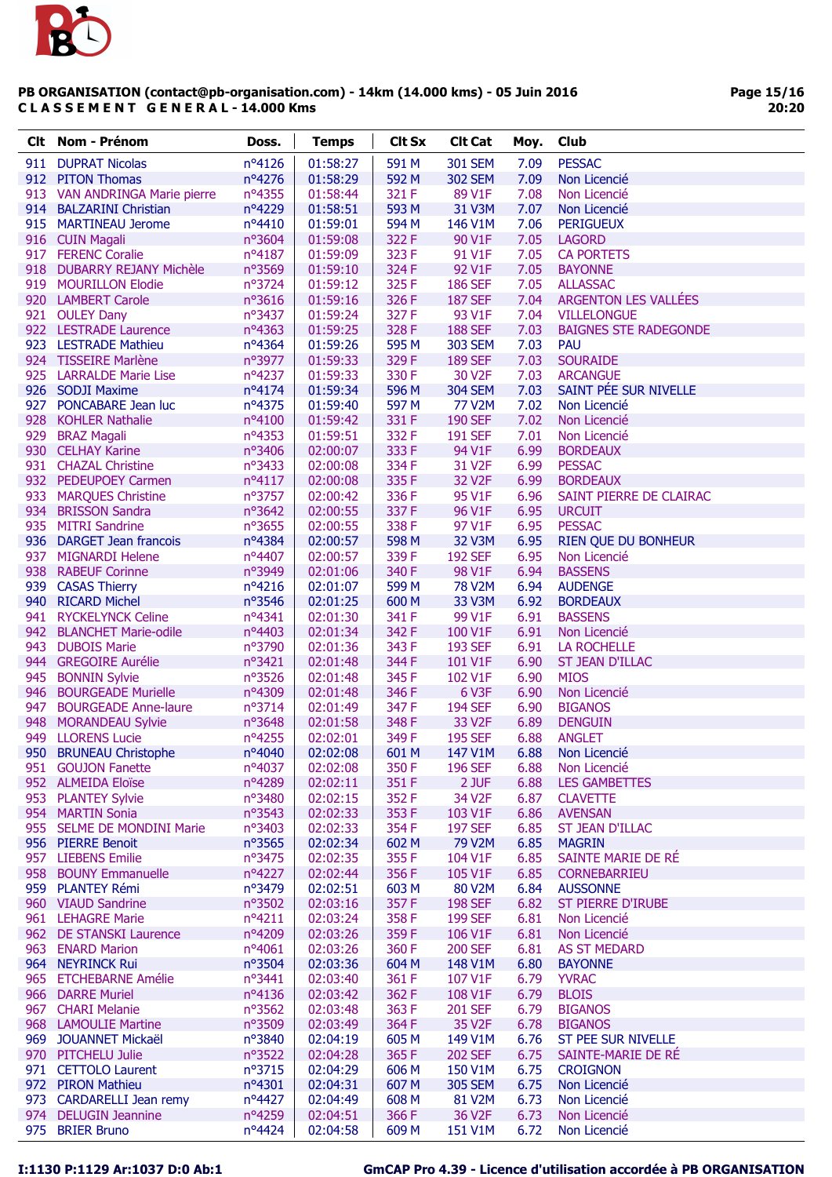

Page 15/16 20:20

| nº4126<br>01:58:27<br>591 M<br><b>301 SEM</b><br>7.09<br><b>PESSAC</b><br>911 DUPRAT Nicolas<br>912 PITON Thomas<br>nº4276<br>592 M<br>7.09<br>01:58:29<br>302 SEM<br>Non Licencié<br>nº4355<br>913 VAN ANDRINGA Marie pierre<br>01:58:44<br>321 F<br>89 V1F<br>7.08<br>Non Licencié<br>nº4229<br>593 M<br>914 BALZARINI Christian<br>01:58:51<br>31 V3M<br>7.07<br>Non Licencié<br>915 MARTINEAU Jerome<br>nº4410<br>01:59:01<br>594 M<br>146 V1M<br>7.06<br><b>PERIGUEUX</b><br>322 F<br>916 CUIN Magali<br>nº3604<br>01:59:08<br>90 V1F<br>7.05<br><b>LAGORD</b><br>917 FERENC Coralie<br>nº4187<br>323 F<br>91 V1F<br>7.05<br>01:59:09<br><b>CA PORTETS</b><br>nº3569<br>324 F<br>92 V1F<br>7.05<br>918 DUBARRY REJANY Michèle<br>01:59:10<br><b>BAYONNE</b><br>325F<br>919 MOURILLON Elodie<br>nº3724<br>01:59:12<br><b>186 SEF</b><br>7.05<br><b>ALLASSAC</b><br>ARGENTON LES VALLÉES<br>920 LAMBERT Carole<br>nº3616<br>01:59:16<br>326 F<br><b>187 SEF</b><br>7.04<br>921 OULEY Dany<br>nº3437<br>01:59:24<br>327F<br>93 V1F<br>7.04<br><b>VILLELONGUE</b><br>328 F<br>922 LESTRADE Laurence<br>nº4363<br><b>188 SEF</b><br>7.03<br><b>BAIGNES STE RADEGONDE</b><br>01:59:25<br>923 LESTRADE Mathieu<br>595 M<br>7.03<br>$n^o$ 4364<br>01:59:26<br>303 SEM<br><b>PAU</b><br>924 TISSEIRE Marlène<br>329 F<br>7.03<br><b>SOURAIDE</b><br>nº3977<br>01:59:33<br><b>189 SEF</b><br>925 LARRALDE Marie Lise<br>nº4237<br>01:59:33<br>330 F<br>30 V2F<br>7.03<br><b>ARCANGUE</b><br>SAINT PÉE SUR NIVELLE<br>926 SODJI Maxime<br>nº4174<br>01:59:34<br>596 M<br><b>304 SEM</b><br>7.03<br>927 PONCABARE Jean luc<br>nº4375<br>597 M<br>77 V2M<br>7.02<br>01:59:40<br>Non Licencié<br>331 F<br><b>190 SEF</b><br>7.02<br>928 KOHLER Nathalie<br>$n^o4100$<br>01:59:42<br>Non Licencié<br>332 F<br>929 BRAZ Magali<br>nº4353<br>01:59:51<br><b>191 SEF</b><br>7.01<br>Non Licencié<br>930 CELHAY Karine<br>nº3406<br>333 F<br>94 V1F<br>6.99<br>02:00:07<br><b>BORDEAUX</b><br>931 CHAZAL Christine<br>nº3433<br>334 F<br>31 V2F<br>6.99<br><b>PESSAC</b><br>02:00:08<br>932 PEDEUPOEY Carmen<br>335F<br>32 V <sub>2F</sub><br>6.99<br>$n^o4117$<br>02:00:08<br><b>BORDEAUX</b><br>933<br>nº3757<br>95 V1F<br>6.96<br>SAINT PIERRE DE CLAIRAC<br><b>MARQUES Christine</b><br>02:00:42<br>336 F<br>337F<br>6.95<br>934 BRISSON Sandra<br>nº3642<br>02:00:55<br>96 V1F<br><b>URCUIT</b><br>935 MITRI Sandrine<br>n°3655<br>338 F<br>97 V1F<br>6.95<br><b>PESSAC</b><br>02:00:55<br>936 DARGET Jean francois<br>nº4384<br>598 M<br>32 V3M<br>6.95<br>02:00:57<br><b>RIEN QUE DU BONHEUR</b><br>937 MIGNARDI Helene<br>nº4407<br>339F<br><b>192 SEF</b><br>6.95<br>02:00:57<br>Non Licencié<br>nº3949<br>340 F<br>98 V1F<br>6.94<br>938 RABEUF Corinne<br>02:01:06<br><b>BASSENS</b><br>599 M<br>6.94<br>939 CASAS Thierry<br>nº4216<br>02:01:07<br>78 V2M<br><b>AUDENGE</b><br>940 RICARD Michel<br>nº3546<br>600 M<br>33 V3M<br>6.92<br>02:01:25<br><b>BORDEAUX</b><br>941 RYCKELYNCK Celine<br>nº4341<br>341 F<br>99 V1F<br>6.91<br><b>BASSENS</b><br>02:01:30<br>nº4403<br>342 F<br>100 V1F<br>6.91<br>942 BLANCHET Marie-odile<br>02:01:34<br>Non Licencié<br>nº3790<br>6.91<br>943<br><b>DUBOIS Marie</b><br>02:01:36<br>343 F<br><b>193 SEF</b><br><b>LA ROCHELLE</b><br>344 F<br>6.90<br>944 GREGOIRE Aurélie<br>nº3421<br>02:01:48<br>101 V1F<br><b>ST JEAN D'ILLAC</b><br>945 BONNIN Sylvie<br>nº3526<br>345F<br>102 V1F<br>6.90<br>02:01:48<br><b>MIOS</b><br>946 BOURGEADE Murielle<br>nº4309<br>346 F<br>6 V3F<br>Non Licencié<br>02:01:48<br>6.90<br>nº3714<br><b>194 SEF</b><br>947<br><b>BOURGEADE Anne-laure</b><br>02:01:49<br>347 F<br>6.90<br><b>BIGANOS</b><br>348F<br>33 V2F<br>6.89<br>948<br><b>MORANDEAU Sylvie</b><br>nº3648<br>02:01:58<br><b>DENGUIN</b><br>949<br><b>LLORENS Lucie</b><br>nº4255<br>349F<br>6.88<br>02:02:01<br><b>195 SEF</b><br><b>ANGLET</b><br>nº4040<br>950 BRUNEAU Christophe<br>02:02:08<br>601 M<br>147 V1M<br>6.88<br>Non Licencié<br>350F<br><b>196 SEF</b><br>951 GOUJON Fanette<br>nº4037<br>02:02:08<br>Non Licencié<br>6.88<br>952 ALMEIDA Eloïse<br>nº4289<br>02:02:11<br>351 F<br>2 JUF<br>6.88<br><b>LES GAMBETTES</b><br>352F<br>953 PLANTEY Sylvie<br>nº3480<br>02:02:15<br>34 V2F<br>6.87<br><b>CLAVETTE</b><br>nº3543<br>02:02:33<br>353F<br>954 MARTIN Sonia<br>103 V1F<br>6.86<br><b>AVENSAN</b><br>nº3403<br>354F<br>955 SELME DE MONDINI Marie<br>02:02:33<br><b>197 SEF</b><br>6.85<br><b>ST JEAN D'ILLAC</b><br>nº3565<br>602 M<br>956 PIERRE Benoit<br>02:02:34<br>79 V2M<br>6.85<br><b>MAGRIN</b><br>355F<br>SAINTE MARIE DE RÉ<br>957 LIEBENS Emilie<br>nº3475<br>02:02:35<br>104 V1F<br>6.85<br>356F<br>958 BOUNY Emmanuelle<br>$n^o4227$<br>02:02:44<br>105 V1F<br>6.85<br><b>CORNEBARRIEU</b><br>959 PLANTEY Rémi<br>nº3479<br>603 M<br>02:02:51<br>80 V2M<br>6.84<br><b>AUSSONNE</b><br>nº3502<br>02:03:16<br>357F<br>960 VIAUD Sandrine<br><b>198 SEF</b><br>6.82<br><b>ST PIERRE D'IRUBE</b><br>nº4211<br>358F<br>961 LEHAGRE Marie<br>02:03:24<br><b>199 SEF</b><br>6.81<br>Non Licencié<br>nº4209<br>359F<br>106 V1F<br>6.81<br>962 DE STANSKI Laurence<br>02:03:26<br>Non Licencié<br>963<br><b>ENARD Marion</b><br>nº4061<br>02:03:26<br>360 F<br><b>200 SEF</b><br>6.81<br><b>AS ST MEDARD</b><br>964 NEYRINCK Rui<br>nº3504<br>02:03:36<br>604 M<br>148 V1M<br>6.80<br><b>BAYONNE</b><br>965 ETCHEBARNE Amélie<br>nº3441<br>02:03:40<br>361 F<br>107 V1F<br>6.79<br><b>YVRAC</b><br>362 F<br>966 DARRE Muriel<br>$n^o4136$<br>02:03:42<br>108 V1F<br>6.79<br><b>BLOIS</b><br>967 CHARI Melanie<br>$n^{\circ}3562$<br>02:03:48<br>363 F<br><b>201 SEF</b><br>6.79<br><b>BIGANOS</b><br>968 LAMOULIE Martine<br>nº3509<br>02:03:49<br>364 F<br>35 V <sub>2F</sub><br>6.78<br><b>BIGANOS</b><br>nº3840<br>ST PEE SUR NIVELLE<br>969 JOUANNET Mickaël<br>02:04:19<br>605 M<br>149 V1M<br>6.76<br>970 PITCHELU Julie<br>nº3522<br>02:04:28<br>365F<br><b>202 SEF</b><br>6.75<br>SAINTE-MARIE DE RÉ<br>nº3715<br>971 CETTOLO Laurent<br>02:04:29<br>606 M<br>150 V1M<br>6.75<br><b>CROIGNON</b><br>607 M<br>6.75<br>972 PIRON Mathieu<br>$n^o4301$<br>02:04:31<br><b>305 SEM</b><br>Non Licencié<br>973 CARDARELLI Jean remy<br>nº4427<br>02:04:49<br>608 M<br>6.73<br>Non Licencié<br>81 V <sub>2</sub> M<br>nº4259<br>366F<br>36 V2F<br>974 DELUGIN Jeannine<br>02:04:51<br>6.73<br>Non Licencié<br><b>BRIER Bruno</b><br>nº4424<br>975<br>02:04:58<br>609 M<br>151 V1M<br>6.72<br>Non Licencié | Clt. | Nom - Prénom | Doss. | <b>Temps</b> | <b>Clt Sx</b> | <b>Clt Cat</b> | Moy. | <b>Club</b> |
|---------------------------------------------------------------------------------------------------------------------------------------------------------------------------------------------------------------------------------------------------------------------------------------------------------------------------------------------------------------------------------------------------------------------------------------------------------------------------------------------------------------------------------------------------------------------------------------------------------------------------------------------------------------------------------------------------------------------------------------------------------------------------------------------------------------------------------------------------------------------------------------------------------------------------------------------------------------------------------------------------------------------------------------------------------------------------------------------------------------------------------------------------------------------------------------------------------------------------------------------------------------------------------------------------------------------------------------------------------------------------------------------------------------------------------------------------------------------------------------------------------------------------------------------------------------------------------------------------------------------------------------------------------------------------------------------------------------------------------------------------------------------------------------------------------------------------------------------------------------------------------------------------------------------------------------------------------------------------------------------------------------------------------------------------------------------------------------------------------------------------------------------------------------------------------------------------------------------------------------------------------------------------------------------------------------------------------------------------------------------------------------------------------------------------------------------------------------------------------------------------------------------------------------------------------------------------------------------------------------------------------------------------------------------------------------------------------------------------------------------------------------------------------------------------------------------------------------------------------------------------------------------------------------------------------------------------------------------------------------------------------------------------------------------------------------------------------------------------------------------------------------------------------------------------------------------------------------------------------------------------------------------------------------------------------------------------------------------------------------------------------------------------------------------------------------------------------------------------------------------------------------------------------------------------------------------------------------------------------------------------------------------------------------------------------------------------------------------------------------------------------------------------------------------------------------------------------------------------------------------------------------------------------------------------------------------------------------------------------------------------------------------------------------------------------------------------------------------------------------------------------------------------------------------------------------------------------------------------------------------------------------------------------------------------------------------------------------------------------------------------------------------------------------------------------------------------------------------------------------------------------------------------------------------------------------------------------------------------------------------------------------------------------------------------------------------------------------------------------------------------------------------------------------------------------------------------------------------------------------------------------------------------------------------------------------------------------------------------------------------------------------------------------------------------------------------------------------------------------------------------------------------------------------------------------------------------------------------------------------------------------------------------------------------------------------------------------------------------------------------------------------------------------------------------------------------------------------------------------------------------------------------------------------------------------------------------------------------------------------------------------------------------------------------------------------------------------------------------------------------------------------------------------------------------------------------------------------------------------------------------------------------------------------------------------------------------------------------------------------------------------------------------------------------------------------------------------------------------------------------------------------------------------------------------------------------------------------------------------------------------------------------------------------------------------------------------------------------------------------------------------------------------------------------------------------------------------------------------------|------|--------------|-------|--------------|---------------|----------------|------|-------------|
|                                                                                                                                                                                                                                                                                                                                                                                                                                                                                                                                                                                                                                                                                                                                                                                                                                                                                                                                                                                                                                                                                                                                                                                                                                                                                                                                                                                                                                                                                                                                                                                                                                                                                                                                                                                                                                                                                                                                                                                                                                                                                                                                                                                                                                                                                                                                                                                                                                                                                                                                                                                                                                                                                                                                                                                                                                                                                                                                                                                                                                                                                                                                                                                                                                                                                                                                                                                                                                                                                                                                                                                                                                                                                                                                                                                                                                                                                                                                                                                                                                                                                                                                                                                                                                                                                                                                                                                                                                                                                                                                                                                                                                                                                                                                                                                                                                                                                                                                                                                                                                                                                                                                                                                                                                                                                                                                                                                                                                                                                                                                                                                                                                                                                                                                                                                                                                                                                                                                                                                                                                                                                                                                                                                                                                                                                                                                                                                                                                                                                 |      |              |       |              |               |                |      |             |
|                                                                                                                                                                                                                                                                                                                                                                                                                                                                                                                                                                                                                                                                                                                                                                                                                                                                                                                                                                                                                                                                                                                                                                                                                                                                                                                                                                                                                                                                                                                                                                                                                                                                                                                                                                                                                                                                                                                                                                                                                                                                                                                                                                                                                                                                                                                                                                                                                                                                                                                                                                                                                                                                                                                                                                                                                                                                                                                                                                                                                                                                                                                                                                                                                                                                                                                                                                                                                                                                                                                                                                                                                                                                                                                                                                                                                                                                                                                                                                                                                                                                                                                                                                                                                                                                                                                                                                                                                                                                                                                                                                                                                                                                                                                                                                                                                                                                                                                                                                                                                                                                                                                                                                                                                                                                                                                                                                                                                                                                                                                                                                                                                                                                                                                                                                                                                                                                                                                                                                                                                                                                                                                                                                                                                                                                                                                                                                                                                                                                                 |      |              |       |              |               |                |      |             |
|                                                                                                                                                                                                                                                                                                                                                                                                                                                                                                                                                                                                                                                                                                                                                                                                                                                                                                                                                                                                                                                                                                                                                                                                                                                                                                                                                                                                                                                                                                                                                                                                                                                                                                                                                                                                                                                                                                                                                                                                                                                                                                                                                                                                                                                                                                                                                                                                                                                                                                                                                                                                                                                                                                                                                                                                                                                                                                                                                                                                                                                                                                                                                                                                                                                                                                                                                                                                                                                                                                                                                                                                                                                                                                                                                                                                                                                                                                                                                                                                                                                                                                                                                                                                                                                                                                                                                                                                                                                                                                                                                                                                                                                                                                                                                                                                                                                                                                                                                                                                                                                                                                                                                                                                                                                                                                                                                                                                                                                                                                                                                                                                                                                                                                                                                                                                                                                                                                                                                                                                                                                                                                                                                                                                                                                                                                                                                                                                                                                                                 |      |              |       |              |               |                |      |             |
|                                                                                                                                                                                                                                                                                                                                                                                                                                                                                                                                                                                                                                                                                                                                                                                                                                                                                                                                                                                                                                                                                                                                                                                                                                                                                                                                                                                                                                                                                                                                                                                                                                                                                                                                                                                                                                                                                                                                                                                                                                                                                                                                                                                                                                                                                                                                                                                                                                                                                                                                                                                                                                                                                                                                                                                                                                                                                                                                                                                                                                                                                                                                                                                                                                                                                                                                                                                                                                                                                                                                                                                                                                                                                                                                                                                                                                                                                                                                                                                                                                                                                                                                                                                                                                                                                                                                                                                                                                                                                                                                                                                                                                                                                                                                                                                                                                                                                                                                                                                                                                                                                                                                                                                                                                                                                                                                                                                                                                                                                                                                                                                                                                                                                                                                                                                                                                                                                                                                                                                                                                                                                                                                                                                                                                                                                                                                                                                                                                                                                 |      |              |       |              |               |                |      |             |
|                                                                                                                                                                                                                                                                                                                                                                                                                                                                                                                                                                                                                                                                                                                                                                                                                                                                                                                                                                                                                                                                                                                                                                                                                                                                                                                                                                                                                                                                                                                                                                                                                                                                                                                                                                                                                                                                                                                                                                                                                                                                                                                                                                                                                                                                                                                                                                                                                                                                                                                                                                                                                                                                                                                                                                                                                                                                                                                                                                                                                                                                                                                                                                                                                                                                                                                                                                                                                                                                                                                                                                                                                                                                                                                                                                                                                                                                                                                                                                                                                                                                                                                                                                                                                                                                                                                                                                                                                                                                                                                                                                                                                                                                                                                                                                                                                                                                                                                                                                                                                                                                                                                                                                                                                                                                                                                                                                                                                                                                                                                                                                                                                                                                                                                                                                                                                                                                                                                                                                                                                                                                                                                                                                                                                                                                                                                                                                                                                                                                                 |      |              |       |              |               |                |      |             |
|                                                                                                                                                                                                                                                                                                                                                                                                                                                                                                                                                                                                                                                                                                                                                                                                                                                                                                                                                                                                                                                                                                                                                                                                                                                                                                                                                                                                                                                                                                                                                                                                                                                                                                                                                                                                                                                                                                                                                                                                                                                                                                                                                                                                                                                                                                                                                                                                                                                                                                                                                                                                                                                                                                                                                                                                                                                                                                                                                                                                                                                                                                                                                                                                                                                                                                                                                                                                                                                                                                                                                                                                                                                                                                                                                                                                                                                                                                                                                                                                                                                                                                                                                                                                                                                                                                                                                                                                                                                                                                                                                                                                                                                                                                                                                                                                                                                                                                                                                                                                                                                                                                                                                                                                                                                                                                                                                                                                                                                                                                                                                                                                                                                                                                                                                                                                                                                                                                                                                                                                                                                                                                                                                                                                                                                                                                                                                                                                                                                                                 |      |              |       |              |               |                |      |             |
|                                                                                                                                                                                                                                                                                                                                                                                                                                                                                                                                                                                                                                                                                                                                                                                                                                                                                                                                                                                                                                                                                                                                                                                                                                                                                                                                                                                                                                                                                                                                                                                                                                                                                                                                                                                                                                                                                                                                                                                                                                                                                                                                                                                                                                                                                                                                                                                                                                                                                                                                                                                                                                                                                                                                                                                                                                                                                                                                                                                                                                                                                                                                                                                                                                                                                                                                                                                                                                                                                                                                                                                                                                                                                                                                                                                                                                                                                                                                                                                                                                                                                                                                                                                                                                                                                                                                                                                                                                                                                                                                                                                                                                                                                                                                                                                                                                                                                                                                                                                                                                                                                                                                                                                                                                                                                                                                                                                                                                                                                                                                                                                                                                                                                                                                                                                                                                                                                                                                                                                                                                                                                                                                                                                                                                                                                                                                                                                                                                                                                 |      |              |       |              |               |                |      |             |
|                                                                                                                                                                                                                                                                                                                                                                                                                                                                                                                                                                                                                                                                                                                                                                                                                                                                                                                                                                                                                                                                                                                                                                                                                                                                                                                                                                                                                                                                                                                                                                                                                                                                                                                                                                                                                                                                                                                                                                                                                                                                                                                                                                                                                                                                                                                                                                                                                                                                                                                                                                                                                                                                                                                                                                                                                                                                                                                                                                                                                                                                                                                                                                                                                                                                                                                                                                                                                                                                                                                                                                                                                                                                                                                                                                                                                                                                                                                                                                                                                                                                                                                                                                                                                                                                                                                                                                                                                                                                                                                                                                                                                                                                                                                                                                                                                                                                                                                                                                                                                                                                                                                                                                                                                                                                                                                                                                                                                                                                                                                                                                                                                                                                                                                                                                                                                                                                                                                                                                                                                                                                                                                                                                                                                                                                                                                                                                                                                                                                                 |      |              |       |              |               |                |      |             |
|                                                                                                                                                                                                                                                                                                                                                                                                                                                                                                                                                                                                                                                                                                                                                                                                                                                                                                                                                                                                                                                                                                                                                                                                                                                                                                                                                                                                                                                                                                                                                                                                                                                                                                                                                                                                                                                                                                                                                                                                                                                                                                                                                                                                                                                                                                                                                                                                                                                                                                                                                                                                                                                                                                                                                                                                                                                                                                                                                                                                                                                                                                                                                                                                                                                                                                                                                                                                                                                                                                                                                                                                                                                                                                                                                                                                                                                                                                                                                                                                                                                                                                                                                                                                                                                                                                                                                                                                                                                                                                                                                                                                                                                                                                                                                                                                                                                                                                                                                                                                                                                                                                                                                                                                                                                                                                                                                                                                                                                                                                                                                                                                                                                                                                                                                                                                                                                                                                                                                                                                                                                                                                                                                                                                                                                                                                                                                                                                                                                                                 |      |              |       |              |               |                |      |             |
|                                                                                                                                                                                                                                                                                                                                                                                                                                                                                                                                                                                                                                                                                                                                                                                                                                                                                                                                                                                                                                                                                                                                                                                                                                                                                                                                                                                                                                                                                                                                                                                                                                                                                                                                                                                                                                                                                                                                                                                                                                                                                                                                                                                                                                                                                                                                                                                                                                                                                                                                                                                                                                                                                                                                                                                                                                                                                                                                                                                                                                                                                                                                                                                                                                                                                                                                                                                                                                                                                                                                                                                                                                                                                                                                                                                                                                                                                                                                                                                                                                                                                                                                                                                                                                                                                                                                                                                                                                                                                                                                                                                                                                                                                                                                                                                                                                                                                                                                                                                                                                                                                                                                                                                                                                                                                                                                                                                                                                                                                                                                                                                                                                                                                                                                                                                                                                                                                                                                                                                                                                                                                                                                                                                                                                                                                                                                                                                                                                                                                 |      |              |       |              |               |                |      |             |
|                                                                                                                                                                                                                                                                                                                                                                                                                                                                                                                                                                                                                                                                                                                                                                                                                                                                                                                                                                                                                                                                                                                                                                                                                                                                                                                                                                                                                                                                                                                                                                                                                                                                                                                                                                                                                                                                                                                                                                                                                                                                                                                                                                                                                                                                                                                                                                                                                                                                                                                                                                                                                                                                                                                                                                                                                                                                                                                                                                                                                                                                                                                                                                                                                                                                                                                                                                                                                                                                                                                                                                                                                                                                                                                                                                                                                                                                                                                                                                                                                                                                                                                                                                                                                                                                                                                                                                                                                                                                                                                                                                                                                                                                                                                                                                                                                                                                                                                                                                                                                                                                                                                                                                                                                                                                                                                                                                                                                                                                                                                                                                                                                                                                                                                                                                                                                                                                                                                                                                                                                                                                                                                                                                                                                                                                                                                                                                                                                                                                                 |      |              |       |              |               |                |      |             |
|                                                                                                                                                                                                                                                                                                                                                                                                                                                                                                                                                                                                                                                                                                                                                                                                                                                                                                                                                                                                                                                                                                                                                                                                                                                                                                                                                                                                                                                                                                                                                                                                                                                                                                                                                                                                                                                                                                                                                                                                                                                                                                                                                                                                                                                                                                                                                                                                                                                                                                                                                                                                                                                                                                                                                                                                                                                                                                                                                                                                                                                                                                                                                                                                                                                                                                                                                                                                                                                                                                                                                                                                                                                                                                                                                                                                                                                                                                                                                                                                                                                                                                                                                                                                                                                                                                                                                                                                                                                                                                                                                                                                                                                                                                                                                                                                                                                                                                                                                                                                                                                                                                                                                                                                                                                                                                                                                                                                                                                                                                                                                                                                                                                                                                                                                                                                                                                                                                                                                                                                                                                                                                                                                                                                                                                                                                                                                                                                                                                                                 |      |              |       |              |               |                |      |             |
|                                                                                                                                                                                                                                                                                                                                                                                                                                                                                                                                                                                                                                                                                                                                                                                                                                                                                                                                                                                                                                                                                                                                                                                                                                                                                                                                                                                                                                                                                                                                                                                                                                                                                                                                                                                                                                                                                                                                                                                                                                                                                                                                                                                                                                                                                                                                                                                                                                                                                                                                                                                                                                                                                                                                                                                                                                                                                                                                                                                                                                                                                                                                                                                                                                                                                                                                                                                                                                                                                                                                                                                                                                                                                                                                                                                                                                                                                                                                                                                                                                                                                                                                                                                                                                                                                                                                                                                                                                                                                                                                                                                                                                                                                                                                                                                                                                                                                                                                                                                                                                                                                                                                                                                                                                                                                                                                                                                                                                                                                                                                                                                                                                                                                                                                                                                                                                                                                                                                                                                                                                                                                                                                                                                                                                                                                                                                                                                                                                                                                 |      |              |       |              |               |                |      |             |
|                                                                                                                                                                                                                                                                                                                                                                                                                                                                                                                                                                                                                                                                                                                                                                                                                                                                                                                                                                                                                                                                                                                                                                                                                                                                                                                                                                                                                                                                                                                                                                                                                                                                                                                                                                                                                                                                                                                                                                                                                                                                                                                                                                                                                                                                                                                                                                                                                                                                                                                                                                                                                                                                                                                                                                                                                                                                                                                                                                                                                                                                                                                                                                                                                                                                                                                                                                                                                                                                                                                                                                                                                                                                                                                                                                                                                                                                                                                                                                                                                                                                                                                                                                                                                                                                                                                                                                                                                                                                                                                                                                                                                                                                                                                                                                                                                                                                                                                                                                                                                                                                                                                                                                                                                                                                                                                                                                                                                                                                                                                                                                                                                                                                                                                                                                                                                                                                                                                                                                                                                                                                                                                                                                                                                                                                                                                                                                                                                                                                                 |      |              |       |              |               |                |      |             |
|                                                                                                                                                                                                                                                                                                                                                                                                                                                                                                                                                                                                                                                                                                                                                                                                                                                                                                                                                                                                                                                                                                                                                                                                                                                                                                                                                                                                                                                                                                                                                                                                                                                                                                                                                                                                                                                                                                                                                                                                                                                                                                                                                                                                                                                                                                                                                                                                                                                                                                                                                                                                                                                                                                                                                                                                                                                                                                                                                                                                                                                                                                                                                                                                                                                                                                                                                                                                                                                                                                                                                                                                                                                                                                                                                                                                                                                                                                                                                                                                                                                                                                                                                                                                                                                                                                                                                                                                                                                                                                                                                                                                                                                                                                                                                                                                                                                                                                                                                                                                                                                                                                                                                                                                                                                                                                                                                                                                                                                                                                                                                                                                                                                                                                                                                                                                                                                                                                                                                                                                                                                                                                                                                                                                                                                                                                                                                                                                                                                                                 |      |              |       |              |               |                |      |             |
|                                                                                                                                                                                                                                                                                                                                                                                                                                                                                                                                                                                                                                                                                                                                                                                                                                                                                                                                                                                                                                                                                                                                                                                                                                                                                                                                                                                                                                                                                                                                                                                                                                                                                                                                                                                                                                                                                                                                                                                                                                                                                                                                                                                                                                                                                                                                                                                                                                                                                                                                                                                                                                                                                                                                                                                                                                                                                                                                                                                                                                                                                                                                                                                                                                                                                                                                                                                                                                                                                                                                                                                                                                                                                                                                                                                                                                                                                                                                                                                                                                                                                                                                                                                                                                                                                                                                                                                                                                                                                                                                                                                                                                                                                                                                                                                                                                                                                                                                                                                                                                                                                                                                                                                                                                                                                                                                                                                                                                                                                                                                                                                                                                                                                                                                                                                                                                                                                                                                                                                                                                                                                                                                                                                                                                                                                                                                                                                                                                                                                 |      |              |       |              |               |                |      |             |
|                                                                                                                                                                                                                                                                                                                                                                                                                                                                                                                                                                                                                                                                                                                                                                                                                                                                                                                                                                                                                                                                                                                                                                                                                                                                                                                                                                                                                                                                                                                                                                                                                                                                                                                                                                                                                                                                                                                                                                                                                                                                                                                                                                                                                                                                                                                                                                                                                                                                                                                                                                                                                                                                                                                                                                                                                                                                                                                                                                                                                                                                                                                                                                                                                                                                                                                                                                                                                                                                                                                                                                                                                                                                                                                                                                                                                                                                                                                                                                                                                                                                                                                                                                                                                                                                                                                                                                                                                                                                                                                                                                                                                                                                                                                                                                                                                                                                                                                                                                                                                                                                                                                                                                                                                                                                                                                                                                                                                                                                                                                                                                                                                                                                                                                                                                                                                                                                                                                                                                                                                                                                                                                                                                                                                                                                                                                                                                                                                                                                                 |      |              |       |              |               |                |      |             |
|                                                                                                                                                                                                                                                                                                                                                                                                                                                                                                                                                                                                                                                                                                                                                                                                                                                                                                                                                                                                                                                                                                                                                                                                                                                                                                                                                                                                                                                                                                                                                                                                                                                                                                                                                                                                                                                                                                                                                                                                                                                                                                                                                                                                                                                                                                                                                                                                                                                                                                                                                                                                                                                                                                                                                                                                                                                                                                                                                                                                                                                                                                                                                                                                                                                                                                                                                                                                                                                                                                                                                                                                                                                                                                                                                                                                                                                                                                                                                                                                                                                                                                                                                                                                                                                                                                                                                                                                                                                                                                                                                                                                                                                                                                                                                                                                                                                                                                                                                                                                                                                                                                                                                                                                                                                                                                                                                                                                                                                                                                                                                                                                                                                                                                                                                                                                                                                                                                                                                                                                                                                                                                                                                                                                                                                                                                                                                                                                                                                                                 |      |              |       |              |               |                |      |             |
|                                                                                                                                                                                                                                                                                                                                                                                                                                                                                                                                                                                                                                                                                                                                                                                                                                                                                                                                                                                                                                                                                                                                                                                                                                                                                                                                                                                                                                                                                                                                                                                                                                                                                                                                                                                                                                                                                                                                                                                                                                                                                                                                                                                                                                                                                                                                                                                                                                                                                                                                                                                                                                                                                                                                                                                                                                                                                                                                                                                                                                                                                                                                                                                                                                                                                                                                                                                                                                                                                                                                                                                                                                                                                                                                                                                                                                                                                                                                                                                                                                                                                                                                                                                                                                                                                                                                                                                                                                                                                                                                                                                                                                                                                                                                                                                                                                                                                                                                                                                                                                                                                                                                                                                                                                                                                                                                                                                                                                                                                                                                                                                                                                                                                                                                                                                                                                                                                                                                                                                                                                                                                                                                                                                                                                                                                                                                                                                                                                                                                 |      |              |       |              |               |                |      |             |
|                                                                                                                                                                                                                                                                                                                                                                                                                                                                                                                                                                                                                                                                                                                                                                                                                                                                                                                                                                                                                                                                                                                                                                                                                                                                                                                                                                                                                                                                                                                                                                                                                                                                                                                                                                                                                                                                                                                                                                                                                                                                                                                                                                                                                                                                                                                                                                                                                                                                                                                                                                                                                                                                                                                                                                                                                                                                                                                                                                                                                                                                                                                                                                                                                                                                                                                                                                                                                                                                                                                                                                                                                                                                                                                                                                                                                                                                                                                                                                                                                                                                                                                                                                                                                                                                                                                                                                                                                                                                                                                                                                                                                                                                                                                                                                                                                                                                                                                                                                                                                                                                                                                                                                                                                                                                                                                                                                                                                                                                                                                                                                                                                                                                                                                                                                                                                                                                                                                                                                                                                                                                                                                                                                                                                                                                                                                                                                                                                                                                                 |      |              |       |              |               |                |      |             |
|                                                                                                                                                                                                                                                                                                                                                                                                                                                                                                                                                                                                                                                                                                                                                                                                                                                                                                                                                                                                                                                                                                                                                                                                                                                                                                                                                                                                                                                                                                                                                                                                                                                                                                                                                                                                                                                                                                                                                                                                                                                                                                                                                                                                                                                                                                                                                                                                                                                                                                                                                                                                                                                                                                                                                                                                                                                                                                                                                                                                                                                                                                                                                                                                                                                                                                                                                                                                                                                                                                                                                                                                                                                                                                                                                                                                                                                                                                                                                                                                                                                                                                                                                                                                                                                                                                                                                                                                                                                                                                                                                                                                                                                                                                                                                                                                                                                                                                                                                                                                                                                                                                                                                                                                                                                                                                                                                                                                                                                                                                                                                                                                                                                                                                                                                                                                                                                                                                                                                                                                                                                                                                                                                                                                                                                                                                                                                                                                                                                                                 |      |              |       |              |               |                |      |             |
|                                                                                                                                                                                                                                                                                                                                                                                                                                                                                                                                                                                                                                                                                                                                                                                                                                                                                                                                                                                                                                                                                                                                                                                                                                                                                                                                                                                                                                                                                                                                                                                                                                                                                                                                                                                                                                                                                                                                                                                                                                                                                                                                                                                                                                                                                                                                                                                                                                                                                                                                                                                                                                                                                                                                                                                                                                                                                                                                                                                                                                                                                                                                                                                                                                                                                                                                                                                                                                                                                                                                                                                                                                                                                                                                                                                                                                                                                                                                                                                                                                                                                                                                                                                                                                                                                                                                                                                                                                                                                                                                                                                                                                                                                                                                                                                                                                                                                                                                                                                                                                                                                                                                                                                                                                                                                                                                                                                                                                                                                                                                                                                                                                                                                                                                                                                                                                                                                                                                                                                                                                                                                                                                                                                                                                                                                                                                                                                                                                                                                 |      |              |       |              |               |                |      |             |
|                                                                                                                                                                                                                                                                                                                                                                                                                                                                                                                                                                                                                                                                                                                                                                                                                                                                                                                                                                                                                                                                                                                                                                                                                                                                                                                                                                                                                                                                                                                                                                                                                                                                                                                                                                                                                                                                                                                                                                                                                                                                                                                                                                                                                                                                                                                                                                                                                                                                                                                                                                                                                                                                                                                                                                                                                                                                                                                                                                                                                                                                                                                                                                                                                                                                                                                                                                                                                                                                                                                                                                                                                                                                                                                                                                                                                                                                                                                                                                                                                                                                                                                                                                                                                                                                                                                                                                                                                                                                                                                                                                                                                                                                                                                                                                                                                                                                                                                                                                                                                                                                                                                                                                                                                                                                                                                                                                                                                                                                                                                                                                                                                                                                                                                                                                                                                                                                                                                                                                                                                                                                                                                                                                                                                                                                                                                                                                                                                                                                                 |      |              |       |              |               |                |      |             |
|                                                                                                                                                                                                                                                                                                                                                                                                                                                                                                                                                                                                                                                                                                                                                                                                                                                                                                                                                                                                                                                                                                                                                                                                                                                                                                                                                                                                                                                                                                                                                                                                                                                                                                                                                                                                                                                                                                                                                                                                                                                                                                                                                                                                                                                                                                                                                                                                                                                                                                                                                                                                                                                                                                                                                                                                                                                                                                                                                                                                                                                                                                                                                                                                                                                                                                                                                                                                                                                                                                                                                                                                                                                                                                                                                                                                                                                                                                                                                                                                                                                                                                                                                                                                                                                                                                                                                                                                                                                                                                                                                                                                                                                                                                                                                                                                                                                                                                                                                                                                                                                                                                                                                                                                                                                                                                                                                                                                                                                                                                                                                                                                                                                                                                                                                                                                                                                                                                                                                                                                                                                                                                                                                                                                                                                                                                                                                                                                                                                                                 |      |              |       |              |               |                |      |             |
|                                                                                                                                                                                                                                                                                                                                                                                                                                                                                                                                                                                                                                                                                                                                                                                                                                                                                                                                                                                                                                                                                                                                                                                                                                                                                                                                                                                                                                                                                                                                                                                                                                                                                                                                                                                                                                                                                                                                                                                                                                                                                                                                                                                                                                                                                                                                                                                                                                                                                                                                                                                                                                                                                                                                                                                                                                                                                                                                                                                                                                                                                                                                                                                                                                                                                                                                                                                                                                                                                                                                                                                                                                                                                                                                                                                                                                                                                                                                                                                                                                                                                                                                                                                                                                                                                                                                                                                                                                                                                                                                                                                                                                                                                                                                                                                                                                                                                                                                                                                                                                                                                                                                                                                                                                                                                                                                                                                                                                                                                                                                                                                                                                                                                                                                                                                                                                                                                                                                                                                                                                                                                                                                                                                                                                                                                                                                                                                                                                                                                 |      |              |       |              |               |                |      |             |
|                                                                                                                                                                                                                                                                                                                                                                                                                                                                                                                                                                                                                                                                                                                                                                                                                                                                                                                                                                                                                                                                                                                                                                                                                                                                                                                                                                                                                                                                                                                                                                                                                                                                                                                                                                                                                                                                                                                                                                                                                                                                                                                                                                                                                                                                                                                                                                                                                                                                                                                                                                                                                                                                                                                                                                                                                                                                                                                                                                                                                                                                                                                                                                                                                                                                                                                                                                                                                                                                                                                                                                                                                                                                                                                                                                                                                                                                                                                                                                                                                                                                                                                                                                                                                                                                                                                                                                                                                                                                                                                                                                                                                                                                                                                                                                                                                                                                                                                                                                                                                                                                                                                                                                                                                                                                                                                                                                                                                                                                                                                                                                                                                                                                                                                                                                                                                                                                                                                                                                                                                                                                                                                                                                                                                                                                                                                                                                                                                                                                                 |      |              |       |              |               |                |      |             |
|                                                                                                                                                                                                                                                                                                                                                                                                                                                                                                                                                                                                                                                                                                                                                                                                                                                                                                                                                                                                                                                                                                                                                                                                                                                                                                                                                                                                                                                                                                                                                                                                                                                                                                                                                                                                                                                                                                                                                                                                                                                                                                                                                                                                                                                                                                                                                                                                                                                                                                                                                                                                                                                                                                                                                                                                                                                                                                                                                                                                                                                                                                                                                                                                                                                                                                                                                                                                                                                                                                                                                                                                                                                                                                                                                                                                                                                                                                                                                                                                                                                                                                                                                                                                                                                                                                                                                                                                                                                                                                                                                                                                                                                                                                                                                                                                                                                                                                                                                                                                                                                                                                                                                                                                                                                                                                                                                                                                                                                                                                                                                                                                                                                                                                                                                                                                                                                                                                                                                                                                                                                                                                                                                                                                                                                                                                                                                                                                                                                                                 |      |              |       |              |               |                |      |             |
|                                                                                                                                                                                                                                                                                                                                                                                                                                                                                                                                                                                                                                                                                                                                                                                                                                                                                                                                                                                                                                                                                                                                                                                                                                                                                                                                                                                                                                                                                                                                                                                                                                                                                                                                                                                                                                                                                                                                                                                                                                                                                                                                                                                                                                                                                                                                                                                                                                                                                                                                                                                                                                                                                                                                                                                                                                                                                                                                                                                                                                                                                                                                                                                                                                                                                                                                                                                                                                                                                                                                                                                                                                                                                                                                                                                                                                                                                                                                                                                                                                                                                                                                                                                                                                                                                                                                                                                                                                                                                                                                                                                                                                                                                                                                                                                                                                                                                                                                                                                                                                                                                                                                                                                                                                                                                                                                                                                                                                                                                                                                                                                                                                                                                                                                                                                                                                                                                                                                                                                                                                                                                                                                                                                                                                                                                                                                                                                                                                                                                 |      |              |       |              |               |                |      |             |
|                                                                                                                                                                                                                                                                                                                                                                                                                                                                                                                                                                                                                                                                                                                                                                                                                                                                                                                                                                                                                                                                                                                                                                                                                                                                                                                                                                                                                                                                                                                                                                                                                                                                                                                                                                                                                                                                                                                                                                                                                                                                                                                                                                                                                                                                                                                                                                                                                                                                                                                                                                                                                                                                                                                                                                                                                                                                                                                                                                                                                                                                                                                                                                                                                                                                                                                                                                                                                                                                                                                                                                                                                                                                                                                                                                                                                                                                                                                                                                                                                                                                                                                                                                                                                                                                                                                                                                                                                                                                                                                                                                                                                                                                                                                                                                                                                                                                                                                                                                                                                                                                                                                                                                                                                                                                                                                                                                                                                                                                                                                                                                                                                                                                                                                                                                                                                                                                                                                                                                                                                                                                                                                                                                                                                                                                                                                                                                                                                                                                                 |      |              |       |              |               |                |      |             |
|                                                                                                                                                                                                                                                                                                                                                                                                                                                                                                                                                                                                                                                                                                                                                                                                                                                                                                                                                                                                                                                                                                                                                                                                                                                                                                                                                                                                                                                                                                                                                                                                                                                                                                                                                                                                                                                                                                                                                                                                                                                                                                                                                                                                                                                                                                                                                                                                                                                                                                                                                                                                                                                                                                                                                                                                                                                                                                                                                                                                                                                                                                                                                                                                                                                                                                                                                                                                                                                                                                                                                                                                                                                                                                                                                                                                                                                                                                                                                                                                                                                                                                                                                                                                                                                                                                                                                                                                                                                                                                                                                                                                                                                                                                                                                                                                                                                                                                                                                                                                                                                                                                                                                                                                                                                                                                                                                                                                                                                                                                                                                                                                                                                                                                                                                                                                                                                                                                                                                                                                                                                                                                                                                                                                                                                                                                                                                                                                                                                                                 |      |              |       |              |               |                |      |             |
|                                                                                                                                                                                                                                                                                                                                                                                                                                                                                                                                                                                                                                                                                                                                                                                                                                                                                                                                                                                                                                                                                                                                                                                                                                                                                                                                                                                                                                                                                                                                                                                                                                                                                                                                                                                                                                                                                                                                                                                                                                                                                                                                                                                                                                                                                                                                                                                                                                                                                                                                                                                                                                                                                                                                                                                                                                                                                                                                                                                                                                                                                                                                                                                                                                                                                                                                                                                                                                                                                                                                                                                                                                                                                                                                                                                                                                                                                                                                                                                                                                                                                                                                                                                                                                                                                                                                                                                                                                                                                                                                                                                                                                                                                                                                                                                                                                                                                                                                                                                                                                                                                                                                                                                                                                                                                                                                                                                                                                                                                                                                                                                                                                                                                                                                                                                                                                                                                                                                                                                                                                                                                                                                                                                                                                                                                                                                                                                                                                                                                 |      |              |       |              |               |                |      |             |
|                                                                                                                                                                                                                                                                                                                                                                                                                                                                                                                                                                                                                                                                                                                                                                                                                                                                                                                                                                                                                                                                                                                                                                                                                                                                                                                                                                                                                                                                                                                                                                                                                                                                                                                                                                                                                                                                                                                                                                                                                                                                                                                                                                                                                                                                                                                                                                                                                                                                                                                                                                                                                                                                                                                                                                                                                                                                                                                                                                                                                                                                                                                                                                                                                                                                                                                                                                                                                                                                                                                                                                                                                                                                                                                                                                                                                                                                                                                                                                                                                                                                                                                                                                                                                                                                                                                                                                                                                                                                                                                                                                                                                                                                                                                                                                                                                                                                                                                                                                                                                                                                                                                                                                                                                                                                                                                                                                                                                                                                                                                                                                                                                                                                                                                                                                                                                                                                                                                                                                                                                                                                                                                                                                                                                                                                                                                                                                                                                                                                                 |      |              |       |              |               |                |      |             |
|                                                                                                                                                                                                                                                                                                                                                                                                                                                                                                                                                                                                                                                                                                                                                                                                                                                                                                                                                                                                                                                                                                                                                                                                                                                                                                                                                                                                                                                                                                                                                                                                                                                                                                                                                                                                                                                                                                                                                                                                                                                                                                                                                                                                                                                                                                                                                                                                                                                                                                                                                                                                                                                                                                                                                                                                                                                                                                                                                                                                                                                                                                                                                                                                                                                                                                                                                                                                                                                                                                                                                                                                                                                                                                                                                                                                                                                                                                                                                                                                                                                                                                                                                                                                                                                                                                                                                                                                                                                                                                                                                                                                                                                                                                                                                                                                                                                                                                                                                                                                                                                                                                                                                                                                                                                                                                                                                                                                                                                                                                                                                                                                                                                                                                                                                                                                                                                                                                                                                                                                                                                                                                                                                                                                                                                                                                                                                                                                                                                                                 |      |              |       |              |               |                |      |             |
|                                                                                                                                                                                                                                                                                                                                                                                                                                                                                                                                                                                                                                                                                                                                                                                                                                                                                                                                                                                                                                                                                                                                                                                                                                                                                                                                                                                                                                                                                                                                                                                                                                                                                                                                                                                                                                                                                                                                                                                                                                                                                                                                                                                                                                                                                                                                                                                                                                                                                                                                                                                                                                                                                                                                                                                                                                                                                                                                                                                                                                                                                                                                                                                                                                                                                                                                                                                                                                                                                                                                                                                                                                                                                                                                                                                                                                                                                                                                                                                                                                                                                                                                                                                                                                                                                                                                                                                                                                                                                                                                                                                                                                                                                                                                                                                                                                                                                                                                                                                                                                                                                                                                                                                                                                                                                                                                                                                                                                                                                                                                                                                                                                                                                                                                                                                                                                                                                                                                                                                                                                                                                                                                                                                                                                                                                                                                                                                                                                                                                 |      |              |       |              |               |                |      |             |
|                                                                                                                                                                                                                                                                                                                                                                                                                                                                                                                                                                                                                                                                                                                                                                                                                                                                                                                                                                                                                                                                                                                                                                                                                                                                                                                                                                                                                                                                                                                                                                                                                                                                                                                                                                                                                                                                                                                                                                                                                                                                                                                                                                                                                                                                                                                                                                                                                                                                                                                                                                                                                                                                                                                                                                                                                                                                                                                                                                                                                                                                                                                                                                                                                                                                                                                                                                                                                                                                                                                                                                                                                                                                                                                                                                                                                                                                                                                                                                                                                                                                                                                                                                                                                                                                                                                                                                                                                                                                                                                                                                                                                                                                                                                                                                                                                                                                                                                                                                                                                                                                                                                                                                                                                                                                                                                                                                                                                                                                                                                                                                                                                                                                                                                                                                                                                                                                                                                                                                                                                                                                                                                                                                                                                                                                                                                                                                                                                                                                                 |      |              |       |              |               |                |      |             |
|                                                                                                                                                                                                                                                                                                                                                                                                                                                                                                                                                                                                                                                                                                                                                                                                                                                                                                                                                                                                                                                                                                                                                                                                                                                                                                                                                                                                                                                                                                                                                                                                                                                                                                                                                                                                                                                                                                                                                                                                                                                                                                                                                                                                                                                                                                                                                                                                                                                                                                                                                                                                                                                                                                                                                                                                                                                                                                                                                                                                                                                                                                                                                                                                                                                                                                                                                                                                                                                                                                                                                                                                                                                                                                                                                                                                                                                                                                                                                                                                                                                                                                                                                                                                                                                                                                                                                                                                                                                                                                                                                                                                                                                                                                                                                                                                                                                                                                                                                                                                                                                                                                                                                                                                                                                                                                                                                                                                                                                                                                                                                                                                                                                                                                                                                                                                                                                                                                                                                                                                                                                                                                                                                                                                                                                                                                                                                                                                                                                                                 |      |              |       |              |               |                |      |             |
|                                                                                                                                                                                                                                                                                                                                                                                                                                                                                                                                                                                                                                                                                                                                                                                                                                                                                                                                                                                                                                                                                                                                                                                                                                                                                                                                                                                                                                                                                                                                                                                                                                                                                                                                                                                                                                                                                                                                                                                                                                                                                                                                                                                                                                                                                                                                                                                                                                                                                                                                                                                                                                                                                                                                                                                                                                                                                                                                                                                                                                                                                                                                                                                                                                                                                                                                                                                                                                                                                                                                                                                                                                                                                                                                                                                                                                                                                                                                                                                                                                                                                                                                                                                                                                                                                                                                                                                                                                                                                                                                                                                                                                                                                                                                                                                                                                                                                                                                                                                                                                                                                                                                                                                                                                                                                                                                                                                                                                                                                                                                                                                                                                                                                                                                                                                                                                                                                                                                                                                                                                                                                                                                                                                                                                                                                                                                                                                                                                                                                 |      |              |       |              |               |                |      |             |
|                                                                                                                                                                                                                                                                                                                                                                                                                                                                                                                                                                                                                                                                                                                                                                                                                                                                                                                                                                                                                                                                                                                                                                                                                                                                                                                                                                                                                                                                                                                                                                                                                                                                                                                                                                                                                                                                                                                                                                                                                                                                                                                                                                                                                                                                                                                                                                                                                                                                                                                                                                                                                                                                                                                                                                                                                                                                                                                                                                                                                                                                                                                                                                                                                                                                                                                                                                                                                                                                                                                                                                                                                                                                                                                                                                                                                                                                                                                                                                                                                                                                                                                                                                                                                                                                                                                                                                                                                                                                                                                                                                                                                                                                                                                                                                                                                                                                                                                                                                                                                                                                                                                                                                                                                                                                                                                                                                                                                                                                                                                                                                                                                                                                                                                                                                                                                                                                                                                                                                                                                                                                                                                                                                                                                                                                                                                                                                                                                                                                                 |      |              |       |              |               |                |      |             |
|                                                                                                                                                                                                                                                                                                                                                                                                                                                                                                                                                                                                                                                                                                                                                                                                                                                                                                                                                                                                                                                                                                                                                                                                                                                                                                                                                                                                                                                                                                                                                                                                                                                                                                                                                                                                                                                                                                                                                                                                                                                                                                                                                                                                                                                                                                                                                                                                                                                                                                                                                                                                                                                                                                                                                                                                                                                                                                                                                                                                                                                                                                                                                                                                                                                                                                                                                                                                                                                                                                                                                                                                                                                                                                                                                                                                                                                                                                                                                                                                                                                                                                                                                                                                                                                                                                                                                                                                                                                                                                                                                                                                                                                                                                                                                                                                                                                                                                                                                                                                                                                                                                                                                                                                                                                                                                                                                                                                                                                                                                                                                                                                                                                                                                                                                                                                                                                                                                                                                                                                                                                                                                                                                                                                                                                                                                                                                                                                                                                                                 |      |              |       |              |               |                |      |             |
|                                                                                                                                                                                                                                                                                                                                                                                                                                                                                                                                                                                                                                                                                                                                                                                                                                                                                                                                                                                                                                                                                                                                                                                                                                                                                                                                                                                                                                                                                                                                                                                                                                                                                                                                                                                                                                                                                                                                                                                                                                                                                                                                                                                                                                                                                                                                                                                                                                                                                                                                                                                                                                                                                                                                                                                                                                                                                                                                                                                                                                                                                                                                                                                                                                                                                                                                                                                                                                                                                                                                                                                                                                                                                                                                                                                                                                                                                                                                                                                                                                                                                                                                                                                                                                                                                                                                                                                                                                                                                                                                                                                                                                                                                                                                                                                                                                                                                                                                                                                                                                                                                                                                                                                                                                                                                                                                                                                                                                                                                                                                                                                                                                                                                                                                                                                                                                                                                                                                                                                                                                                                                                                                                                                                                                                                                                                                                                                                                                                                                 |      |              |       |              |               |                |      |             |
|                                                                                                                                                                                                                                                                                                                                                                                                                                                                                                                                                                                                                                                                                                                                                                                                                                                                                                                                                                                                                                                                                                                                                                                                                                                                                                                                                                                                                                                                                                                                                                                                                                                                                                                                                                                                                                                                                                                                                                                                                                                                                                                                                                                                                                                                                                                                                                                                                                                                                                                                                                                                                                                                                                                                                                                                                                                                                                                                                                                                                                                                                                                                                                                                                                                                                                                                                                                                                                                                                                                                                                                                                                                                                                                                                                                                                                                                                                                                                                                                                                                                                                                                                                                                                                                                                                                                                                                                                                                                                                                                                                                                                                                                                                                                                                                                                                                                                                                                                                                                                                                                                                                                                                                                                                                                                                                                                                                                                                                                                                                                                                                                                                                                                                                                                                                                                                                                                                                                                                                                                                                                                                                                                                                                                                                                                                                                                                                                                                                                                 |      |              |       |              |               |                |      |             |
|                                                                                                                                                                                                                                                                                                                                                                                                                                                                                                                                                                                                                                                                                                                                                                                                                                                                                                                                                                                                                                                                                                                                                                                                                                                                                                                                                                                                                                                                                                                                                                                                                                                                                                                                                                                                                                                                                                                                                                                                                                                                                                                                                                                                                                                                                                                                                                                                                                                                                                                                                                                                                                                                                                                                                                                                                                                                                                                                                                                                                                                                                                                                                                                                                                                                                                                                                                                                                                                                                                                                                                                                                                                                                                                                                                                                                                                                                                                                                                                                                                                                                                                                                                                                                                                                                                                                                                                                                                                                                                                                                                                                                                                                                                                                                                                                                                                                                                                                                                                                                                                                                                                                                                                                                                                                                                                                                                                                                                                                                                                                                                                                                                                                                                                                                                                                                                                                                                                                                                                                                                                                                                                                                                                                                                                                                                                                                                                                                                                                                 |      |              |       |              |               |                |      |             |
|                                                                                                                                                                                                                                                                                                                                                                                                                                                                                                                                                                                                                                                                                                                                                                                                                                                                                                                                                                                                                                                                                                                                                                                                                                                                                                                                                                                                                                                                                                                                                                                                                                                                                                                                                                                                                                                                                                                                                                                                                                                                                                                                                                                                                                                                                                                                                                                                                                                                                                                                                                                                                                                                                                                                                                                                                                                                                                                                                                                                                                                                                                                                                                                                                                                                                                                                                                                                                                                                                                                                                                                                                                                                                                                                                                                                                                                                                                                                                                                                                                                                                                                                                                                                                                                                                                                                                                                                                                                                                                                                                                                                                                                                                                                                                                                                                                                                                                                                                                                                                                                                                                                                                                                                                                                                                                                                                                                                                                                                                                                                                                                                                                                                                                                                                                                                                                                                                                                                                                                                                                                                                                                                                                                                                                                                                                                                                                                                                                                                                 |      |              |       |              |               |                |      |             |
|                                                                                                                                                                                                                                                                                                                                                                                                                                                                                                                                                                                                                                                                                                                                                                                                                                                                                                                                                                                                                                                                                                                                                                                                                                                                                                                                                                                                                                                                                                                                                                                                                                                                                                                                                                                                                                                                                                                                                                                                                                                                                                                                                                                                                                                                                                                                                                                                                                                                                                                                                                                                                                                                                                                                                                                                                                                                                                                                                                                                                                                                                                                                                                                                                                                                                                                                                                                                                                                                                                                                                                                                                                                                                                                                                                                                                                                                                                                                                                                                                                                                                                                                                                                                                                                                                                                                                                                                                                                                                                                                                                                                                                                                                                                                                                                                                                                                                                                                                                                                                                                                                                                                                                                                                                                                                                                                                                                                                                                                                                                                                                                                                                                                                                                                                                                                                                                                                                                                                                                                                                                                                                                                                                                                                                                                                                                                                                                                                                                                                 |      |              |       |              |               |                |      |             |
|                                                                                                                                                                                                                                                                                                                                                                                                                                                                                                                                                                                                                                                                                                                                                                                                                                                                                                                                                                                                                                                                                                                                                                                                                                                                                                                                                                                                                                                                                                                                                                                                                                                                                                                                                                                                                                                                                                                                                                                                                                                                                                                                                                                                                                                                                                                                                                                                                                                                                                                                                                                                                                                                                                                                                                                                                                                                                                                                                                                                                                                                                                                                                                                                                                                                                                                                                                                                                                                                                                                                                                                                                                                                                                                                                                                                                                                                                                                                                                                                                                                                                                                                                                                                                                                                                                                                                                                                                                                                                                                                                                                                                                                                                                                                                                                                                                                                                                                                                                                                                                                                                                                                                                                                                                                                                                                                                                                                                                                                                                                                                                                                                                                                                                                                                                                                                                                                                                                                                                                                                                                                                                                                                                                                                                                                                                                                                                                                                                                                                 |      |              |       |              |               |                |      |             |
|                                                                                                                                                                                                                                                                                                                                                                                                                                                                                                                                                                                                                                                                                                                                                                                                                                                                                                                                                                                                                                                                                                                                                                                                                                                                                                                                                                                                                                                                                                                                                                                                                                                                                                                                                                                                                                                                                                                                                                                                                                                                                                                                                                                                                                                                                                                                                                                                                                                                                                                                                                                                                                                                                                                                                                                                                                                                                                                                                                                                                                                                                                                                                                                                                                                                                                                                                                                                                                                                                                                                                                                                                                                                                                                                                                                                                                                                                                                                                                                                                                                                                                                                                                                                                                                                                                                                                                                                                                                                                                                                                                                                                                                                                                                                                                                                                                                                                                                                                                                                                                                                                                                                                                                                                                                                                                                                                                                                                                                                                                                                                                                                                                                                                                                                                                                                                                                                                                                                                                                                                                                                                                                                                                                                                                                                                                                                                                                                                                                                                 |      |              |       |              |               |                |      |             |
|                                                                                                                                                                                                                                                                                                                                                                                                                                                                                                                                                                                                                                                                                                                                                                                                                                                                                                                                                                                                                                                                                                                                                                                                                                                                                                                                                                                                                                                                                                                                                                                                                                                                                                                                                                                                                                                                                                                                                                                                                                                                                                                                                                                                                                                                                                                                                                                                                                                                                                                                                                                                                                                                                                                                                                                                                                                                                                                                                                                                                                                                                                                                                                                                                                                                                                                                                                                                                                                                                                                                                                                                                                                                                                                                                                                                                                                                                                                                                                                                                                                                                                                                                                                                                                                                                                                                                                                                                                                                                                                                                                                                                                                                                                                                                                                                                                                                                                                                                                                                                                                                                                                                                                                                                                                                                                                                                                                                                                                                                                                                                                                                                                                                                                                                                                                                                                                                                                                                                                                                                                                                                                                                                                                                                                                                                                                                                                                                                                                                                 |      |              |       |              |               |                |      |             |
|                                                                                                                                                                                                                                                                                                                                                                                                                                                                                                                                                                                                                                                                                                                                                                                                                                                                                                                                                                                                                                                                                                                                                                                                                                                                                                                                                                                                                                                                                                                                                                                                                                                                                                                                                                                                                                                                                                                                                                                                                                                                                                                                                                                                                                                                                                                                                                                                                                                                                                                                                                                                                                                                                                                                                                                                                                                                                                                                                                                                                                                                                                                                                                                                                                                                                                                                                                                                                                                                                                                                                                                                                                                                                                                                                                                                                                                                                                                                                                                                                                                                                                                                                                                                                                                                                                                                                                                                                                                                                                                                                                                                                                                                                                                                                                                                                                                                                                                                                                                                                                                                                                                                                                                                                                                                                                                                                                                                                                                                                                                                                                                                                                                                                                                                                                                                                                                                                                                                                                                                                                                                                                                                                                                                                                                                                                                                                                                                                                                                                 |      |              |       |              |               |                |      |             |
|                                                                                                                                                                                                                                                                                                                                                                                                                                                                                                                                                                                                                                                                                                                                                                                                                                                                                                                                                                                                                                                                                                                                                                                                                                                                                                                                                                                                                                                                                                                                                                                                                                                                                                                                                                                                                                                                                                                                                                                                                                                                                                                                                                                                                                                                                                                                                                                                                                                                                                                                                                                                                                                                                                                                                                                                                                                                                                                                                                                                                                                                                                                                                                                                                                                                                                                                                                                                                                                                                                                                                                                                                                                                                                                                                                                                                                                                                                                                                                                                                                                                                                                                                                                                                                                                                                                                                                                                                                                                                                                                                                                                                                                                                                                                                                                                                                                                                                                                                                                                                                                                                                                                                                                                                                                                                                                                                                                                                                                                                                                                                                                                                                                                                                                                                                                                                                                                                                                                                                                                                                                                                                                                                                                                                                                                                                                                                                                                                                                                                 |      |              |       |              |               |                |      |             |
|                                                                                                                                                                                                                                                                                                                                                                                                                                                                                                                                                                                                                                                                                                                                                                                                                                                                                                                                                                                                                                                                                                                                                                                                                                                                                                                                                                                                                                                                                                                                                                                                                                                                                                                                                                                                                                                                                                                                                                                                                                                                                                                                                                                                                                                                                                                                                                                                                                                                                                                                                                                                                                                                                                                                                                                                                                                                                                                                                                                                                                                                                                                                                                                                                                                                                                                                                                                                                                                                                                                                                                                                                                                                                                                                                                                                                                                                                                                                                                                                                                                                                                                                                                                                                                                                                                                                                                                                                                                                                                                                                                                                                                                                                                                                                                                                                                                                                                                                                                                                                                                                                                                                                                                                                                                                                                                                                                                                                                                                                                                                                                                                                                                                                                                                                                                                                                                                                                                                                                                                                                                                                                                                                                                                                                                                                                                                                                                                                                                                                 |      |              |       |              |               |                |      |             |
|                                                                                                                                                                                                                                                                                                                                                                                                                                                                                                                                                                                                                                                                                                                                                                                                                                                                                                                                                                                                                                                                                                                                                                                                                                                                                                                                                                                                                                                                                                                                                                                                                                                                                                                                                                                                                                                                                                                                                                                                                                                                                                                                                                                                                                                                                                                                                                                                                                                                                                                                                                                                                                                                                                                                                                                                                                                                                                                                                                                                                                                                                                                                                                                                                                                                                                                                                                                                                                                                                                                                                                                                                                                                                                                                                                                                                                                                                                                                                                                                                                                                                                                                                                                                                                                                                                                                                                                                                                                                                                                                                                                                                                                                                                                                                                                                                                                                                                                                                                                                                                                                                                                                                                                                                                                                                                                                                                                                                                                                                                                                                                                                                                                                                                                                                                                                                                                                                                                                                                                                                                                                                                                                                                                                                                                                                                                                                                                                                                                                                 |      |              |       |              |               |                |      |             |
|                                                                                                                                                                                                                                                                                                                                                                                                                                                                                                                                                                                                                                                                                                                                                                                                                                                                                                                                                                                                                                                                                                                                                                                                                                                                                                                                                                                                                                                                                                                                                                                                                                                                                                                                                                                                                                                                                                                                                                                                                                                                                                                                                                                                                                                                                                                                                                                                                                                                                                                                                                                                                                                                                                                                                                                                                                                                                                                                                                                                                                                                                                                                                                                                                                                                                                                                                                                                                                                                                                                                                                                                                                                                                                                                                                                                                                                                                                                                                                                                                                                                                                                                                                                                                                                                                                                                                                                                                                                                                                                                                                                                                                                                                                                                                                                                                                                                                                                                                                                                                                                                                                                                                                                                                                                                                                                                                                                                                                                                                                                                                                                                                                                                                                                                                                                                                                                                                                                                                                                                                                                                                                                                                                                                                                                                                                                                                                                                                                                                                 |      |              |       |              |               |                |      |             |
|                                                                                                                                                                                                                                                                                                                                                                                                                                                                                                                                                                                                                                                                                                                                                                                                                                                                                                                                                                                                                                                                                                                                                                                                                                                                                                                                                                                                                                                                                                                                                                                                                                                                                                                                                                                                                                                                                                                                                                                                                                                                                                                                                                                                                                                                                                                                                                                                                                                                                                                                                                                                                                                                                                                                                                                                                                                                                                                                                                                                                                                                                                                                                                                                                                                                                                                                                                                                                                                                                                                                                                                                                                                                                                                                                                                                                                                                                                                                                                                                                                                                                                                                                                                                                                                                                                                                                                                                                                                                                                                                                                                                                                                                                                                                                                                                                                                                                                                                                                                                                                                                                                                                                                                                                                                                                                                                                                                                                                                                                                                                                                                                                                                                                                                                                                                                                                                                                                                                                                                                                                                                                                                                                                                                                                                                                                                                                                                                                                                                                 |      |              |       |              |               |                |      |             |
|                                                                                                                                                                                                                                                                                                                                                                                                                                                                                                                                                                                                                                                                                                                                                                                                                                                                                                                                                                                                                                                                                                                                                                                                                                                                                                                                                                                                                                                                                                                                                                                                                                                                                                                                                                                                                                                                                                                                                                                                                                                                                                                                                                                                                                                                                                                                                                                                                                                                                                                                                                                                                                                                                                                                                                                                                                                                                                                                                                                                                                                                                                                                                                                                                                                                                                                                                                                                                                                                                                                                                                                                                                                                                                                                                                                                                                                                                                                                                                                                                                                                                                                                                                                                                                                                                                                                                                                                                                                                                                                                                                                                                                                                                                                                                                                                                                                                                                                                                                                                                                                                                                                                                                                                                                                                                                                                                                                                                                                                                                                                                                                                                                                                                                                                                                                                                                                                                                                                                                                                                                                                                                                                                                                                                                                                                                                                                                                                                                                                                 |      |              |       |              |               |                |      |             |
|                                                                                                                                                                                                                                                                                                                                                                                                                                                                                                                                                                                                                                                                                                                                                                                                                                                                                                                                                                                                                                                                                                                                                                                                                                                                                                                                                                                                                                                                                                                                                                                                                                                                                                                                                                                                                                                                                                                                                                                                                                                                                                                                                                                                                                                                                                                                                                                                                                                                                                                                                                                                                                                                                                                                                                                                                                                                                                                                                                                                                                                                                                                                                                                                                                                                                                                                                                                                                                                                                                                                                                                                                                                                                                                                                                                                                                                                                                                                                                                                                                                                                                                                                                                                                                                                                                                                                                                                                                                                                                                                                                                                                                                                                                                                                                                                                                                                                                                                                                                                                                                                                                                                                                                                                                                                                                                                                                                                                                                                                                                                                                                                                                                                                                                                                                                                                                                                                                                                                                                                                                                                                                                                                                                                                                                                                                                                                                                                                                                                                 |      |              |       |              |               |                |      |             |
|                                                                                                                                                                                                                                                                                                                                                                                                                                                                                                                                                                                                                                                                                                                                                                                                                                                                                                                                                                                                                                                                                                                                                                                                                                                                                                                                                                                                                                                                                                                                                                                                                                                                                                                                                                                                                                                                                                                                                                                                                                                                                                                                                                                                                                                                                                                                                                                                                                                                                                                                                                                                                                                                                                                                                                                                                                                                                                                                                                                                                                                                                                                                                                                                                                                                                                                                                                                                                                                                                                                                                                                                                                                                                                                                                                                                                                                                                                                                                                                                                                                                                                                                                                                                                                                                                                                                                                                                                                                                                                                                                                                                                                                                                                                                                                                                                                                                                                                                                                                                                                                                                                                                                                                                                                                                                                                                                                                                                                                                                                                                                                                                                                                                                                                                                                                                                                                                                                                                                                                                                                                                                                                                                                                                                                                                                                                                                                                                                                                                                 |      |              |       |              |               |                |      |             |
|                                                                                                                                                                                                                                                                                                                                                                                                                                                                                                                                                                                                                                                                                                                                                                                                                                                                                                                                                                                                                                                                                                                                                                                                                                                                                                                                                                                                                                                                                                                                                                                                                                                                                                                                                                                                                                                                                                                                                                                                                                                                                                                                                                                                                                                                                                                                                                                                                                                                                                                                                                                                                                                                                                                                                                                                                                                                                                                                                                                                                                                                                                                                                                                                                                                                                                                                                                                                                                                                                                                                                                                                                                                                                                                                                                                                                                                                                                                                                                                                                                                                                                                                                                                                                                                                                                                                                                                                                                                                                                                                                                                                                                                                                                                                                                                                                                                                                                                                                                                                                                                                                                                                                                                                                                                                                                                                                                                                                                                                                                                                                                                                                                                                                                                                                                                                                                                                                                                                                                                                                                                                                                                                                                                                                                                                                                                                                                                                                                                                                 |      |              |       |              |               |                |      |             |
|                                                                                                                                                                                                                                                                                                                                                                                                                                                                                                                                                                                                                                                                                                                                                                                                                                                                                                                                                                                                                                                                                                                                                                                                                                                                                                                                                                                                                                                                                                                                                                                                                                                                                                                                                                                                                                                                                                                                                                                                                                                                                                                                                                                                                                                                                                                                                                                                                                                                                                                                                                                                                                                                                                                                                                                                                                                                                                                                                                                                                                                                                                                                                                                                                                                                                                                                                                                                                                                                                                                                                                                                                                                                                                                                                                                                                                                                                                                                                                                                                                                                                                                                                                                                                                                                                                                                                                                                                                                                                                                                                                                                                                                                                                                                                                                                                                                                                                                                                                                                                                                                                                                                                                                                                                                                                                                                                                                                                                                                                                                                                                                                                                                                                                                                                                                                                                                                                                                                                                                                                                                                                                                                                                                                                                                                                                                                                                                                                                                                                 |      |              |       |              |               |                |      |             |
|                                                                                                                                                                                                                                                                                                                                                                                                                                                                                                                                                                                                                                                                                                                                                                                                                                                                                                                                                                                                                                                                                                                                                                                                                                                                                                                                                                                                                                                                                                                                                                                                                                                                                                                                                                                                                                                                                                                                                                                                                                                                                                                                                                                                                                                                                                                                                                                                                                                                                                                                                                                                                                                                                                                                                                                                                                                                                                                                                                                                                                                                                                                                                                                                                                                                                                                                                                                                                                                                                                                                                                                                                                                                                                                                                                                                                                                                                                                                                                                                                                                                                                                                                                                                                                                                                                                                                                                                                                                                                                                                                                                                                                                                                                                                                                                                                                                                                                                                                                                                                                                                                                                                                                                                                                                                                                                                                                                                                                                                                                                                                                                                                                                                                                                                                                                                                                                                                                                                                                                                                                                                                                                                                                                                                                                                                                                                                                                                                                                                                 |      |              |       |              |               |                |      |             |
|                                                                                                                                                                                                                                                                                                                                                                                                                                                                                                                                                                                                                                                                                                                                                                                                                                                                                                                                                                                                                                                                                                                                                                                                                                                                                                                                                                                                                                                                                                                                                                                                                                                                                                                                                                                                                                                                                                                                                                                                                                                                                                                                                                                                                                                                                                                                                                                                                                                                                                                                                                                                                                                                                                                                                                                                                                                                                                                                                                                                                                                                                                                                                                                                                                                                                                                                                                                                                                                                                                                                                                                                                                                                                                                                                                                                                                                                                                                                                                                                                                                                                                                                                                                                                                                                                                                                                                                                                                                                                                                                                                                                                                                                                                                                                                                                                                                                                                                                                                                                                                                                                                                                                                                                                                                                                                                                                                                                                                                                                                                                                                                                                                                                                                                                                                                                                                                                                                                                                                                                                                                                                                                                                                                                                                                                                                                                                                                                                                                                                 |      |              |       |              |               |                |      |             |
|                                                                                                                                                                                                                                                                                                                                                                                                                                                                                                                                                                                                                                                                                                                                                                                                                                                                                                                                                                                                                                                                                                                                                                                                                                                                                                                                                                                                                                                                                                                                                                                                                                                                                                                                                                                                                                                                                                                                                                                                                                                                                                                                                                                                                                                                                                                                                                                                                                                                                                                                                                                                                                                                                                                                                                                                                                                                                                                                                                                                                                                                                                                                                                                                                                                                                                                                                                                                                                                                                                                                                                                                                                                                                                                                                                                                                                                                                                                                                                                                                                                                                                                                                                                                                                                                                                                                                                                                                                                                                                                                                                                                                                                                                                                                                                                                                                                                                                                                                                                                                                                                                                                                                                                                                                                                                                                                                                                                                                                                                                                                                                                                                                                                                                                                                                                                                                                                                                                                                                                                                                                                                                                                                                                                                                                                                                                                                                                                                                                                                 |      |              |       |              |               |                |      |             |
|                                                                                                                                                                                                                                                                                                                                                                                                                                                                                                                                                                                                                                                                                                                                                                                                                                                                                                                                                                                                                                                                                                                                                                                                                                                                                                                                                                                                                                                                                                                                                                                                                                                                                                                                                                                                                                                                                                                                                                                                                                                                                                                                                                                                                                                                                                                                                                                                                                                                                                                                                                                                                                                                                                                                                                                                                                                                                                                                                                                                                                                                                                                                                                                                                                                                                                                                                                                                                                                                                                                                                                                                                                                                                                                                                                                                                                                                                                                                                                                                                                                                                                                                                                                                                                                                                                                                                                                                                                                                                                                                                                                                                                                                                                                                                                                                                                                                                                                                                                                                                                                                                                                                                                                                                                                                                                                                                                                                                                                                                                                                                                                                                                                                                                                                                                                                                                                                                                                                                                                                                                                                                                                                                                                                                                                                                                                                                                                                                                                                                 |      |              |       |              |               |                |      |             |